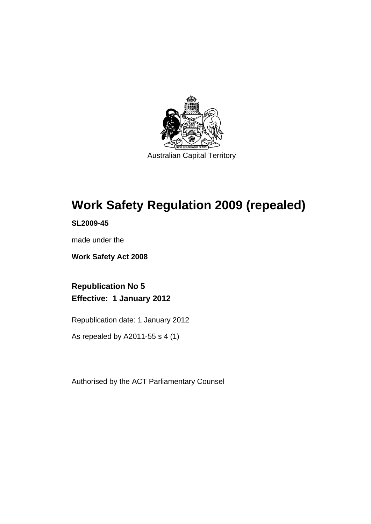

# **Work Safety Regulation 2009 (repealed)**

**SL2009-45** 

made under the

**Work Safety Act 2008** 

**Republication No 5 Effective: 1 January 2012** 

Republication date: 1 January 2012

As repealed by A2011-55 s 4 (1)

Authorised by the ACT Parliamentary Counsel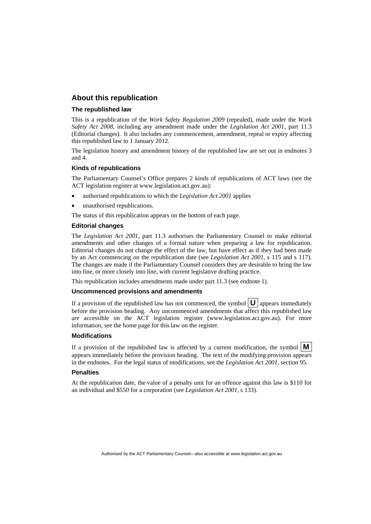#### **About this republication**

#### **The republished law**

This is a republication of the *Work Safety Regulation 2009* (repealed), made under the *Work Safety Act 2008*, including any amendment made under the *Legislation Act 2001*, part 11.3 (Editorial changes).It also includes any commencement, amendment, repeal or expiry affecting this republished law to 1 January 2012.

The legislation history and amendment history of the republished law are set out in endnotes 3 and 4.

#### **Kinds of republications**

The Parliamentary Counsel's Office prepares 2 kinds of republications of ACT laws (see the ACT legislation register at www.legislation.act.gov.au):

- authorised republications to which the *Legislation Act 2001* applies
- unauthorised republications.

The status of this republication appears on the bottom of each page.

#### **Editorial changes**

The *Legislation Act 2001*, part 11.3 authorises the Parliamentary Counsel to make editorial amendments and other changes of a formal nature when preparing a law for republication. Editorial changes do not change the effect of the law, but have effect as if they had been made by an Act commencing on the republication date (see *Legislation Act 2001*, s 115 and s 117). The changes are made if the Parliamentary Counsel considers they are desirable to bring the law into line, or more closely into line, with current legislative drafting practice.

This republication includes amendments made under part 11.3 (see endnote 1).

#### **Uncommenced provisions and amendments**

If a provision of the republished law has not commenced, the symbol  $\mathbf{U}$  appears immediately before the provision heading. Any uncommenced amendments that affect this republished law are accessible on the ACT legislation register (www.legislation.act.gov.au). For more information, see the home page for this law on the register.

#### **Modifications**

If a provision of the republished law is affected by a current modification, the symbol  $\vert \mathbf{M} \vert$ appears immediately before the provision heading. The text of the modifying provision appears in the endnotes. For the legal status of modifications, see the *Legislation Act 2001*, section 95.

#### **Penalties**

At the republication date, the value of a penalty unit for an offence against this law is \$110 for an individual and \$550 for a corporation (see *Legislation Act 2001*, s 133).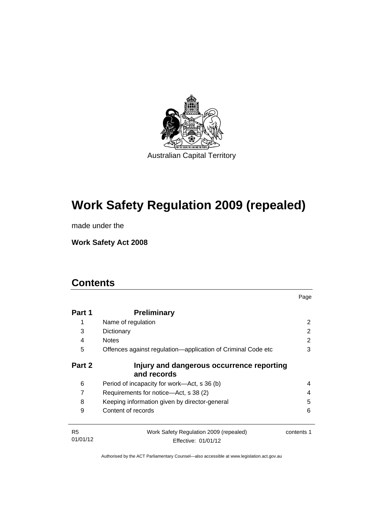

# **Work Safety Regulation 2009 (repealed)**

made under the

**Work Safety Act 2008** 

# **Contents**

| Part 1                     | <b>Preliminary</b>                                            |            |  |
|----------------------------|---------------------------------------------------------------|------------|--|
| 1                          | Name of regulation                                            |            |  |
| 3                          | Dictionary<br><b>Notes</b>                                    | 2          |  |
| 4                          |                                                               | 2          |  |
| 5                          | Offences against regulation—application of Criminal Code etc  | 3          |  |
| Part 2                     | Injury and dangerous occurrence reporting<br>and records      |            |  |
| 6                          | Period of incapacity for work—Act, s 36 (b)                   | 4          |  |
| 7                          | Requirements for notice-Act, s 38 (2)                         | 4          |  |
| 8                          | Keeping information given by director-general                 | 5          |  |
| 9                          | Content of records                                            | 6          |  |
| R <sub>5</sub><br>01/01/12 | Work Safety Regulation 2009 (repealed)<br>Effective: 01/01/12 | contents 1 |  |

Page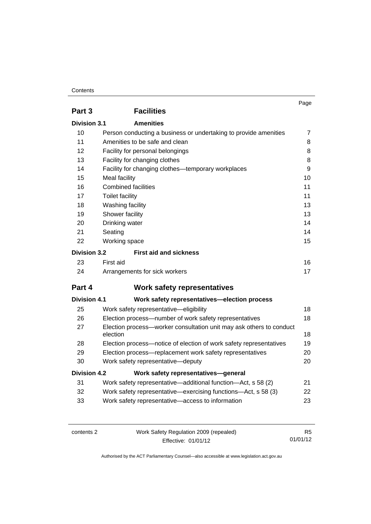#### **Contents**

|                     |                                                                                 | Page           |
|---------------------|---------------------------------------------------------------------------------|----------------|
| Part 3              | <b>Facilities</b>                                                               |                |
| Division 3.1        | <b>Amenities</b>                                                                |                |
| 10                  | Person conducting a business or undertaking to provide amenities                | $\overline{7}$ |
| 11                  | Amenities to be safe and clean                                                  | 8              |
| 12                  | Facility for personal belongings                                                | 8              |
| 13                  | Facility for changing clothes                                                   | 8              |
| 14                  | Facility for changing clothes—temporary workplaces                              | 9              |
| 15                  | Meal facility                                                                   | 10             |
| 16                  | <b>Combined facilities</b>                                                      | 11             |
| 17                  | <b>Toilet facility</b>                                                          | 11             |
| 18                  | Washing facility                                                                | 13             |
| 19                  | Shower facility                                                                 | 13             |
| 20                  | Drinking water                                                                  | 14             |
| 21                  | Seating                                                                         | 14             |
| 22                  | Working space                                                                   | 15             |
| <b>Division 3.2</b> | <b>First aid and sickness</b>                                                   |                |
| 23                  | First aid                                                                       | 16             |
| 24                  | Arrangements for sick workers                                                   | 17             |
| Part 4              | <b>Work safety representatives</b>                                              |                |
| <b>Division 4.1</b> | Work safety representatives-election process                                    |                |
| 25                  | Work safety representative-eligibility                                          | 18             |
| 26                  | Election process-number of work safety representatives                          | 18             |
| 27                  | Election process-worker consultation unit may ask others to conduct<br>election | 18             |
| 28                  | Election process-notice of election of work safety representatives              | 19             |
| 29                  | Election process-replacement work safety representatives                        | 20             |
| 30                  | Work safety representative-deputy                                               | 20             |
| <b>Division 4.2</b> | Work safety representatives-general                                             |                |
| 31                  | Work safety representative—additional function—Act, s 58 (2)                    | 21             |
| 32                  | Work safety representative—exercising functions—Act, s 58 (3)                   | 22             |
| 33                  | Work safety representative-access to information                                | 23             |

| contents 2 | Work Safety Regulation 2009 (repealed) | R5.      |
|------------|----------------------------------------|----------|
|            | Effective: 01/01/12                    | 01/01/12 |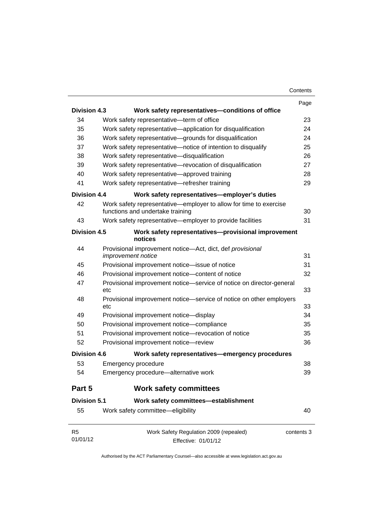|                            |                                                                                                       | Page       |
|----------------------------|-------------------------------------------------------------------------------------------------------|------------|
| <b>Division 4.3</b>        | Work safety representatives-conditions of office                                                      |            |
| 34                         | Work safety representative-term of office                                                             | 23         |
| 35                         | Work safety representative—application for disqualification                                           | 24         |
| 36                         | Work safety representative-grounds for disqualification                                               | 24         |
| 37                         | Work safety representative—notice of intention to disqualify                                          | 25         |
| 38                         | Work safety representative-disqualification                                                           | 26         |
| 39                         | Work safety representative-revocation of disqualification                                             | 27         |
| 40                         | Work safety representative-approved training                                                          | 28         |
| 41                         | Work safety representative-refresher training                                                         | 29         |
| Division 4.4               | Work safety representatives-employer's duties                                                         |            |
| 42                         | Work safety representative—employer to allow for time to exercise<br>functions and undertake training | 30         |
| 43                         | Work safety representative-employer to provide facilities                                             | 31         |
| <b>Division 4.5</b>        | Work safety representatives-provisional improvement<br>notices                                        |            |
| 44                         | Provisional improvement notice-Act, dict, def provisional                                             |            |
|                            | improvement notice                                                                                    | 31         |
| 45                         | Provisional improvement notice-issue of notice                                                        | 31         |
| 46                         | Provisional improvement notice-content of notice                                                      | 32         |
| 47                         | Provisional improvement notice—service of notice on director-general<br>etc                           | 33         |
| 48                         | Provisional improvement notice—service of notice on other employers<br>etc                            | 33         |
| 49                         | Provisional improvement notice-display                                                                | 34         |
| 50                         | Provisional improvement notice-compliance                                                             | 35         |
| 51                         | Provisional improvement notice-revocation of notice                                                   | 35         |
| 52                         | Provisional improvement notice-review                                                                 | 36         |
| <b>Division 4.6</b>        | Work safety representatives—emergency procedures                                                      |            |
| 53                         | Emergency procedure                                                                                   | 38         |
| 54                         | Emergency procedure-alternative work                                                                  | 39         |
| Part 5                     | <b>Work safety committees</b>                                                                         |            |
| <b>Division 5.1</b>        | Work safety committees-establishment                                                                  |            |
| 55                         | Work safety committee-eligibility                                                                     | 40         |
| R <sub>5</sub><br>01/01/12 | Work Safety Regulation 2009 (repealed)<br>Effective: 01/01/12                                         | contents 3 |

Effective: 01/01/12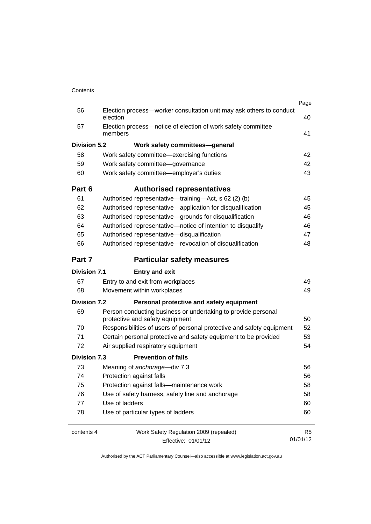| Contents |  |
|----------|--|

| Contents            |                                                                                 |                |
|---------------------|---------------------------------------------------------------------------------|----------------|
|                     |                                                                                 | Page           |
| 56                  | Election process-worker consultation unit may ask others to conduct<br>election | 40             |
| 57                  | Election process-notice of election of work safety committee<br>members         | 41             |
| <b>Division 5.2</b> | Work safety committees-general                                                  |                |
| 58                  | Work safety committee—exercising functions                                      | 42             |
| 59                  | Work safety committee-governance                                                | 42             |
| 60                  | Work safety committee-employer's duties                                         | 43             |
| Part 6              | <b>Authorised representatives</b>                                               |                |
| 61                  | Authorised representative—training—Act, s 62 (2) (b)                            | 45             |
| 62                  | Authorised representative-application for disqualification                      | 45             |
| 63                  | Authorised representative-grounds for disqualification                          | 46             |
| 64                  | Authorised representative-notice of intention to disqualify                     | 46             |
| 65                  | Authorised representative-disqualification                                      | 47             |
| 66                  | Authorised representative-revocation of disqualification                        | 48             |
| Part 7              | <b>Particular safety measures</b>                                               |                |
| <b>Division 7.1</b> | <b>Entry and exit</b>                                                           |                |
| 67                  | Entry to and exit from workplaces                                               | 49             |
| 68                  | Movement within workplaces                                                      | 49             |
| <b>Division 7.2</b> | Personal protective and safety equipment                                        |                |
| 69                  | Person conducting business or undertaking to provide personal                   |                |
|                     | protective and safety equipment                                                 | 50             |
| 70                  | Responsibilities of users of personal protective and safety equipment           | 52             |
| 71                  | Certain personal protective and safety equipment to be provided                 | 53             |
| 72                  | Air supplied respiratory equipment                                              | 54             |
| <b>Division 7.3</b> | <b>Prevention of falls</b>                                                      |                |
| 73                  | Meaning of anchorage-div 7.3                                                    | 56             |
| 74                  | Protection against falls                                                        | 56             |
| 75                  | Protection against falls-maintenance work                                       | 58             |
| 76                  | Use of safety harness, safety line and anchorage                                | 58             |
| 77                  | Use of ladders                                                                  | 60             |
| 78                  | Use of particular types of ladders                                              | 60             |
| contents 4          | Work Safety Regulation 2009 (repealed)                                          | R <sub>5</sub> |
|                     | Effective: 01/01/12                                                             | 01/01/12       |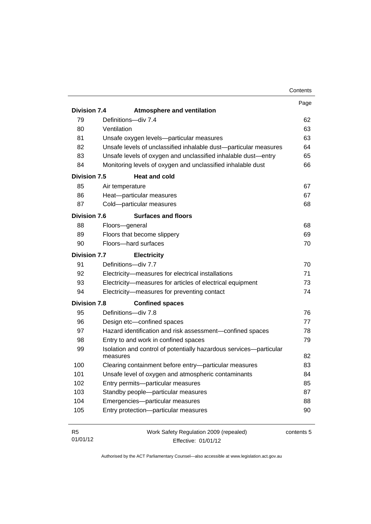|                     |                                                                    | Contents   |
|---------------------|--------------------------------------------------------------------|------------|
|                     |                                                                    | Page       |
| <b>Division 7.4</b> | <b>Atmosphere and ventilation</b>                                  |            |
| 79                  | Definitions-div 7.4                                                | 62         |
| 80                  | Ventilation                                                        | 63         |
| 81                  | Unsafe oxygen levels-particular measures                           | 63         |
| 82                  | Unsafe levels of unclassified inhalable dust-particular measures   | 64         |
| 83                  | Unsafe levels of oxygen and unclassified inhalable dust-entry      | 65         |
| 84                  | Monitoring levels of oxygen and unclassified inhalable dust        | 66         |
| <b>Division 7.5</b> | <b>Heat and cold</b>                                               |            |
| 85                  | Air temperature                                                    | 67         |
| 86                  | Heat-particular measures                                           | 67         |
| 87                  | Cold-particular measures                                           | 68         |
| <b>Division 7.6</b> | <b>Surfaces and floors</b>                                         |            |
| 88                  | Floors-general                                                     | 68         |
| 89                  | Floors that become slippery                                        | 69         |
| 90                  | Floors-hard surfaces                                               | 70         |
| <b>Division 7.7</b> | <b>Electricity</b>                                                 |            |
| 91                  | Definitions-div 7.7                                                | 70         |
| 92                  | Electricity-measures for electrical installations                  | 71         |
| 93                  | Electricity-measures for articles of electrical equipment          | 73         |
| 94                  | Electricity-measures for preventing contact                        | 74         |
| <b>Division 7.8</b> | <b>Confined spaces</b>                                             |            |
| 95                  | Definitions-div 7.8                                                | 76         |
| 96                  | Design etc-confined spaces                                         | 77         |
| 97                  | Hazard identification and risk assessment-confined spaces          | 78         |
| 98                  | Entry to and work in confined spaces                               | 79         |
| 99                  | Isolation and control of potentially hazardous services-particular |            |
|                     | measures                                                           | 82         |
| 100                 | Clearing containment before entry-particular measures              | 83         |
| 101                 | Unsafe level of oxygen and atmospheric contaminants                | 84         |
| 102                 | Entry permits-particular measures                                  | 85         |
| 103                 | Standby people-particular measures                                 | 87         |
| 104                 | Emergencies-particular measures                                    | 88         |
| 105                 | Entry protection-particular measures                               | 90         |
| R <sub>5</sub>      | Work Safety Regulation 2009 (repealed)                             | contents 5 |

01/01/12

contents 5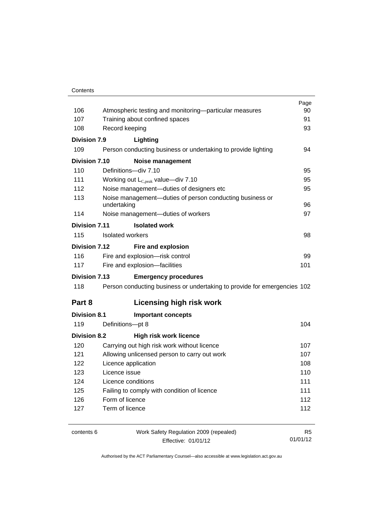#### **Contents**

|                      |                                                                          | Page           |
|----------------------|--------------------------------------------------------------------------|----------------|
| 106                  | Atmospheric testing and monitoring-particular measures                   | 90             |
| 107                  | Training about confined spaces                                           | 91             |
| 108                  | Record keeping                                                           | 93             |
| Division 7.9         | Lighting                                                                 |                |
| 109                  | Person conducting business or undertaking to provide lighting            | 94             |
| Division 7.10        | <b>Noise management</b>                                                  |                |
| 110                  | Definitions-div 7.10                                                     | 95             |
| 111                  | Working out $L_{C,peak}$ value—div 7.10                                  | 95             |
| 112                  | Noise management-duties of designers etc                                 | 95             |
| 113                  | Noise management-duties of person conducting business or<br>undertaking  | 96             |
| 114                  | Noise management-duties of workers                                       | 97             |
| <b>Division 7.11</b> | <b>Isolated work</b>                                                     |                |
| 115                  | Isolated workers                                                         | 98             |
| Division 7.12        | Fire and explosion                                                       |                |
| 116                  | Fire and explosion-risk control                                          | 99             |
| 117                  | Fire and explosion-facilities                                            | 101            |
| <b>Division 7.13</b> | <b>Emergency procedures</b>                                              |                |
| 118                  | Person conducting business or undertaking to provide for emergencies 102 |                |
| Part 8               | <b>Licensing high risk work</b>                                          |                |
| <b>Division 8.1</b>  | <b>Important concepts</b>                                                |                |
| 119                  | Definitions-pt 8                                                         | 104            |
| <b>Division 8.2</b>  | <b>High risk work licence</b>                                            |                |
| 120                  | Carrying out high risk work without licence                              | 107            |
| 121                  | Allowing unlicensed person to carry out work                             | 107            |
| 122                  | Licence application                                                      | 108            |
| 123                  | Licence issue                                                            | 110            |
| 124                  | Licence conditions                                                       | 111            |
| 125                  | Failing to comply with condition of licence                              | 111            |
| 126                  | Form of licence                                                          | 112            |
| 127                  | Term of licence                                                          | 112            |
| contents 6           | Work Safety Regulation 2009 (repealed)                                   | R <sub>5</sub> |
|                      | Effective: 01/01/12                                                      | 01/01/12       |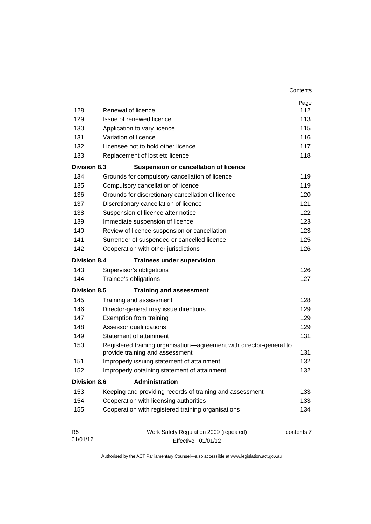| 128                        | Renewal of licence                                                                                     | Page<br>112 |
|----------------------------|--------------------------------------------------------------------------------------------------------|-------------|
| 129                        | Issue of renewed licence                                                                               | 113         |
| 130                        | Application to vary licence                                                                            | 115         |
| 131                        | Variation of licence                                                                                   | 116         |
| 132                        | Licensee not to hold other licence                                                                     | 117         |
| 133                        | Replacement of lost etc licence                                                                        | 118         |
| <b>Division 8.3</b>        | <b>Suspension or cancellation of licence</b>                                                           |             |
| 134                        | Grounds for compulsory cancellation of licence                                                         | 119         |
| 135                        | Compulsory cancellation of licence                                                                     | 119         |
| 136                        | Grounds for discretionary cancellation of licence                                                      | 120         |
| 137                        | Discretionary cancellation of licence                                                                  | 121         |
| 138                        | Suspension of licence after notice                                                                     | 122         |
| 139                        | Immediate suspension of licence                                                                        | 123         |
| 140                        | Review of licence suspension or cancellation                                                           | 123         |
| 141                        | Surrender of suspended or cancelled licence                                                            | 125         |
| 142                        | Cooperation with other jurisdictions                                                                   | 126         |
| <b>Division 8.4</b>        | <b>Trainees under supervision</b>                                                                      |             |
| 143                        | Supervisor's obligations                                                                               | 126         |
| 144                        | Trainee's obligations                                                                                  | 127         |
| <b>Division 8.5</b>        | <b>Training and assessment</b>                                                                         |             |
| 145                        | Training and assessment                                                                                | 128         |
| 146                        | Director-general may issue directions                                                                  | 129         |
| 147                        | Exemption from training                                                                                | 129         |
| 148                        | Assessor qualifications                                                                                | 129         |
| 149                        | Statement of attainment                                                                                | 131         |
| 150                        | Registered training organisation-agreement with director-general to<br>provide training and assessment | 131         |
| 151                        | Improperly issuing statement of attainment                                                             | 132         |
| 152                        | Improperly obtaining statement of attainment                                                           | 132         |
| <b>Division 8.6</b>        | Administration                                                                                         |             |
| 153                        | Keeping and providing records of training and assessment                                               | 133         |
| 154                        | Cooperation with licensing authorities                                                                 | 133         |
| 155                        | Cooperation with registered training organisations                                                     | 134         |
| R <sub>5</sub><br>01/01/12 | Work Safety Regulation 2009 (repealed)<br>Effective: 01/01/12                                          | contents 7  |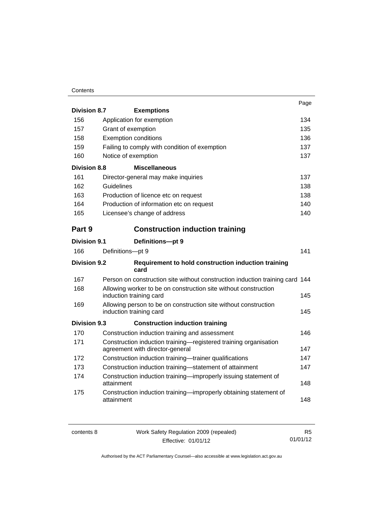#### **Contents**

|                     |                                                                                                     | Page |
|---------------------|-----------------------------------------------------------------------------------------------------|------|
| <b>Division 8.7</b> | <b>Exemptions</b>                                                                                   |      |
| 156                 | Application for exemption                                                                           | 134  |
| 157                 | Grant of exemption                                                                                  | 135  |
| 158                 | <b>Exemption conditions</b>                                                                         | 136  |
| 159                 | Failing to comply with condition of exemption                                                       | 137  |
| 160                 | Notice of exemption                                                                                 | 137  |
| <b>Division 8.8</b> | <b>Miscellaneous</b>                                                                                |      |
| 161                 | Director-general may make inquiries                                                                 | 137  |
| 162                 | Guidelines                                                                                          | 138  |
| 163                 | Production of licence etc on request                                                                | 138  |
| 164                 | Production of information etc on request                                                            | 140  |
| 165                 | Licensee's change of address                                                                        | 140  |
| Part 9              | <b>Construction induction training</b>                                                              |      |
| <b>Division 9.1</b> | Definitions-pt 9                                                                                    |      |
| 166                 | Definitions-pt 9                                                                                    | 141  |
| <b>Division 9.2</b> | Requirement to hold construction induction training<br>card                                         |      |
| 167                 | Person on construction site without construction induction training card 144                        |      |
| 168                 | Allowing worker to be on construction site without construction<br>induction training card          | 145  |
| 169                 | Allowing person to be on construction site without construction<br>induction training card          | 145  |
| Division 9.3        | <b>Construction induction training</b>                                                              |      |
| 170                 | Construction induction training and assessment                                                      | 146  |
| 171                 | Construction induction training-registered training organisation<br>agreement with director-general | 147  |
| 172                 | Construction induction training-trainer qualifications                                              | 147  |
| 173                 | Construction induction training-statement of attainment                                             | 147  |
| 174                 | Construction induction training-improperly issuing statement of<br>attainment                       | 148  |
| 175                 | Construction induction training—improperly obtaining statement of<br>attainment                     | 148  |

| contents 8 | Work Safety Regulation 2009 (repealed) | R5       |
|------------|----------------------------------------|----------|
|            | Effective: 01/01/12                    | 01/01/12 |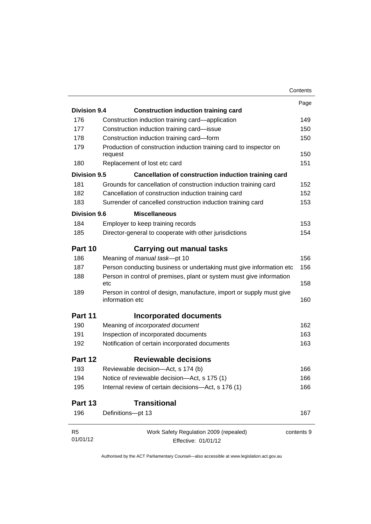|                     |                                                                                         | Contents   |
|---------------------|-----------------------------------------------------------------------------------------|------------|
|                     |                                                                                         | Page       |
| <b>Division 9.4</b> | <b>Construction induction training card</b>                                             |            |
| 176                 | Construction induction training card—application                                        | 149        |
| 177                 | Construction induction training card-issue                                              | 150        |
| 178                 | Construction induction training card-form                                               |            |
| 179                 | Production of construction induction training card to inspector on<br>request           | 150        |
| 180                 | Replacement of lost etc card                                                            |            |
| Division 9.5        | Cancellation of construction induction training card                                    |            |
| 181                 | Grounds for cancellation of construction induction training card                        |            |
| 182                 | Cancellation of construction induction training card                                    | 152        |
| 183                 | Surrender of cancelled construction induction training card                             |            |
| Division 9.6        | <b>Miscellaneous</b>                                                                    |            |
| 184                 | Employer to keep training records                                                       | 153        |
| 185                 | Director-general to cooperate with other jurisdictions                                  |            |
|                     |                                                                                         |            |
| Part 10             | <b>Carrying out manual tasks</b>                                                        |            |
| 186                 | Meaning of manual task-pt 10                                                            |            |
| 187                 | Person conducting business or undertaking must give information etc                     |            |
| 188                 | Person in control of premises, plant or system must give information<br>etc             |            |
| 189                 | Person in control of design, manufacture, import or supply must give<br>information etc |            |
| Part 11             | Incorporated documents                                                                  |            |
| 190                 | Meaning of incorporated document                                                        |            |
| 191                 | Inspection of incorporated documents                                                    | 163        |
| 192                 | Notification of certain incorporated documents                                          | 163        |
| Part 12             | <b>Reviewable decisions</b>                                                             |            |
| 193                 | Reviewable decision-Act, s 174 (b)                                                      |            |
| 194                 | Notice of reviewable decision-Act, s 175 (1)                                            |            |
| 195                 | Internal review of certain decisions-Act, s 176 (1)                                     |            |
| Part 13             | <b>Transitional</b>                                                                     |            |
| 196                 | Definitions-pt 13                                                                       |            |
| R <sub>5</sub>      | Work Safety Regulation 2009 (repealed)                                                  | contents 9 |
| 01/01/12            | Effective: 01/01/12                                                                     |            |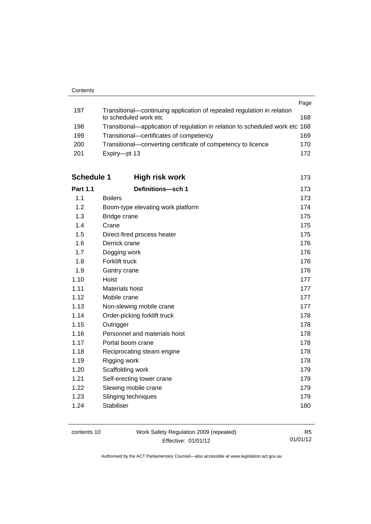|     |                                                                              | Page |
|-----|------------------------------------------------------------------------------|------|
| 197 | Transitional—continuing application of repealed regulation in relation       |      |
|     | to scheduled work etc                                                        | 168  |
| 198 | Transitional—application of regulation in relation to scheduled work etc 168 |      |
| 199 | Transitional-certificates of competency                                      | 169  |
| 200 | Transitional—converting certificate of competency to licence                 | 170  |
| 201 | Expiry-pt 13                                                                 | 172  |

| Schedule 1<br>High risk work      | 173 |
|-----------------------------------|-----|
| Definitions-sch 1                 | 173 |
| <b>Boilers</b>                    | 173 |
| Boom-type elevating work platform | 174 |
| Bridge crane                      | 175 |
| Crane                             | 175 |
| Direct-fired process heater       | 175 |
| Derrick crane                     | 176 |
| Dogging work                      | 176 |
| Forklift truck                    | 176 |
| Gantry crane                      | 176 |
| Hoist                             | 177 |
| Materials hoist                   | 177 |
| Mobile crane                      | 177 |
| Non-slewing mobile crane          | 177 |
| Order-picking forklift truck      | 178 |
| Outrigger                         | 178 |
| Personnel and materials hoist     | 178 |
| Portal boom crane                 | 178 |
| Reciprocating steam engine        | 178 |
| Rigging work                      | 178 |
| Scaffolding work                  | 179 |
| Self-erecting tower crane         | 179 |
| Slewing mobile crane              | 179 |
| Slinging techniques               | 179 |
| <b>Stabiliser</b>                 | 180 |
|                                   |     |

| contents 10 | Work Safety Regulation 2009 (repealed) | R5       |
|-------------|----------------------------------------|----------|
|             | Effective: 01/01/12                    | 01/01/12 |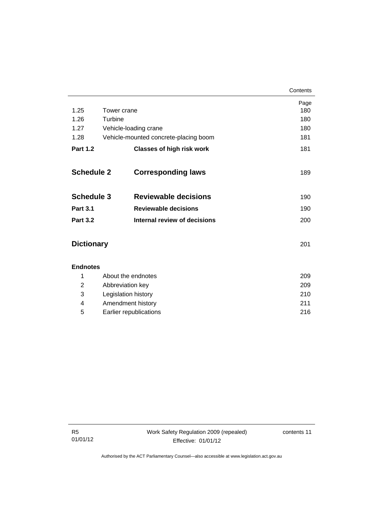|                   |             |                                       | Contents |
|-------------------|-------------|---------------------------------------|----------|
|                   |             |                                       | Page     |
| 1.25              | Tower crane |                                       | 180      |
| 1.26              | Turbine     |                                       | 180      |
| 1.27              |             | Vehicle-loading crane                 | 180      |
| 1.28              |             | Vehicle-mounted concrete-placing boom | 181      |
| <b>Part 1.2</b>   |             | <b>Classes of high risk work</b>      | 181      |
| <b>Schedule 2</b> |             | <b>Corresponding laws</b>             | 189      |
| <b>Schedule 3</b> |             | <b>Reviewable decisions</b>           | 190      |
| <b>Part 3.1</b>   |             | <b>Reviewable decisions</b>           | 190      |
| <b>Part 3.2</b>   |             | <b>Internal review of decisions</b>   | 200      |
| <b>Dictionary</b> |             |                                       | 201      |
| <b>Endnotes</b>   |             |                                       |          |

|   | About the endnotes     | 209  |
|---|------------------------|------|
| 2 | Abbreviation key       | 209  |
| 3 | Legislation history    | 210  |
| 4 | Amendment history      | 211  |
| 5 | Earlier republications | 216. |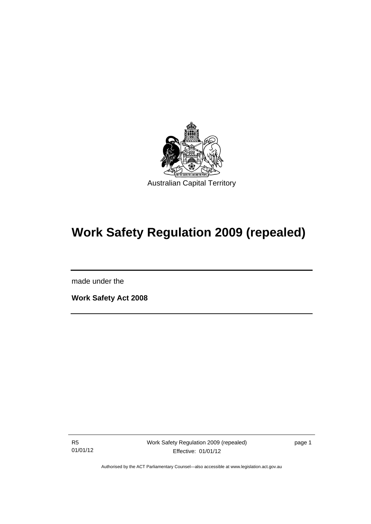

# **Work Safety Regulation 2009 (repealed)**

made under the

l

**Work Safety Act 2008** 

R5 01/01/12

page 1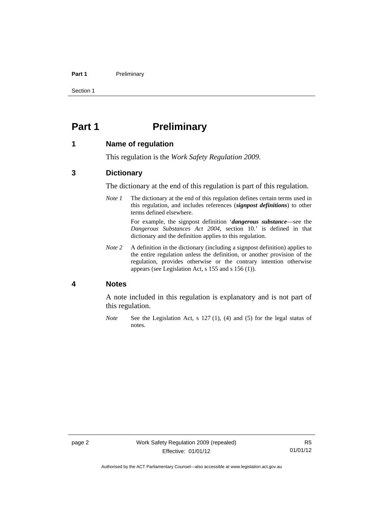#### Part 1 **Preliminary**

Section 1

# <span id="page-15-0"></span>**Part 1** Preliminary

#### <span id="page-15-1"></span>**1 Name of regulation**

This regulation is the *Work Safety Regulation 2009*.

#### <span id="page-15-2"></span>**3 Dictionary**

The dictionary at the end of this regulation is part of this regulation.

*Note 1* The dictionary at the end of this regulation defines certain terms used in this regulation, and includes references (*signpost definitions*) to other terms defined elsewhere.

> For example, the signpost definition '*dangerous substance*—see the *Dangerous Substances Act 2004*, section 10.' is defined in that dictionary and the definition applies to this regulation.

*Note 2* A definition in the dictionary (including a signpost definition) applies to the entire regulation unless the definition, or another provision of the regulation, provides otherwise or the contrary intention otherwise appears (see Legislation Act, s 155 and s 156 (1)).

#### <span id="page-15-3"></span>**4 Notes**

A note included in this regulation is explanatory and is not part of this regulation.

*Note* See the Legislation Act, s 127 (1), (4) and (5) for the legal status of notes.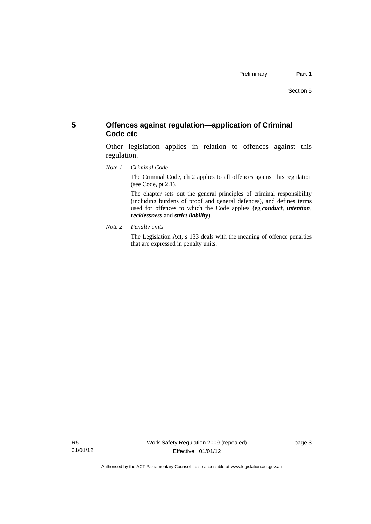### <span id="page-16-0"></span>**5 Offences against regulation—application of Criminal Code etc**

Other legislation applies in relation to offences against this regulation.

*Note 1 Criminal Code*

The Criminal Code, ch 2 applies to all offences against this regulation (see Code, pt 2.1).

The chapter sets out the general principles of criminal responsibility (including burdens of proof and general defences), and defines terms used for offences to which the Code applies (eg *conduct*, *intention*, *recklessness* and *strict liability*).

*Note 2 Penalty units* 

The Legislation Act, s 133 deals with the meaning of offence penalties that are expressed in penalty units.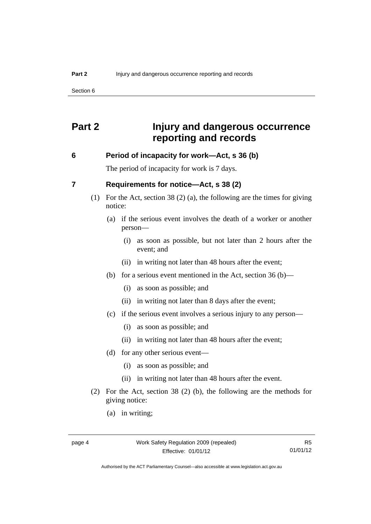Section 6

# <span id="page-17-0"></span>**Part 2 Injury and dangerous occurrence reporting and records**

#### <span id="page-17-1"></span>**6 Period of incapacity for work—Act, s 36 (b)**

The period of incapacity for work is 7 days.

#### <span id="page-17-2"></span>**7 Requirements for notice—Act, s 38 (2)**

- (1) For the Act, section 38 (2) (a), the following are the times for giving notice:
	- (a) if the serious event involves the death of a worker or another person—
		- (i) as soon as possible, but not later than 2 hours after the event; and
		- (ii) in writing not later than 48 hours after the event;
	- (b) for a serious event mentioned in the Act, section 36 (b)—
		- (i) as soon as possible; and
		- (ii) in writing not later than 8 days after the event;
	- (c) if the serious event involves a serious injury to any person—
		- (i) as soon as possible; and
		- (ii) in writing not later than 48 hours after the event;
	- (d) for any other serious event—
		- (i) as soon as possible; and
		- (ii) in writing not later than 48 hours after the event.
- (2) For the Act, section 38 (2) (b), the following are the methods for giving notice:
	- (a) in writing;

Authorised by the ACT Parliamentary Counsel—also accessible at www.legislation.act.gov.au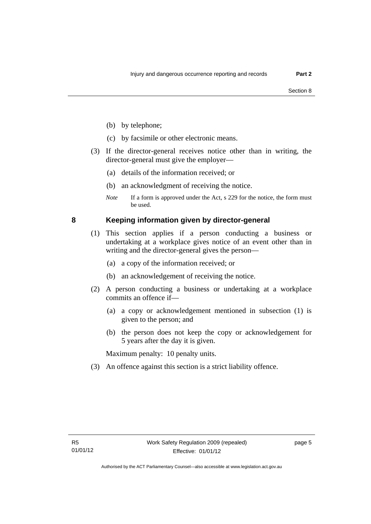- (b) by telephone;
- (c) by facsimile or other electronic means.
- (3) If the director-general receives notice other than in writing, the director-general must give the employer—
	- (a) details of the information received; or
	- (b) an acknowledgment of receiving the notice.
	- *Note* If a form is approved under the Act, s 229 for the notice, the form must be used.

### <span id="page-18-0"></span>**8 Keeping information given by director-general**

- (1) This section applies if a person conducting a business or undertaking at a workplace gives notice of an event other than in writing and the director-general gives the person—
	- (a) a copy of the information received; or
	- (b) an acknowledgement of receiving the notice.
- (2) A person conducting a business or undertaking at a workplace commits an offence if—
	- (a) a copy or acknowledgement mentioned in subsection (1) is given to the person; and
	- (b) the person does not keep the copy or acknowledgement for 5 years after the day it is given.

Maximum penalty: 10 penalty units.

(3) An offence against this section is a strict liability offence.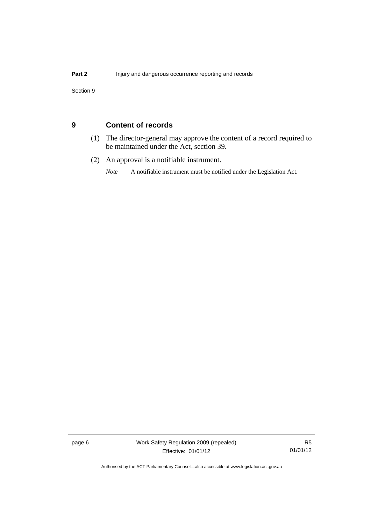Section 9

### <span id="page-19-0"></span>**9 Content of records**

- (1) The director-general may approve the content of a record required to be maintained under the Act, section 39.
- (2) An approval is a notifiable instrument.

*Note* A notifiable instrument must be notified under the Legislation Act.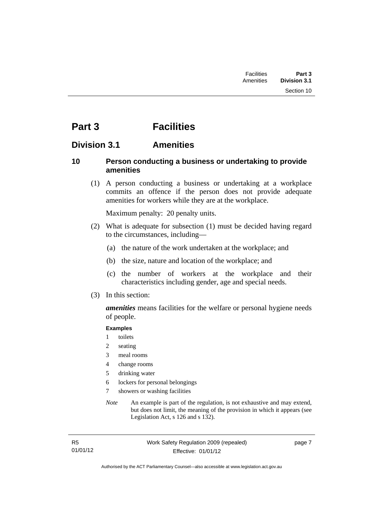# <span id="page-20-0"></span>**Part 3 Facilities**

### <span id="page-20-1"></span>**Division 3.1 Amenities**

### <span id="page-20-2"></span>**10 Person conducting a business or undertaking to provide amenities**

 (1) A person conducting a business or undertaking at a workplace commits an offence if the person does not provide adequate amenities for workers while they are at the workplace.

Maximum penalty: 20 penalty units.

- (2) What is adequate for subsection (1) must be decided having regard to the circumstances, including—
	- (a) the nature of the work undertaken at the workplace; and
	- (b) the size, nature and location of the workplace; and
	- (c) the number of workers at the workplace and their characteristics including gender, age and special needs.
- (3) In this section:

*amenities* means facilities for the welfare or personal hygiene needs of people.

#### **Examples**

- 1 toilets
- 2 seating
- 3 meal rooms
- 4 change rooms
- 5 drinking water
- 6 lockers for personal belongings
- 7 showers or washing facilities
- *Note* An example is part of the regulation, is not exhaustive and may extend, but does not limit, the meaning of the provision in which it appears (see Legislation Act, s 126 and s 132).

page 7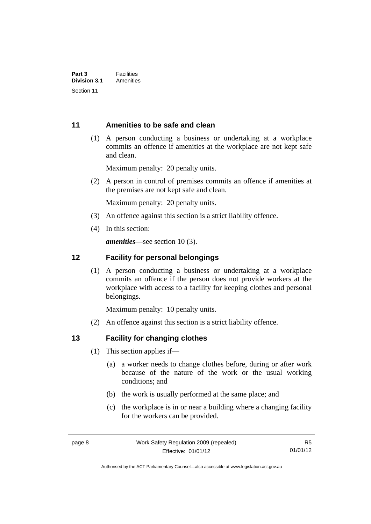### <span id="page-21-0"></span>**11 Amenities to be safe and clean**

 (1) A person conducting a business or undertaking at a workplace commits an offence if amenities at the workplace are not kept safe and clean.

Maximum penalty: 20 penalty units.

 (2) A person in control of premises commits an offence if amenities at the premises are not kept safe and clean.

Maximum penalty: 20 penalty units.

- (3) An offence against this section is a strict liability offence.
- (4) In this section:

*amenities*—see section 10 (3).

#### <span id="page-21-1"></span>**12 Facility for personal belongings**

(1) A person conducting a business or undertaking at a workplace commits an offence if the person does not provide workers at the workplace with access to a facility for keeping clothes and personal belongings.

Maximum penalty: 10 penalty units.

(2) An offence against this section is a strict liability offence.

#### <span id="page-21-2"></span>**13 Facility for changing clothes**

- (1) This section applies if—
	- (a) a worker needs to change clothes before, during or after work because of the nature of the work or the usual working conditions; and
	- (b) the work is usually performed at the same place; and
	- (c) the workplace is in or near a building where a changing facility for the workers can be provided.

Authorised by the ACT Parliamentary Counsel—also accessible at www.legislation.act.gov.au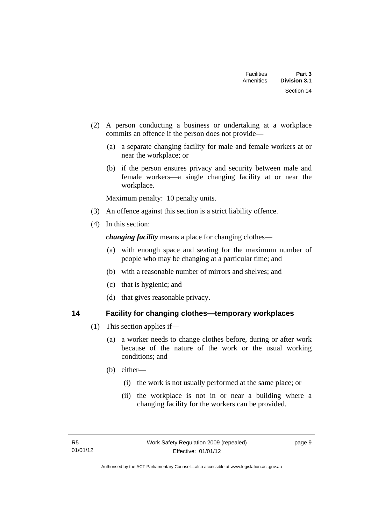| Facilities<br>Amenities | Part 3<br><b>Division 3.1</b> |
|-------------------------|-------------------------------|
|                         | Section 14                    |

- (2) A person conducting a business or undertaking at a workplace commits an offence if the person does not provide—
	- (a) a separate changing facility for male and female workers at or near the workplace; or
	- (b) if the person ensures privacy and security between male and female workers—a single changing facility at or near the workplace.

Maximum penalty: 10 penalty units.

- (3) An offence against this section is a strict liability offence.
- (4) In this section:

*changing facility* means a place for changing clothes—

- (a) with enough space and seating for the maximum number of people who may be changing at a particular time; and
- (b) with a reasonable number of mirrors and shelves; and
- (c) that is hygienic; and
- (d) that gives reasonable privacy.

#### <span id="page-22-0"></span>**14 Facility for changing clothes—temporary workplaces**

- (1) This section applies if—
	- (a) a worker needs to change clothes before, during or after work because of the nature of the work or the usual working conditions; and
	- (b) either—
		- (i) the work is not usually performed at the same place; or
		- (ii) the workplace is not in or near a building where a changing facility for the workers can be provided.

page 9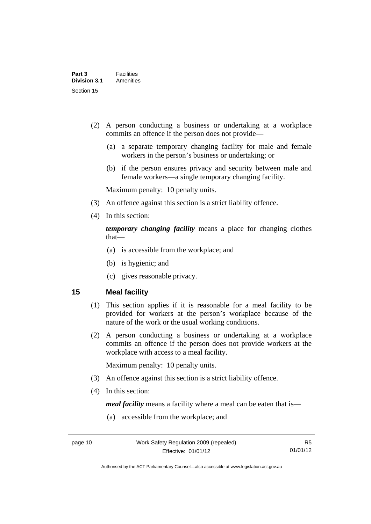- (2) A person conducting a business or undertaking at a workplace commits an offence if the person does not provide—
	- (a) a separate temporary changing facility for male and female workers in the person's business or undertaking; or
	- (b) if the person ensures privacy and security between male and female workers—a single temporary changing facility.

Maximum penalty: 10 penalty units.

- (3) An offence against this section is a strict liability offence.
- (4) In this section:

*temporary changing facility* means a place for changing clothes that—

- (a) is accessible from the workplace; and
- (b) is hygienic; and
- (c) gives reasonable privacy.

#### <span id="page-23-0"></span>**15 Meal facility**

- (1) This section applies if it is reasonable for a meal facility to be provided for workers at the person's workplace because of the nature of the work or the usual working conditions.
- (2) A person conducting a business or undertaking at a workplace commits an offence if the person does not provide workers at the workplace with access to a meal facility.

Maximum penalty: 10 penalty units.

- (3) An offence against this section is a strict liability offence.
- (4) In this section:

*meal facility* means a facility where a meal can be eaten that is—

(a) accessible from the workplace; and

Authorised by the ACT Parliamentary Counsel—also accessible at www.legislation.act.gov.au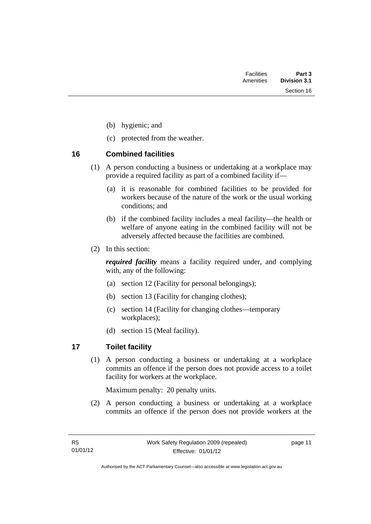Section 16

- (b) hygienic; and
- (c) protected from the weather.

### <span id="page-24-0"></span>**16 Combined facilities**

- (1) A person conducting a business or undertaking at a workplace may provide a required facility as part of a combined facility if—
	- (a) it is reasonable for combined facilities to be provided for workers because of the nature of the work or the usual working conditions; and
	- (b) if the combined facility includes a meal facility—the health or welfare of anyone eating in the combined facility will not be adversely affected because the facilities are combined.
- (2) In this section:

*required facility* means a facility required under, and complying with, any of the following:

- (a) section 12 (Facility for personal belongings);
- (b) section 13 (Facility for changing clothes);
- (c) section 14 (Facility for changing clothes—temporary workplaces);
- (d) section 15 (Meal facility).

## <span id="page-24-1"></span>**17 Toilet facility**

(1) A person conducting a business or undertaking at a workplace commits an offence if the person does not provide access to a toilet facility for workers at the workplace.

Maximum penalty: 20 penalty units.

 (2) A person conducting a business or undertaking at a workplace commits an offence if the person does not provide workers at the

page 11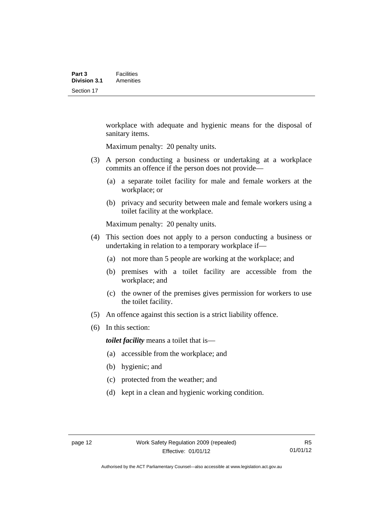workplace with adequate and hygienic means for the disposal of sanitary items.

Maximum penalty: 20 penalty units.

- (3) A person conducting a business or undertaking at a workplace commits an offence if the person does not provide—
	- (a) a separate toilet facility for male and female workers at the workplace; or
	- (b) privacy and security between male and female workers using a toilet facility at the workplace.

Maximum penalty: 20 penalty units.

- (4) This section does not apply to a person conducting a business or undertaking in relation to a temporary workplace if—
	- (a) not more than 5 people are working at the workplace; and
	- (b) premises with a toilet facility are accessible from the workplace; and
	- (c) the owner of the premises gives permission for workers to use the toilet facility.
- (5) An offence against this section is a strict liability offence.
- (6) In this section:

*toilet facility* means a toilet that is—

- (a) accessible from the workplace; and
- (b) hygienic; and
- (c) protected from the weather; and
- (d) kept in a clean and hygienic working condition.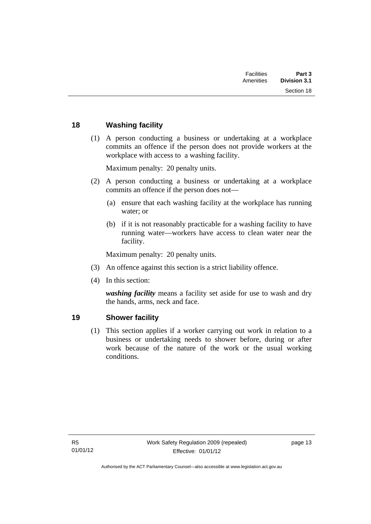| Part 3<br><b>Division 3.1</b> | <b>Facilities</b><br>Amenities |  |
|-------------------------------|--------------------------------|--|
| Section 18                    |                                |  |
|                               |                                |  |

### <span id="page-26-0"></span>**18 Washing facility**

 (1) A person conducting a business or undertaking at a workplace commits an offence if the person does not provide workers at the workplace with access to a washing facility.

Maximum penalty: 20 penalty units.

- (2) A person conducting a business or undertaking at a workplace commits an offence if the person does not—
	- (a) ensure that each washing facility at the workplace has running water; or
	- (b) if it is not reasonably practicable for a washing facility to have running water—workers have access to clean water near the facility.

Maximum penalty: 20 penalty units.

- (3) An offence against this section is a strict liability offence.
- (4) In this section:

*washing facility* means a facility set aside for use to wash and dry the hands, arms, neck and face.

#### <span id="page-26-1"></span>**19 Shower facility**

(1) This section applies if a worker carrying out work in relation to a business or undertaking needs to shower before, during or after work because of the nature of the work or the usual working conditions.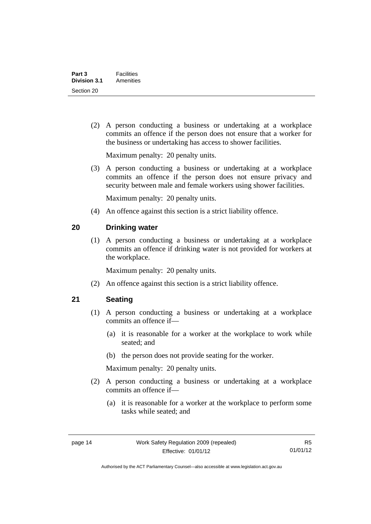(2) A person conducting a business or undertaking at a workplace commits an offence if the person does not ensure that a worker for the business or undertaking has access to shower facilities.

Maximum penalty: 20 penalty units.

 (3) A person conducting a business or undertaking at a workplace commits an offence if the person does not ensure privacy and security between male and female workers using shower facilities.

Maximum penalty: 20 penalty units.

(4) An offence against this section is a strict liability offence.

### <span id="page-27-0"></span>**20 Drinking water**

(1) A person conducting a business or undertaking at a workplace commits an offence if drinking water is not provided for workers at the workplace.

Maximum penalty: 20 penalty units.

(2) An offence against this section is a strict liability offence.

#### <span id="page-27-1"></span>**21 Seating**

- (1) A person conducting a business or undertaking at a workplace commits an offence if—
	- (a) it is reasonable for a worker at the workplace to work while seated; and
	- (b) the person does not provide seating for the worker.

Maximum penalty: 20 penalty units.

- (2) A person conducting a business or undertaking at a workplace commits an offence if—
	- (a) it is reasonable for a worker at the workplace to perform some tasks while seated; and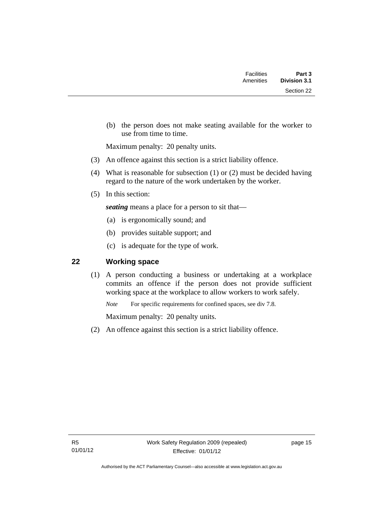| Part 3<br><b>Division 3.1</b> | <b>Facilities</b><br>Amenities |  |
|-------------------------------|--------------------------------|--|
| Section 22                    |                                |  |

 (b) the person does not make seating available for the worker to use from time to time.

Maximum penalty: 20 penalty units.

- (3) An offence against this section is a strict liability offence.
- (4) What is reasonable for subsection (1) or (2) must be decided having regard to the nature of the work undertaken by the worker.
- (5) In this section:

*seating* means a place for a person to sit that—

- (a) is ergonomically sound; and
- (b) provides suitable support; and
- (c) is adequate for the type of work.

## <span id="page-28-0"></span>**22 Working space**

(1) A person conducting a business or undertaking at a workplace commits an offence if the person does not provide sufficient working space at the workplace to allow workers to work safely.

*Note* For specific requirements for confined spaces, see div 7.8.

Maximum penalty: 20 penalty units.

(2) An offence against this section is a strict liability offence.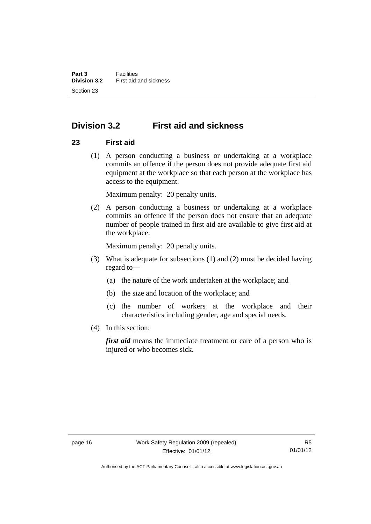# <span id="page-29-0"></span>**Division 3.2 First aid and sickness**

### <span id="page-29-1"></span>**23 First aid**

 (1) A person conducting a business or undertaking at a workplace commits an offence if the person does not provide adequate first aid equipment at the workplace so that each person at the workplace has access to the equipment.

Maximum penalty: 20 penalty units.

 (2) A person conducting a business or undertaking at a workplace commits an offence if the person does not ensure that an adequate number of people trained in first aid are available to give first aid at the workplace.

Maximum penalty: 20 penalty units.

- (3) What is adequate for subsections (1) and (2) must be decided having regard to—
	- (a) the nature of the work undertaken at the workplace; and
	- (b) the size and location of the workplace; and
	- (c) the number of workers at the workplace and their characteristics including gender, age and special needs.
- (4) In this section:

*first aid* means the immediate treatment or care of a person who is injured or who becomes sick.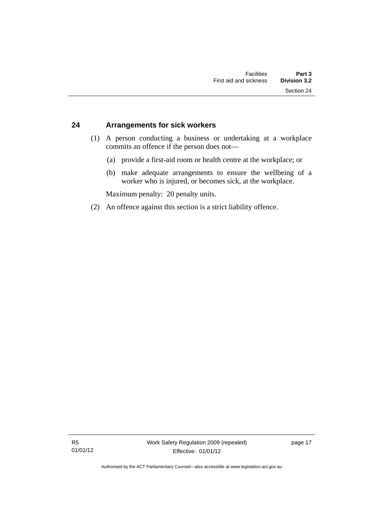#### <span id="page-30-0"></span>**24 Arrangements for sick workers**

- (1) A person conducting a business or undertaking at a workplace commits an offence if the person does not—
	- (a) provide a first-aid room or health centre at the workplace; or
	- (b) make adequate arrangements to ensure the wellbeing of a worker who is injured, or becomes sick, at the workplace.

Maximum penalty: 20 penalty units.

(2) An offence against this section is a strict liability offence.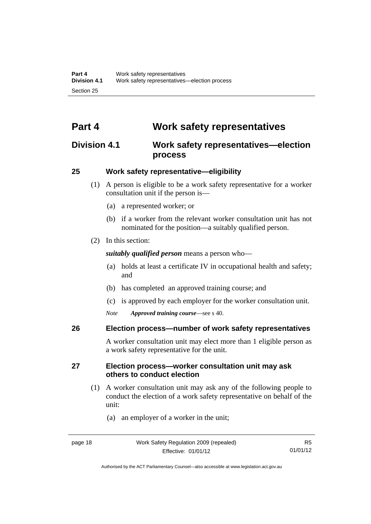# <span id="page-31-0"></span>**Part 4 Work safety representatives**

# <span id="page-31-1"></span>**Division 4.1 Work safety representatives—election process**

### <span id="page-31-2"></span>**25 Work safety representative—eligibility**

- (1) A person is eligible to be a work safety representative for a worker consultation unit if the person is—
	- (a) a represented worker; or
	- (b) if a worker from the relevant worker consultation unit has not nominated for the position—a suitably qualified person.
- (2) In this section:

*suitably qualified person* means a person who—

- (a) holds at least a certificate IV in occupational health and safety; and
- (b) has completed an approved training course; and
- (c) is approved by each employer for the worker consultation unit.
- *Note Approved training course*—see s 40.

#### <span id="page-31-3"></span>**26 Election process—number of work safety representatives**

A worker consultation unit may elect more than 1 eligible person as a work safety representative for the unit.

### <span id="page-31-4"></span>**27 Election process—worker consultation unit may ask others to conduct election**

- (1) A worker consultation unit may ask any of the following people to conduct the election of a work safety representative on behalf of the unit:
	- (a) an employer of a worker in the unit;

Authorised by the ACT Parliamentary Counsel—also accessible at www.legislation.act.gov.au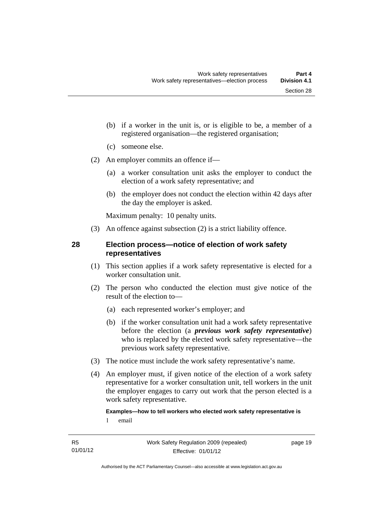- (b) if a worker in the unit is, or is eligible to be, a member of a registered organisation—the registered organisation;
- (c) someone else.
- (2) An employer commits an offence if—
	- (a) a worker consultation unit asks the employer to conduct the election of a work safety representative; and
	- (b) the employer does not conduct the election within 42 days after the day the employer is asked.

Maximum penalty: 10 penalty units.

(3) An offence against subsection (2) is a strict liability offence.

### <span id="page-32-0"></span>**28 Election process—notice of election of work safety representatives**

- (1) This section applies if a work safety representative is elected for a worker consultation unit.
- (2) The person who conducted the election must give notice of the result of the election to—
	- (a) each represented worker's employer; and
	- (b) if the worker consultation unit had a work safety representative before the election (a *previous work safety representative*) who is replaced by the elected work safety representative—the previous work safety representative.
- (3) The notice must include the work safety representative's name.
- (4) An employer must, if given notice of the election of a work safety representative for a worker consultation unit, tell workers in the unit the employer engages to carry out work that the person elected is a work safety representative.

### **Examples—how to tell workers who elected work safety representative is**

1 email

page 19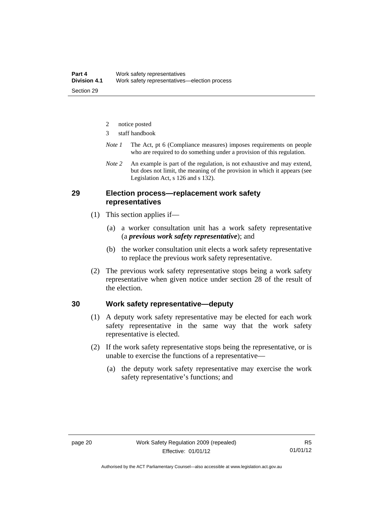- 2 notice posted
- 3 staff handbook
- *Note 1* The Act, pt 6 (Compliance measures) imposes requirements on people who are required to do something under a provision of this regulation.
- *Note 2* An example is part of the regulation, is not exhaustive and may extend, but does not limit, the meaning of the provision in which it appears (see Legislation Act, s 126 and s 132).

#### <span id="page-33-0"></span>**29 Election process—replacement work safety representatives**

- (1) This section applies if—
	- (a) a worker consultation unit has a work safety representative (a *previous work safety representative*); and
	- (b) the worker consultation unit elects a work safety representative to replace the previous work safety representative.
- (2) The previous work safety representative stops being a work safety representative when given notice under section 28 of the result of the election.

#### <span id="page-33-1"></span>**30 Work safety representative—deputy**

- (1) A deputy work safety representative may be elected for each work safety representative in the same way that the work safety representative is elected.
- (2) If the work safety representative stops being the representative, or is unable to exercise the functions of a representative—
	- (a) the deputy work safety representative may exercise the work safety representative's functions; and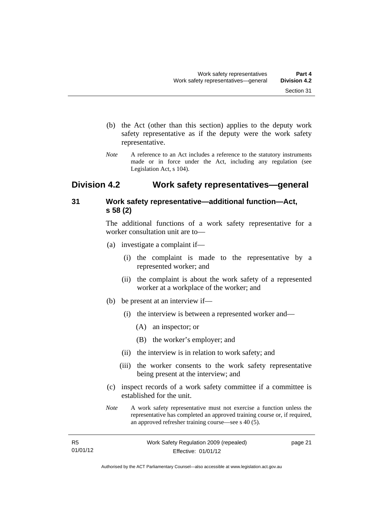- (b) the Act (other than this section) applies to the deputy work safety representative as if the deputy were the work safety representative.
- *Note* A reference to an Act includes a reference to the statutory instruments made or in force under the Act, including any regulation (see Legislation Act, s 104).

## <span id="page-34-0"></span>**Division 4.2 Work safety representatives—general**

### <span id="page-34-1"></span>**31 Work safety representative—additional function—Act, s 58 (2)**

The additional functions of a work safety representative for a worker consultation unit are to—

- (a) investigate a complaint if—
	- (i) the complaint is made to the representative by a represented worker; and
	- (ii) the complaint is about the work safety of a represented worker at a workplace of the worker; and
- (b) be present at an interview if—
	- (i) the interview is between a represented worker and—
		- (A) an inspector; or
		- (B) the worker's employer; and
	- (ii) the interview is in relation to work safety; and
	- (iii) the worker consents to the work safety representative being present at the interview; and
- (c) inspect records of a work safety committee if a committee is established for the unit.
- *Note* A work safety representative must not exercise a function unless the representative has completed an approved training course or, if required, an approved refresher training course—see s 40 (5).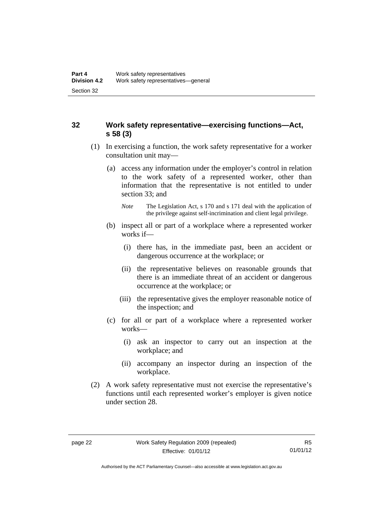### <span id="page-35-0"></span>**32 Work safety representative—exercising functions—Act, s 58 (3)**

- (1) In exercising a function, the work safety representative for a worker consultation unit may—
	- (a) access any information under the employer's control in relation to the work safety of a represented worker, other than information that the representative is not entitled to under section 33; and
		- *Note* The Legislation Act, s 170 and s 171 deal with the application of the privilege against self-incrimination and client legal privilege.
	- (b) inspect all or part of a workplace where a represented worker works if—
		- (i) there has, in the immediate past, been an accident or dangerous occurrence at the workplace; or
		- (ii) the representative believes on reasonable grounds that there is an immediate threat of an accident or dangerous occurrence at the workplace; or
		- (iii) the representative gives the employer reasonable notice of the inspection; and
	- (c) for all or part of a workplace where a represented worker works—
		- (i) ask an inspector to carry out an inspection at the workplace; and
		- (ii) accompany an inspector during an inspection of the workplace.
- (2) A work safety representative must not exercise the representative's functions until each represented worker's employer is given notice under section 28.

Authorised by the ACT Parliamentary Counsel—also accessible at www.legislation.act.gov.au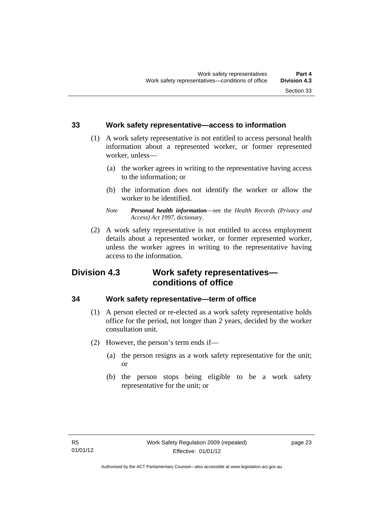#### **33 Work safety representative—access to information**

- (1) A work safety representative is not entitled to access personal health information about a represented worker, or former represented worker, unless—
	- (a) the worker agrees in writing to the representative having access to the information; or
	- (b) the information does not identify the worker or allow the worker to be identified.
	- *Note Personal health information*—see the *Health Records (Privacy and Access) Act 1997*, dictionary.
- (2) A work safety representative is not entitled to access employment details about a represented worker, or former represented worker, unless the worker agrees in writing to the representative having access to the information.

# **Division 4.3 Work safety representatives conditions of office**

#### **34 Work safety representative—term of office**

- (1) A person elected or re-elected as a work safety representative holds office for the period, not longer than 2 years, decided by the worker consultation unit.
- (2) However, the person's term ends if—
	- (a) the person resigns as a work safety representative for the unit; or
	- (b) the person stops being eligible to be a work safety representative for the unit; or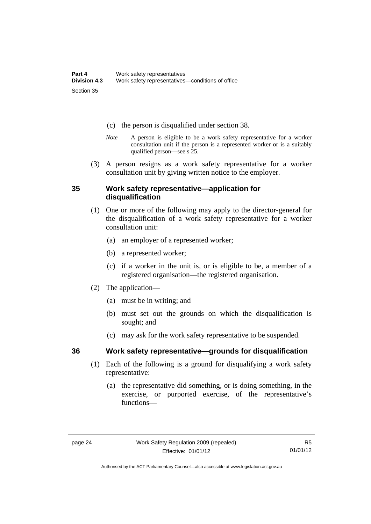- (c) the person is disqualified under section 38.
- *Note* A person is eligible to be a work safety representative for a worker consultation unit if the person is a represented worker or is a suitably qualified person—see s 25.
- (3) A person resigns as a work safety representative for a worker consultation unit by giving written notice to the employer.

#### **35 Work safety representative—application for disqualification**

- (1) One or more of the following may apply to the director-general for the disqualification of a work safety representative for a worker consultation unit:
	- (a) an employer of a represented worker;
	- (b) a represented worker;
	- (c) if a worker in the unit is, or is eligible to be, a member of a registered organisation—the registered organisation.
- (2) The application—
	- (a) must be in writing; and
	- (b) must set out the grounds on which the disqualification is sought; and
	- (c) may ask for the work safety representative to be suspended.

- **36 Work safety representative—grounds for disqualification** 
	- (1) Each of the following is a ground for disqualifying a work safety representative:
		- (a) the representative did something, or is doing something, in the exercise, or purported exercise, of the representative's functions—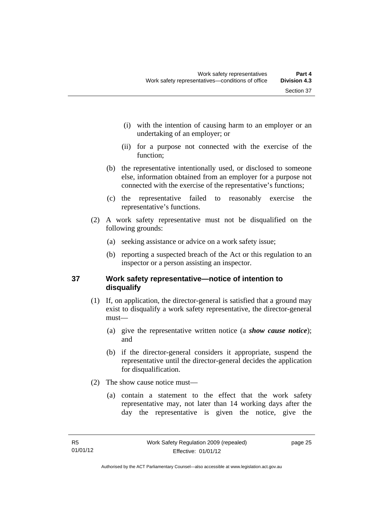- (i) with the intention of causing harm to an employer or an undertaking of an employer; or
- (ii) for a purpose not connected with the exercise of the function;
- (b) the representative intentionally used, or disclosed to someone else, information obtained from an employer for a purpose not connected with the exercise of the representative's functions;
- (c) the representative failed to reasonably exercise the representative's functions.
- (2) A work safety representative must not be disqualified on the following grounds:
	- (a) seeking assistance or advice on a work safety issue;
	- (b) reporting a suspected breach of the Act or this regulation to an inspector or a person assisting an inspector.

### **37 Work safety representative—notice of intention to disqualify**

- (1) If, on application, the director-general is satisfied that a ground may exist to disqualify a work safety representative, the director-general must—
	- (a) give the representative written notice (a *show cause notice*); and
	- (b) if the director-general considers it appropriate, suspend the representative until the director-general decides the application for disqualification.
- (2) The show cause notice must—
	- (a) contain a statement to the effect that the work safety representative may, not later than 14 working days after the day the representative is given the notice, give the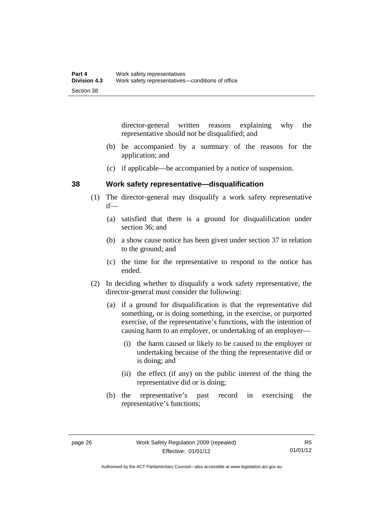director-general written reasons explaining why the representative should not be disqualified; and

- (b) be accompanied by a summary of the reasons for the application; and
- (c) if applicable—be accompanied by a notice of suspension.

#### **38 Work safety representative—disqualification**

- (1) The director-general may disqualify a work safety representative if—
	- (a) satisfied that there is a ground for disqualification under section 36; and
	- (b) a show cause notice has been given under section 37 in relation to the ground; and
	- (c) the time for the representative to respond to the notice has ended.
- (2) In deciding whether to disqualify a work safety representative, the director-general must consider the following:
	- (a) if a ground for disqualification is that the representative did something, or is doing something, in the exercise, or purported exercise, of the representative's functions, with the intention of causing harm to an employer, or undertaking of an employer—
		- (i) the harm caused or likely to be caused to the employer or undertaking because of the thing the representative did or is doing; and
		- (ii) the effect (if any) on the public interest of the thing the representative did or is doing;
	- (b) the representative's past record in exercising the representative's functions;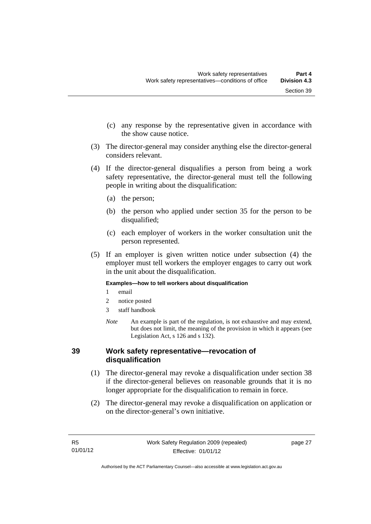- (c) any response by the representative given in accordance with the show cause notice.
- (3) The director-general may consider anything else the director-general considers relevant.
- (4) If the director-general disqualifies a person from being a work safety representative, the director-general must tell the following people in writing about the disqualification:
	- (a) the person;
	- (b) the person who applied under section 35 for the person to be disqualified;
	- (c) each employer of workers in the worker consultation unit the person represented.
- (5) If an employer is given written notice under subsection (4) the employer must tell workers the employer engages to carry out work in the unit about the disqualification.

#### **Examples—how to tell workers about disqualification**

- 1 email
- 2 notice posted
- 3 staff handbook
- *Note* An example is part of the regulation, is not exhaustive and may extend, but does not limit, the meaning of the provision in which it appears (see Legislation Act, s 126 and s 132).

#### **39 Work safety representative—revocation of disqualification**

- (1) The director-general may revoke a disqualification under section 38 if the director-general believes on reasonable grounds that it is no longer appropriate for the disqualification to remain in force.
- (2) The director-general may revoke a disqualification on application or on the director-general's own initiative.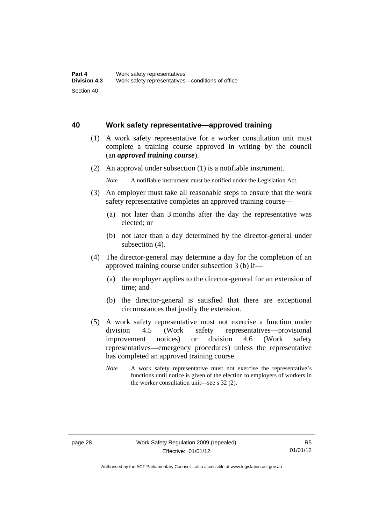#### **40 Work safety representative—approved training**

- (1) A work safety representative for a worker consultation unit must complete a training course approved in writing by the council (an *approved training course*).
- (2) An approval under subsection (1) is a notifiable instrument.
	- *Note* A notifiable instrument must be notified under the Legislation Act.
- (3) An employer must take all reasonable steps to ensure that the work safety representative completes an approved training course—
	- (a) not later than 3 months after the day the representative was elected; or
	- (b) not later than a day determined by the director-general under subsection (4).
- (4) The director-general may determine a day for the completion of an approved training course under subsection 3 (b) if—
	- (a) the employer applies to the director-general for an extension of time; and
	- (b) the director-general is satisfied that there are exceptional circumstances that justify the extension.
- (5) A work safety representative must not exercise a function under division 4.5 (Work safety representatives—provisional improvement notices) or division 4.6 (Work safety representatives—emergency procedures) unless the representative has completed an approved training course.
	- *Note* A work safety representative must not exercise the representative's functions until notice is given of the election to employers of workers in the worker consultation unit—see s 32 (2).

Authorised by the ACT Parliamentary Counsel—also accessible at www.legislation.act.gov.au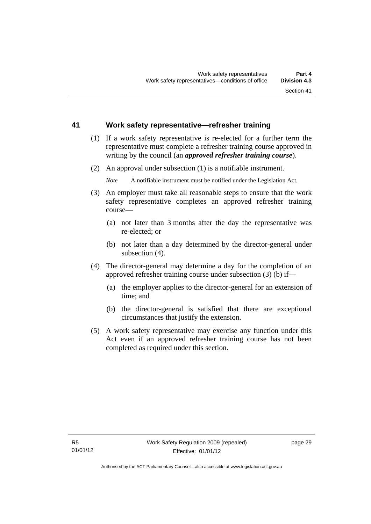#### **41 Work safety representative—refresher training**

- (1) If a work safety representative is re-elected for a further term the representative must complete a refresher training course approved in writing by the council (an *approved refresher training course*).
- (2) An approval under subsection (1) is a notifiable instrument.

*Note* A notifiable instrument must be notified under the Legislation Act.

- (3) An employer must take all reasonable steps to ensure that the work safety representative completes an approved refresher training course—
	- (a) not later than 3 months after the day the representative was re-elected; or
	- (b) not later than a day determined by the director-general under subsection (4).
- (4) The director-general may determine a day for the completion of an approved refresher training course under subsection (3) (b) if—
	- (a) the employer applies to the director-general for an extension of time; and
	- (b) the director-general is satisfied that there are exceptional circumstances that justify the extension.
- (5) A work safety representative may exercise any function under this Act even if an approved refresher training course has not been completed as required under this section.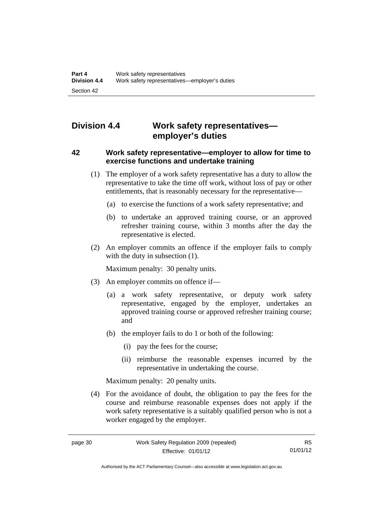# **Division 4.4 Work safety representatives employer's duties**

#### **42 Work safety representative—employer to allow for time to exercise functions and undertake training**

- (1) The employer of a work safety representative has a duty to allow the representative to take the time off work, without loss of pay or other entitlements, that is reasonably necessary for the representative—
	- (a) to exercise the functions of a work safety representative; and
	- (b) to undertake an approved training course, or an approved refresher training course, within 3 months after the day the representative is elected.
- (2) An employer commits an offence if the employer fails to comply with the duty in subsection  $(1)$ .

Maximum penalty: 30 penalty units.

- (3) An employer commits on offence if—
	- (a) a work safety representative, or deputy work safety representative, engaged by the employer, undertakes an approved training course or approved refresher training course; and
	- (b) the employer fails to do 1 or both of the following:
		- (i) pay the fees for the course;
		- (ii) reimburse the reasonable expenses incurred by the representative in undertaking the course.

Maximum penalty: 20 penalty units.

 (4) For the avoidance of doubt, the obligation to pay the fees for the course and reimburse reasonable expenses does not apply if the work safety representative is a suitably qualified person who is not a worker engaged by the employer.

Authorised by the ACT Parliamentary Counsel—also accessible at www.legislation.act.gov.au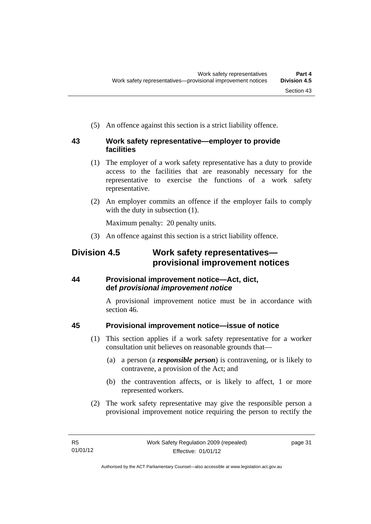(5) An offence against this section is a strict liability offence.

#### **43 Work safety representative—employer to provide facilities**

- (1) The employer of a work safety representative has a duty to provide access to the facilities that are reasonably necessary for the representative to exercise the functions of a work safety representative.
- (2) An employer commits an offence if the employer fails to comply with the duty in subsection  $(1)$ .

Maximum penalty: 20 penalty units.

(3) An offence against this section is a strict liability offence.

# **Division 4.5 Work safety representatives provisional improvement notices**

### **44 Provisional improvement notice—Act, dict, def** *provisional improvement notice*

A provisional improvement notice must be in accordance with section 46.

### **45 Provisional improvement notice—issue of notice**

- (1) This section applies if a work safety representative for a worker consultation unit believes on reasonable grounds that—
	- (a) a person (a *responsible person*) is contravening, or is likely to contravene, a provision of the Act; and
	- (b) the contravention affects, or is likely to affect, 1 or more represented workers.
- (2) The work safety representative may give the responsible person a provisional improvement notice requiring the person to rectify the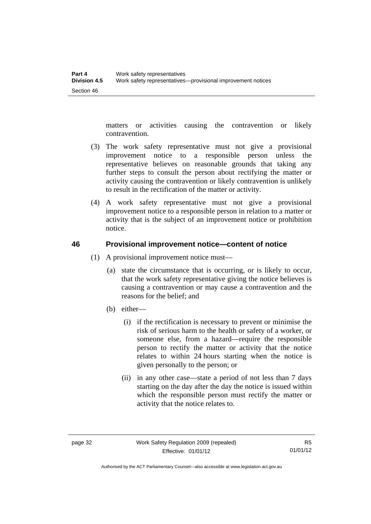matters or activities causing the contravention or likely contravention.

- (3) The work safety representative must not give a provisional improvement notice to a responsible person unless the representative believes on reasonable grounds that taking any further steps to consult the person about rectifying the matter or activity causing the contravention or likely contravention is unlikely to result in the rectification of the matter or activity.
- (4) A work safety representative must not give a provisional improvement notice to a responsible person in relation to a matter or activity that is the subject of an improvement notice or prohibition notice.

#### **46 Provisional improvement notice—content of notice**

- (1) A provisional improvement notice must—
	- (a) state the circumstance that is occurring, or is likely to occur, that the work safety representative giving the notice believes is causing a contravention or may cause a contravention and the reasons for the belief; and
	- (b) either—
		- (i) if the rectification is necessary to prevent or minimise the risk of serious harm to the health or safety of a worker, or someone else, from a hazard—require the responsible person to rectify the matter or activity that the notice relates to within 24 hours starting when the notice is given personally to the person; or
		- (ii) in any other case—state a period of not less than 7 days starting on the day after the day the notice is issued within which the responsible person must rectify the matter or activity that the notice relates to.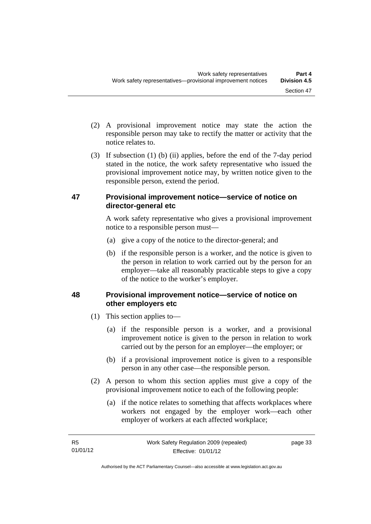- (2) A provisional improvement notice may state the action the responsible person may take to rectify the matter or activity that the notice relates to.
- (3) If subsection (1) (b) (ii) applies, before the end of the 7-day period stated in the notice, the work safety representative who issued the provisional improvement notice may, by written notice given to the responsible person, extend the period.

#### **47 Provisional improvement notice—service of notice on director-general etc**

A work safety representative who gives a provisional improvement notice to a responsible person must—

- (a) give a copy of the notice to the director-general; and
- (b) if the responsible person is a worker, and the notice is given to the person in relation to work carried out by the person for an employer—take all reasonably practicable steps to give a copy of the notice to the worker's employer.

### **48 Provisional improvement notice—service of notice on other employers etc**

- (1) This section applies to—
	- (a) if the responsible person is a worker, and a provisional improvement notice is given to the person in relation to work carried out by the person for an employer—the employer; or
	- (b) if a provisional improvement notice is given to a responsible person in any other case—the responsible person.
- (2) A person to whom this section applies must give a copy of the provisional improvement notice to each of the following people:
	- (a) if the notice relates to something that affects workplaces where workers not engaged by the employer work—each other employer of workers at each affected workplace;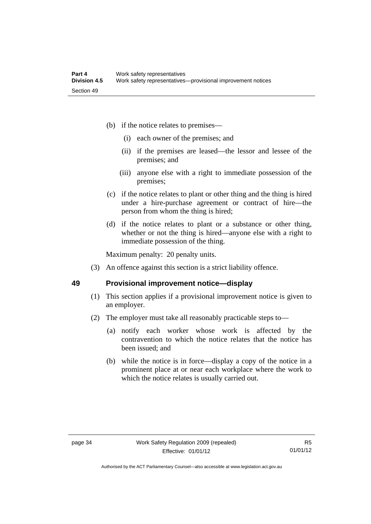- (b) if the notice relates to premises—
	- (i) each owner of the premises; and
	- (ii) if the premises are leased—the lessor and lessee of the premises; and
	- (iii) anyone else with a right to immediate possession of the premises;
- (c) if the notice relates to plant or other thing and the thing is hired under a hire-purchase agreement or contract of hire—the person from whom the thing is hired;
- (d) if the notice relates to plant or a substance or other thing, whether or not the thing is hired—anyone else with a right to immediate possession of the thing.

Maximum penalty: 20 penalty units.

(3) An offence against this section is a strict liability offence.

#### **49 Provisional improvement notice—display**

- (1) This section applies if a provisional improvement notice is given to an employer.
- (2) The employer must take all reasonably practicable steps to—
	- (a) notify each worker whose work is affected by the contravention to which the notice relates that the notice has been issued; and
	- (b) while the notice is in force—display a copy of the notice in a prominent place at or near each workplace where the work to which the notice relates is usually carried out.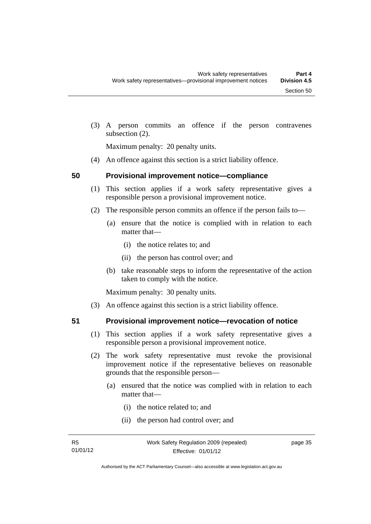(3) A person commits an offence if the person contravenes subsection (2).

Maximum penalty: 20 penalty units.

(4) An offence against this section is a strict liability offence.

#### **50 Provisional improvement notice—compliance**

- (1) This section applies if a work safety representative gives a responsible person a provisional improvement notice.
- (2) The responsible person commits an offence if the person fails to—
	- (a) ensure that the notice is complied with in relation to each matter that—
		- (i) the notice relates to; and
		- (ii) the person has control over; and
	- (b) take reasonable steps to inform the representative of the action taken to comply with the notice.

Maximum penalty: 30 penalty units.

(3) An offence against this section is a strict liability offence.

- **51 Provisional improvement notice—revocation of notice** 
	- (1) This section applies if a work safety representative gives a responsible person a provisional improvement notice.
	- (2) The work safety representative must revoke the provisional improvement notice if the representative believes on reasonable grounds that the responsible person—
		- (a) ensured that the notice was complied with in relation to each matter that—
			- (i) the notice related to; and
			- (ii) the person had control over; and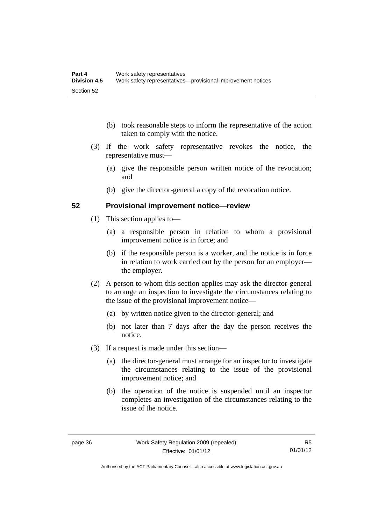- (b) took reasonable steps to inform the representative of the action taken to comply with the notice.
- (3) If the work safety representative revokes the notice, the representative must—
	- (a) give the responsible person written notice of the revocation; and
	- (b) give the director-general a copy of the revocation notice.

#### **52 Provisional improvement notice—review**

- (1) This section applies to—
	- (a) a responsible person in relation to whom a provisional improvement notice is in force; and
	- (b) if the responsible person is a worker, and the notice is in force in relation to work carried out by the person for an employer the employer.
- (2) A person to whom this section applies may ask the director-general to arrange an inspection to investigate the circumstances relating to the issue of the provisional improvement notice—
	- (a) by written notice given to the director-general; and
	- (b) not later than 7 days after the day the person receives the notice.
- (3) If a request is made under this section—
	- (a) the director-general must arrange for an inspector to investigate the circumstances relating to the issue of the provisional improvement notice; and
	- (b) the operation of the notice is suspended until an inspector completes an investigation of the circumstances relating to the issue of the notice.

Authorised by the ACT Parliamentary Counsel—also accessible at www.legislation.act.gov.au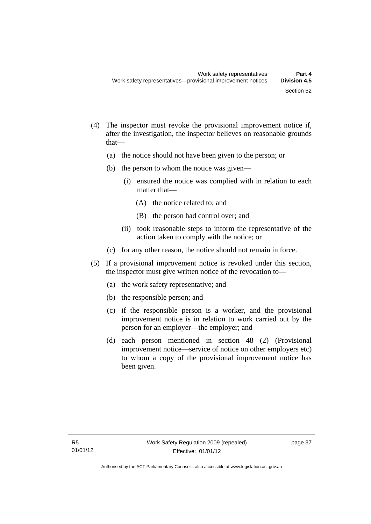- (4) The inspector must revoke the provisional improvement notice if, after the investigation, the inspector believes on reasonable grounds that—
	- (a) the notice should not have been given to the person; or
	- (b) the person to whom the notice was given—
		- (i) ensured the notice was complied with in relation to each matter that—
			- (A) the notice related to; and
			- (B) the person had control over; and
		- (ii) took reasonable steps to inform the representative of the action taken to comply with the notice; or
	- (c) for any other reason, the notice should not remain in force.
- (5) If a provisional improvement notice is revoked under this section, the inspector must give written notice of the revocation to—
	- (a) the work safety representative; and
	- (b) the responsible person; and
	- (c) if the responsible person is a worker, and the provisional improvement notice is in relation to work carried out by the person for an employer—the employer; and
	- (d) each person mentioned in section 48 (2) (Provisional improvement notice—service of notice on other employers etc) to whom a copy of the provisional improvement notice has been given.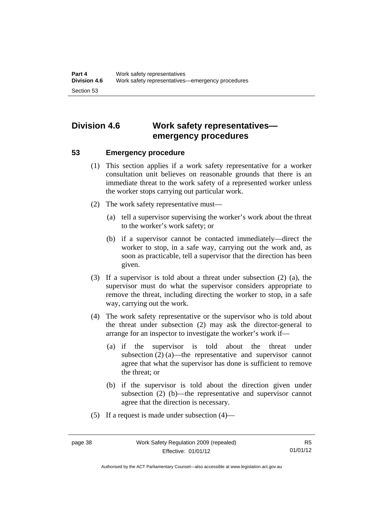# **Division 4.6 Work safety representatives emergency procedures**

#### **53 Emergency procedure**

- (1) This section applies if a work safety representative for a worker consultation unit believes on reasonable grounds that there is an immediate threat to the work safety of a represented worker unless the worker stops carrying out particular work.
- (2) The work safety representative must—
	- (a) tell a supervisor supervising the worker's work about the threat to the worker's work safety; or
	- (b) if a supervisor cannot be contacted immediately—direct the worker to stop, in a safe way, carrying out the work and, as soon as practicable, tell a supervisor that the direction has been given.
- (3) If a supervisor is told about a threat under subsection (2) (a), the supervisor must do what the supervisor considers appropriate to remove the threat, including directing the worker to stop, in a safe way, carrying out the work.
- (4) The work safety representative or the supervisor who is told about the threat under subsection (2) may ask the director-general to arrange for an inspector to investigate the worker's work if—
	- (a) if the supervisor is told about the threat under subsection (2) (a)—the representative and supervisor cannot agree that what the supervisor has done is sufficient to remove the threat; or
	- (b) if the supervisor is told about the direction given under subsection (2) (b)—the representative and supervisor cannot agree that the direction is necessary.
- (5) If a request is made under subsection (4)—

Authorised by the ACT Parliamentary Counsel—also accessible at www.legislation.act.gov.au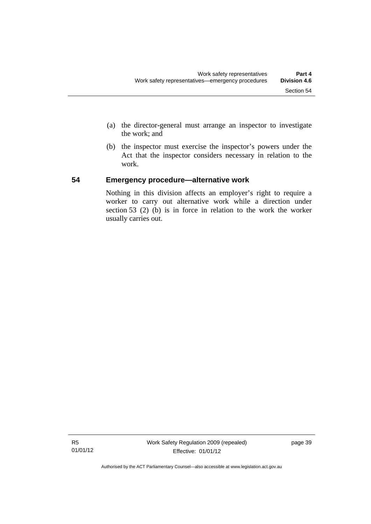- (a) the director-general must arrange an inspector to investigate the work; and
- (b) the inspector must exercise the inspector's powers under the Act that the inspector considers necessary in relation to the work.

#### **54 Emergency procedure—alternative work**

Nothing in this division affects an employer's right to require a worker to carry out alternative work while a direction under section 53 (2) (b) is in force in relation to the work the worker usually carries out.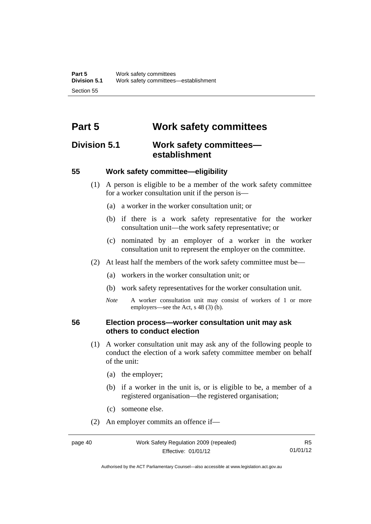# **Part 5 Work safety committees**

## **Division 5.1 Work safety committees establishment**

#### **55 Work safety committee—eligibility**

- (1) A person is eligible to be a member of the work safety committee for a worker consultation unit if the person is—
	- (a) a worker in the worker consultation unit; or
	- (b) if there is a work safety representative for the worker consultation unit—the work safety representative; or
	- (c) nominated by an employer of a worker in the worker consultation unit to represent the employer on the committee.
- (2) At least half the members of the work safety committee must be—
	- (a) workers in the worker consultation unit; or
	- (b) work safety representatives for the worker consultation unit.
	- *Note* A worker consultation unit may consist of workers of 1 or more employers—see the Act, s 48 (3) (b).

#### **56 Election process—worker consultation unit may ask others to conduct election**

- (1) A worker consultation unit may ask any of the following people to conduct the election of a work safety committee member on behalf of the unit:
	- (a) the employer;
	- (b) if a worker in the unit is, or is eligible to be, a member of a registered organisation—the registered organisation;
	- (c) someone else.
- (2) An employer commits an offence if—

Authorised by the ACT Parliamentary Counsel—also accessible at www.legislation.act.gov.au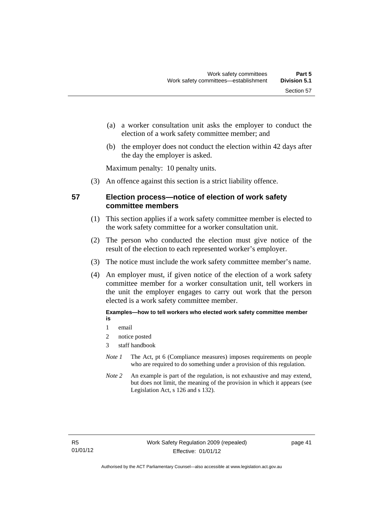- (a) a worker consultation unit asks the employer to conduct the election of a work safety committee member; and
- (b) the employer does not conduct the election within 42 days after the day the employer is asked.

Maximum penalty: 10 penalty units.

(3) An offence against this section is a strict liability offence.

#### **57 Election process—notice of election of work safety committee members**

- (1) This section applies if a work safety committee member is elected to the work safety committee for a worker consultation unit.
- (2) The person who conducted the election must give notice of the result of the election to each represented worker's employer.
- (3) The notice must include the work safety committee member's name.
- (4) An employer must, if given notice of the election of a work safety committee member for a worker consultation unit, tell workers in the unit the employer engages to carry out work that the person elected is a work safety committee member.

**Examples—how to tell workers who elected work safety committee member is** 

- 1 email
- 2 notice posted
- 3 staff handbook
- *Note 1* The Act, pt 6 (Compliance measures) imposes requirements on people who are required to do something under a provision of this regulation.
- *Note 2* An example is part of the regulation, is not exhaustive and may extend, but does not limit, the meaning of the provision in which it appears (see Legislation Act, s 126 and s 132).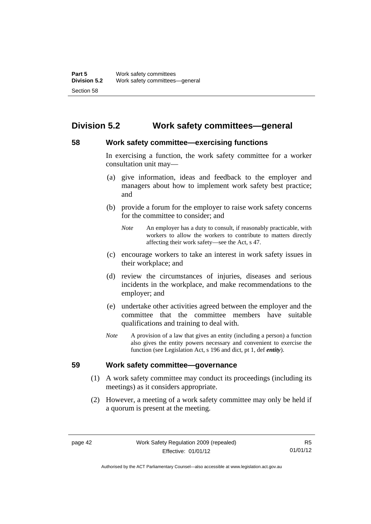# **Division 5.2 Work safety committees—general**

### **58 Work safety committee—exercising functions**

In exercising a function, the work safety committee for a worker consultation unit may—

- (a) give information, ideas and feedback to the employer and managers about how to implement work safety best practice; and
- (b) provide a forum for the employer to raise work safety concerns for the committee to consider; and
	- *Note* An employer has a duty to consult, if reasonably practicable, with workers to allow the workers to contribute to matters directly affecting their work safety—see the Act, s 47.
- (c) encourage workers to take an interest in work safety issues in their workplace; and
- (d) review the circumstances of injuries, diseases and serious incidents in the workplace, and make recommendations to the employer; and
- (e) undertake other activities agreed between the employer and the committee that the committee members have suitable qualifications and training to deal with.
- *Note* A provision of a law that gives an entity (including a person) a function also gives the entity powers necessary and convenient to exercise the function (see Legislation Act, s 196 and dict, pt 1, def *entity*).

#### **59 Work safety committee—governance**

- (1) A work safety committee may conduct its proceedings (including its meetings) as it considers appropriate.
- (2) However, a meeting of a work safety committee may only be held if a quorum is present at the meeting.

R5 01/01/12

Authorised by the ACT Parliamentary Counsel—also accessible at www.legislation.act.gov.au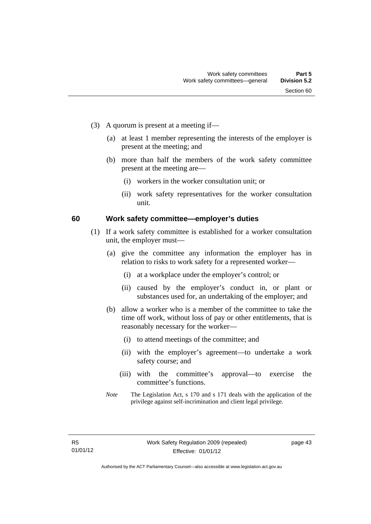- (3) A quorum is present at a meeting if—
	- (a) at least 1 member representing the interests of the employer is present at the meeting; and
	- (b) more than half the members of the work safety committee present at the meeting are—
		- (i) workers in the worker consultation unit; or
		- (ii) work safety representatives for the worker consultation unit.

#### **60 Work safety committee—employer's duties**

- (1) If a work safety committee is established for a worker consultation unit, the employer must—
	- (a) give the committee any information the employer has in relation to risks to work safety for a represented worker—
		- (i) at a workplace under the employer's control; or
		- (ii) caused by the employer's conduct in, or plant or substances used for, an undertaking of the employer; and
	- (b) allow a worker who is a member of the committee to take the time off work, without loss of pay or other entitlements, that is reasonably necessary for the worker—
		- (i) to attend meetings of the committee; and
		- (ii) with the employer's agreement—to undertake a work safety course; and
		- (iii) with the committee's approval—to exercise the committee's functions.
	- *Note* The Legislation Act, s 170 and s 171 deals with the application of the privilege against self-incrimination and client legal privilege.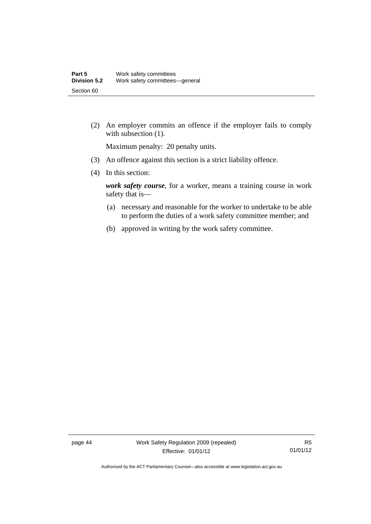(2) An employer commits an offence if the employer fails to comply with subsection  $(1)$ .

Maximum penalty: 20 penalty units.

- (3) An offence against this section is a strict liability offence.
- (4) In this section:

*work safety course*, for a worker, means a training course in work safety that is—

- (a) necessary and reasonable for the worker to undertake to be able to perform the duties of a work safety committee member; and
- (b) approved in writing by the work safety committee.

page 44 Work Safety Regulation 2009 (repealed) Effective: 01/01/12

R5 01/01/12

Authorised by the ACT Parliamentary Counsel—also accessible at www.legislation.act.gov.au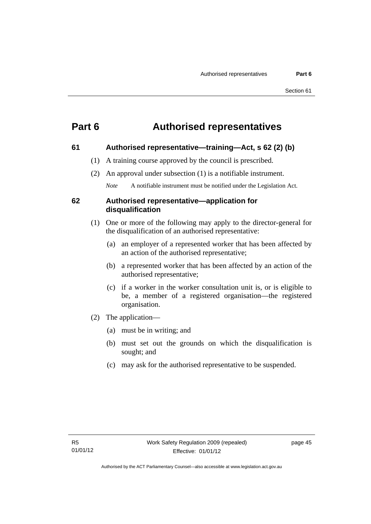# **Part 6 Authorised representatives**

#### **61 Authorised representative—training—Act, s 62 (2) (b)**

- (1) A training course approved by the council is prescribed.
- (2) An approval under subsection (1) is a notifiable instrument.

*Note* A notifiable instrument must be notified under the Legislation Act.

#### **62 Authorised representative—application for disqualification**

- (1) One or more of the following may apply to the director-general for the disqualification of an authorised representative:
	- (a) an employer of a represented worker that has been affected by an action of the authorised representative;
	- (b) a represented worker that has been affected by an action of the authorised representative;
	- (c) if a worker in the worker consultation unit is, or is eligible to be, a member of a registered organisation—the registered organisation.
- (2) The application—
	- (a) must be in writing; and
	- (b) must set out the grounds on which the disqualification is sought; and
	- (c) may ask for the authorised representative to be suspended.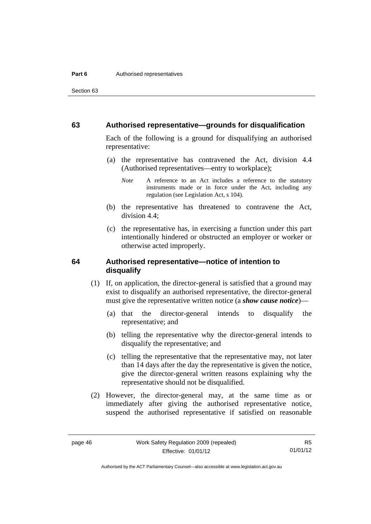Section 63

#### **63 Authorised representative—grounds for disqualification**

Each of the following is a ground for disqualifying an authorised representative:

 (a) the representative has contravened the Act, division 4.4 (Authorised representatives—entry to workplace);

- (b) the representative has threatened to contravene the Act, division 4.4;
- (c) the representative has, in exercising a function under this part intentionally hindered or obstructed an employer or worker or otherwise acted improperly.

#### **64 Authorised representative—notice of intention to disqualify**

- (1) If, on application, the director-general is satisfied that a ground may exist to disqualify an authorised representative, the director-general must give the representative written notice (a *show cause notice*)—
	- (a) that the director-general intends to disqualify the representative; and
	- (b) telling the representative why the director-general intends to disqualify the representative; and
	- (c) telling the representative that the representative may, not later than 14 days after the day the representative is given the notice, give the director-general written reasons explaining why the representative should not be disqualified.
- (2) However, the director-general may, at the same time as or immediately after giving the authorised representative notice, suspend the authorised representative if satisfied on reasonable

R5 01/01/12

*Note* A reference to an Act includes a reference to the statutory instruments made or in force under the Act, including any regulation (see Legislation Act, s 104).

Authorised by the ACT Parliamentary Counsel—also accessible at www.legislation.act.gov.au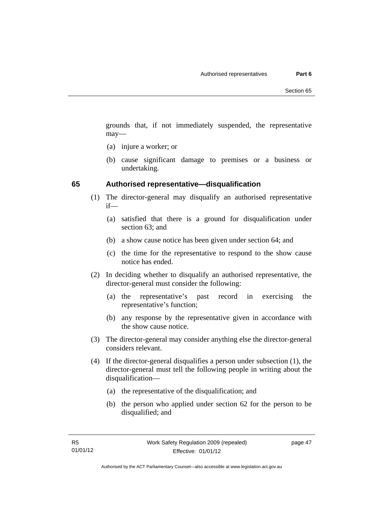grounds that, if not immediately suspended, the representative may—

- (a) injure a worker; or
- (b) cause significant damage to premises or a business or undertaking.

#### **65 Authorised representative—disqualification**

- (1) The director-general may disqualify an authorised representative if—
	- (a) satisfied that there is a ground for disqualification under section 63; and
	- (b) a show cause notice has been given under section 64; and
	- (c) the time for the representative to respond to the show cause notice has ended.
- (2) In deciding whether to disqualify an authorised representative, the director-general must consider the following:
	- (a) the representative's past record in exercising the representative's function;
	- (b) any response by the representative given in accordance with the show cause notice.
- (3) The director-general may consider anything else the director-general considers relevant.
- (4) If the director-general disqualifies a person under subsection (1), the director-general must tell the following people in writing about the disqualification—
	- (a) the representative of the disqualification; and
	- (b) the person who applied under section 62 for the person to be disqualified; and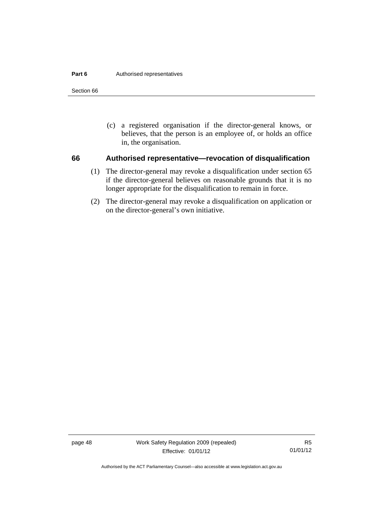#### **Part 6 Authorised representatives**

Section 66

 (c) a registered organisation if the director-general knows, or believes, that the person is an employee of, or holds an office in, the organisation.

#### **66 Authorised representative—revocation of disqualification**

- (1) The director-general may revoke a disqualification under section 65 if the director-general believes on reasonable grounds that it is no longer appropriate for the disqualification to remain in force.
- (2) The director-general may revoke a disqualification on application or on the director-general's own initiative.

page 48 Work Safety Regulation 2009 (repealed) Effective: 01/01/12

R5 01/01/12

Authorised by the ACT Parliamentary Counsel—also accessible at www.legislation.act.gov.au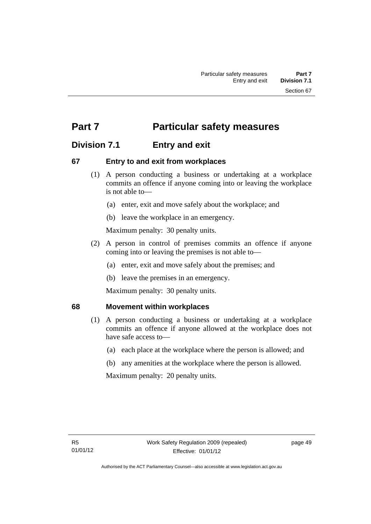# **Part 7** Particular safety measures

# **Division 7.1 Entry and exit**

### **67 Entry to and exit from workplaces**

- (1) A person conducting a business or undertaking at a workplace commits an offence if anyone coming into or leaving the workplace is not able to—
	- (a) enter, exit and move safely about the workplace; and
	- (b) leave the workplace in an emergency.

Maximum penalty: 30 penalty units.

- (2) A person in control of premises commits an offence if anyone coming into or leaving the premises is not able to—
	- (a) enter, exit and move safely about the premises; and
	- (b) leave the premises in an emergency.

Maximum penalty: 30 penalty units.

#### **68 Movement within workplaces**

- (1) A person conducting a business or undertaking at a workplace commits an offence if anyone allowed at the workplace does not have safe access to—
	- (a) each place at the workplace where the person is allowed; and
	- (b) any amenities at the workplace where the person is allowed.

Maximum penalty: 20 penalty units.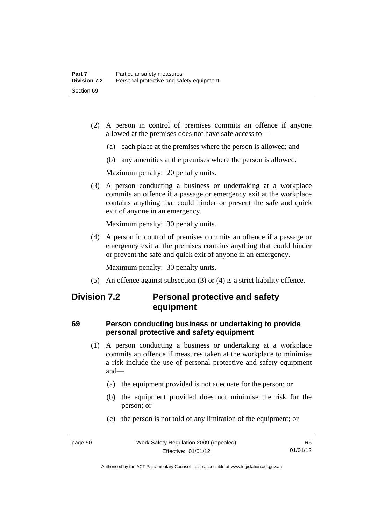- (2) A person in control of premises commits an offence if anyone allowed at the premises does not have safe access to—
	- (a) each place at the premises where the person is allowed; and
	- (b) any amenities at the premises where the person is allowed.

Maximum penalty: 20 penalty units.

 (3) A person conducting a business or undertaking at a workplace commits an offence if a passage or emergency exit at the workplace contains anything that could hinder or prevent the safe and quick exit of anyone in an emergency.

Maximum penalty: 30 penalty units.

 (4) A person in control of premises commits an offence if a passage or emergency exit at the premises contains anything that could hinder or prevent the safe and quick exit of anyone in an emergency.

Maximum penalty: 30 penalty units.

(5) An offence against subsection (3) or (4) is a strict liability offence.

# **Division 7.2 Personal protective and safety equipment**

### **69 Person conducting business or undertaking to provide personal protective and safety equipment**

- (1) A person conducting a business or undertaking at a workplace commits an offence if measures taken at the workplace to minimise a risk include the use of personal protective and safety equipment and—
	- (a) the equipment provided is not adequate for the person; or
	- (b) the equipment provided does not minimise the risk for the person; or
	- (c) the person is not told of any limitation of the equipment; or

Authorised by the ACT Parliamentary Counsel—also accessible at www.legislation.act.gov.au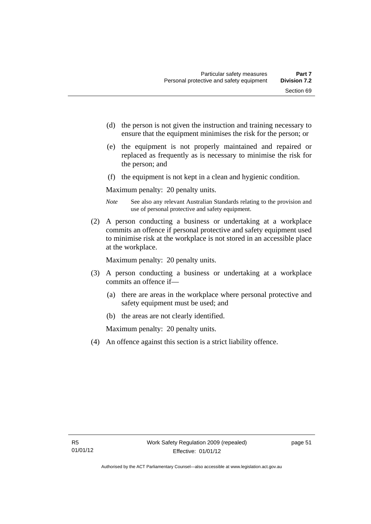- (d) the person is not given the instruction and training necessary to ensure that the equipment minimises the risk for the person; or
- (e) the equipment is not properly maintained and repaired or replaced as frequently as is necessary to minimise the risk for the person; and
- (f) the equipment is not kept in a clean and hygienic condition.

Maximum penalty: 20 penalty units.

- *Note* See also any relevant Australian Standards relating to the provision and use of personal protective and safety equipment.
- (2) A person conducting a business or undertaking at a workplace commits an offence if personal protective and safety equipment used to minimise risk at the workplace is not stored in an accessible place at the workplace.

Maximum penalty: 20 penalty units.

- (3) A person conducting a business or undertaking at a workplace commits an offence if—
	- (a) there are areas in the workplace where personal protective and safety equipment must be used; and
	- (b) the areas are not clearly identified.

Maximum penalty: 20 penalty units.

(4) An offence against this section is a strict liability offence.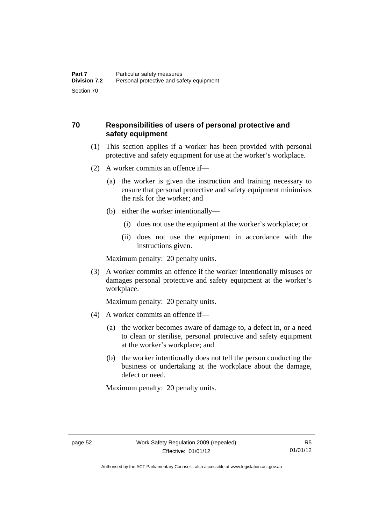### **70 Responsibilities of users of personal protective and safety equipment**

- (1) This section applies if a worker has been provided with personal protective and safety equipment for use at the worker's workplace.
- (2) A worker commits an offence if—
	- (a) the worker is given the instruction and training necessary to ensure that personal protective and safety equipment minimises the risk for the worker; and
	- (b) either the worker intentionally—
		- (i) does not use the equipment at the worker's workplace; or
		- (ii) does not use the equipment in accordance with the instructions given.

Maximum penalty: 20 penalty units.

 (3) A worker commits an offence if the worker intentionally misuses or damages personal protective and safety equipment at the worker's workplace.

Maximum penalty: 20 penalty units.

- (4) A worker commits an offence if—
	- (a) the worker becomes aware of damage to, a defect in, or a need to clean or sterilise, personal protective and safety equipment at the worker's workplace; and
	- (b) the worker intentionally does not tell the person conducting the business or undertaking at the workplace about the damage, defect or need.

Maximum penalty: 20 penalty units.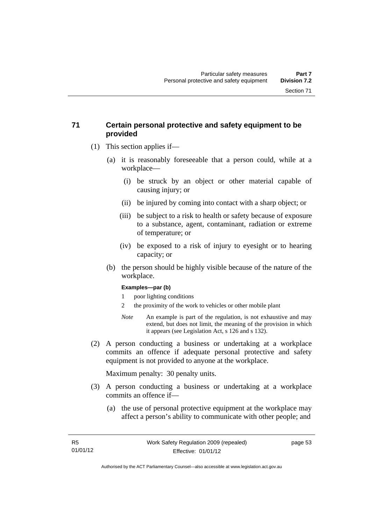### **71 Certain personal protective and safety equipment to be provided**

- (1) This section applies if—
	- (a) it is reasonably foreseeable that a person could, while at a workplace—
		- (i) be struck by an object or other material capable of causing injury; or
		- (ii) be injured by coming into contact with a sharp object; or
		- (iii) be subject to a risk to health or safety because of exposure to a substance, agent, contaminant, radiation or extreme of temperature; or
		- (iv) be exposed to a risk of injury to eyesight or to hearing capacity; or
	- (b) the person should be highly visible because of the nature of the workplace.

#### **Examples—par (b)**

- 1 poor lighting conditions
- 2 the proximity of the work to vehicles or other mobile plant
- *Note* An example is part of the regulation, is not exhaustive and may extend, but does not limit, the meaning of the provision in which it appears (see Legislation Act, s 126 and s 132).
- (2) A person conducting a business or undertaking at a workplace commits an offence if adequate personal protective and safety equipment is not provided to anyone at the workplace.

Maximum penalty: 30 penalty units.

- (3) A person conducting a business or undertaking at a workplace commits an offence if—
	- (a) the use of personal protective equipment at the workplace may affect a person's ability to communicate with other people; and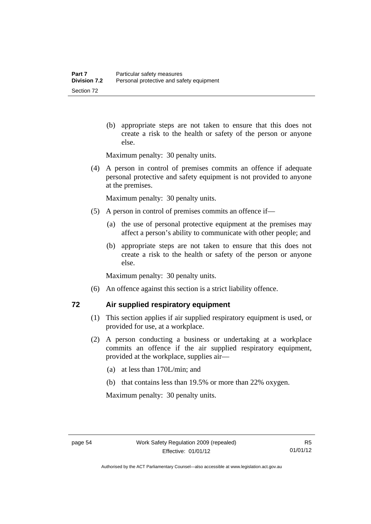(b) appropriate steps are not taken to ensure that this does not create a risk to the health or safety of the person or anyone else.

Maximum penalty: 30 penalty units.

 (4) A person in control of premises commits an offence if adequate personal protective and safety equipment is not provided to anyone at the premises.

Maximum penalty: 30 penalty units.

- (5) A person in control of premises commits an offence if—
	- (a) the use of personal protective equipment at the premises may affect a person's ability to communicate with other people; and
	- (b) appropriate steps are not taken to ensure that this does not create a risk to the health or safety of the person or anyone else.

Maximum penalty: 30 penalty units.

(6) An offence against this section is a strict liability offence.

### **72 Air supplied respiratory equipment**

- (1) This section applies if air supplied respiratory equipment is used, or provided for use, at a workplace.
- (2) A person conducting a business or undertaking at a workplace commits an offence if the air supplied respiratory equipment, provided at the workplace, supplies air—
	- (a) at less than 170L/min; and
	- (b) that contains less than 19.5% or more than 22% oxygen.

Maximum penalty: 30 penalty units.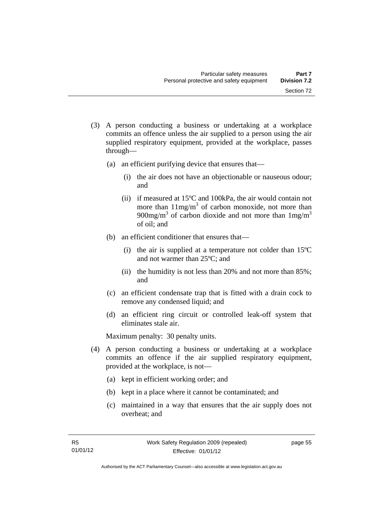- (3) A person conducting a business or undertaking at a workplace commits an offence unless the air supplied to a person using the air supplied respiratory equipment, provided at the workplace, passes through—
	- (a) an efficient purifying device that ensures that—
		- (i) the air does not have an objectionable or nauseous odour; and
		- (ii) if measured at 15ºC and 100kPa, the air would contain not more than  $11mg/m<sup>3</sup>$  of carbon monoxide, not more than 900mg/m<sup>3</sup> of carbon dioxide and not more than  $1 \text{mg/m}^3$ of oil; and
	- (b) an efficient conditioner that ensures that—
		- (i) the air is supplied at a temperature not colder than 15ºC and not warmer than 25ºC; and
		- (ii) the humidity is not less than 20% and not more than 85%; and
	- (c) an efficient condensate trap that is fitted with a drain cock to remove any condensed liquid; and
	- (d) an efficient ring circuit or controlled leak-off system that eliminates stale air.

Maximum penalty: 30 penalty units.

- (4) A person conducting a business or undertaking at a workplace commits an offence if the air supplied respiratory equipment, provided at the workplace, is not—
	- (a) kept in efficient working order; and
	- (b) kept in a place where it cannot be contaminated; and
	- (c) maintained in a way that ensures that the air supply does not overheat; and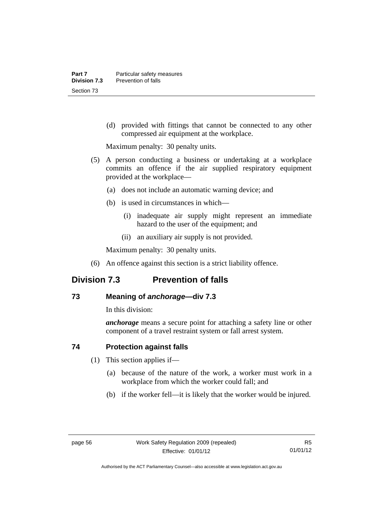(d) provided with fittings that cannot be connected to any other compressed air equipment at the workplace.

Maximum penalty: 30 penalty units.

- (5) A person conducting a business or undertaking at a workplace commits an offence if the air supplied respiratory equipment provided at the workplace—
	- (a) does not include an automatic warning device; and
	- (b) is used in circumstances in which—
		- (i) inadequate air supply might represent an immediate hazard to the user of the equipment; and
		- (ii) an auxiliary air supply is not provided.

Maximum penalty: 30 penalty units.

(6) An offence against this section is a strict liability offence.

# **Division 7.3 Prevention of falls**

### **73 Meaning of** *anchorage—***div 7.3**

In this division:

*anchorage* means a secure point for attaching a safety line or other component of a travel restraint system or fall arrest system.

### **74 Protection against falls**

- (1) This section applies if—
	- (a) because of the nature of the work, a worker must work in a workplace from which the worker could fall; and
	- (b) if the worker fell—it is likely that the worker would be injured.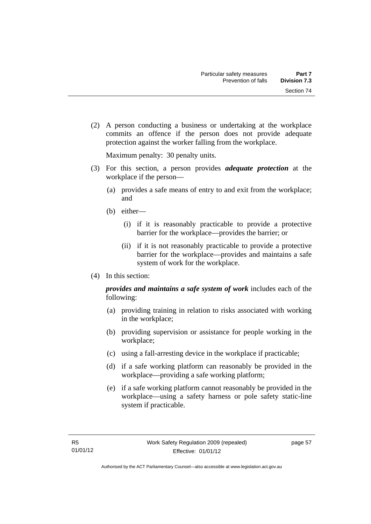Section 74

- 
- (2) A person conducting a business or undertaking at the workplace commits an offence if the person does not provide adequate protection against the worker falling from the workplace.

Maximum penalty: 30 penalty units.

- (3) For this section, a person provides *adequate protection* at the workplace if the person—
	- (a) provides a safe means of entry to and exit from the workplace; and
	- (b) either—
		- (i) if it is reasonably practicable to provide a protective barrier for the workplace—provides the barrier; or
		- (ii) if it is not reasonably practicable to provide a protective barrier for the workplace—provides and maintains a safe system of work for the workplace.
- (4) In this section:

*provides and maintains a safe system of work* includes each of the following:

- (a) providing training in relation to risks associated with working in the workplace;
- (b) providing supervision or assistance for people working in the workplace;
- (c) using a fall-arresting device in the workplace if practicable;
- (d) if a safe working platform can reasonably be provided in the workplace—providing a safe working platform;
- (e) if a safe working platform cannot reasonably be provided in the workplace—using a safety harness or pole safety static-line system if practicable.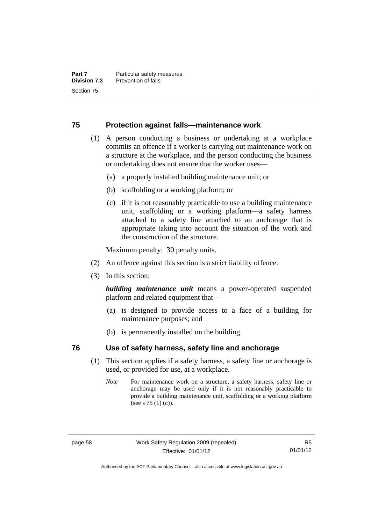#### **75 Protection against falls—maintenance work**

- (1) A person conducting a business or undertaking at a workplace commits an offence if a worker is carrying out maintenance work on a structure at the workplace, and the person conducting the business or undertaking does not ensure that the worker uses—
	- (a) a properly installed building maintenance unit; or
	- (b) scaffolding or a working platform; or
	- (c) if it is not reasonably practicable to use a building maintenance unit, scaffolding or a working platform—a safety harness attached to a safety line attached to an anchorage that is appropriate taking into account the situation of the work and the construction of the structure.

Maximum penalty: 30 penalty units.

- (2) An offence against this section is a strict liability offence.
- (3) In this section:

*building maintenance unit* means a power-operated suspended platform and related equipment that—

- (a) is designed to provide access to a face of a building for maintenance purposes; and
- (b) is permanently installed on the building.

#### **76 Use of safety harness, safety line and anchorage**

- (1) This section applies if a safety harness, a safety line or anchorage is used, or provided for use, at a workplace.
	- *Note* For maintenance work on a structure, a safety harness, safety line or anchorage may be used only if it is not reasonably practicable to provide a building maintenance unit, scaffolding or a working platform (see s 75 (1) (c)).

Authorised by the ACT Parliamentary Counsel—also accessible at www.legislation.act.gov.au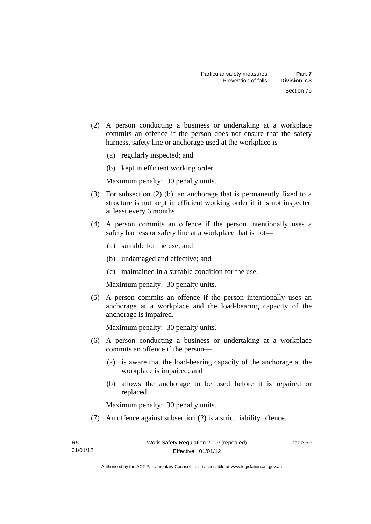- (2) A person conducting a business or undertaking at a workplace commits an offence if the person does not ensure that the safety harness, safety line or anchorage used at the workplace is—
	- (a) regularly inspected; and
	- (b) kept in efficient working order.

- (3) For subsection (2) (b), an anchorage that is permanently fixed to a structure is not kept in efficient working order if it is not inspected at least every 6 months.
- (4) A person commits an offence if the person intentionally uses a safety harness or safety line at a workplace that is not—
	- (a) suitable for the use; and
	- (b) undamaged and effective; and
	- (c) maintained in a suitable condition for the use.

Maximum penalty: 30 penalty units.

 (5) A person commits an offence if the person intentionally uses an anchorage at a workplace and the load-bearing capacity of the anchorage is impaired.

Maximum penalty: 30 penalty units.

- (6) A person conducting a business or undertaking at a workplace commits an offence if the person—
	- (a) is aware that the load-bearing capacity of the anchorage at the workplace is impaired; and
	- (b) allows the anchorage to be used before it is repaired or replaced.

Maximum penalty: 30 penalty units.

(7) An offence against subsection (2) is a strict liability offence.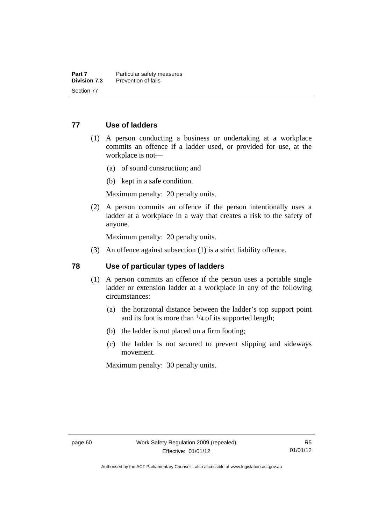#### **77 Use of ladders**

- (1) A person conducting a business or undertaking at a workplace commits an offence if a ladder used, or provided for use, at the workplace is not—
	- (a) of sound construction; and
	- (b) kept in a safe condition.

Maximum penalty: 20 penalty units.

 (2) A person commits an offence if the person intentionally uses a ladder at a workplace in a way that creates a risk to the safety of anyone.

Maximum penalty: 20 penalty units.

(3) An offence against subsection (1) is a strict liability offence.

#### **78 Use of particular types of ladders**

- (1) A person commits an offence if the person uses a portable single ladder or extension ladder at a workplace in any of the following circumstances:
	- (a) the horizontal distance between the ladder's top support point and its foot is more than  $\frac{1}{4}$  of its supported length;
	- (b) the ladder is not placed on a firm footing;
	- (c) the ladder is not secured to prevent slipping and sideways movement.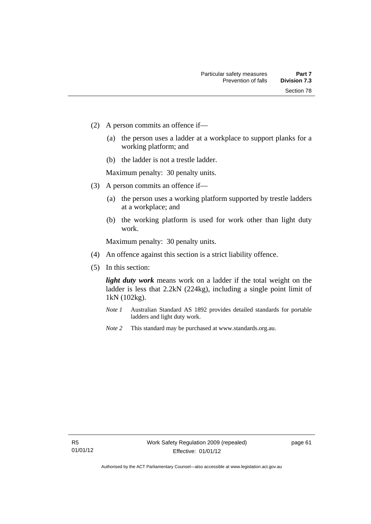- (2) A person commits an offence if—
	- (a) the person uses a ladder at a workplace to support planks for a working platform; and
	- (b) the ladder is not a trestle ladder.

- (3) A person commits an offence if—
	- (a) the person uses a working platform supported by trestle ladders at a workplace; and
	- (b) the working platform is used for work other than light duty work.

Maximum penalty: 30 penalty units.

- (4) An offence against this section is a strict liability offence.
- (5) In this section:

*light duty work* means work on a ladder if the total weight on the ladder is less that 2.2kN (224kg), including a single point limit of 1kN (102kg).

- *Note 1* Australian Standard AS 1892 provides detailed standards for portable ladders and light duty work.
- *Note 2* This standard may be purchased at www.standards.org.au.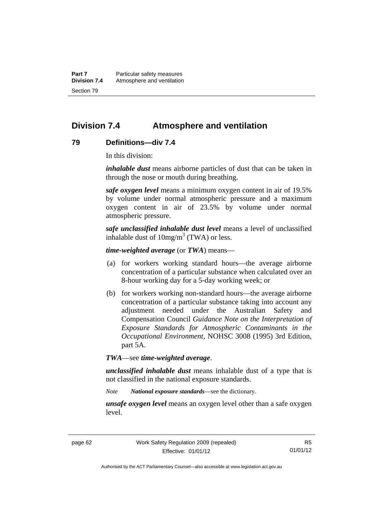**Part 7** Particular safety measures **Division 7.4** Atmosphere and ventilation Section 79

## **Division 7.4 Atmosphere and ventilation**

#### **79 Definitions—div 7.4**

In this division:

*inhalable dust* means airborne particles of dust that can be taken in through the nose or mouth during breathing.

*safe oxygen level* means a minimum oxygen content in air of 19.5% by volume under normal atmospheric pressure and a maximum oxygen content in air of 23.5% by volume under normal atmospheric pressure.

*safe unclassified inhalable dust level* means a level of unclassified inhalable dust of  $10mg/m<sup>3</sup>$  (TWA) or less.

*time-weighted average* (or *TWA*) means—

- (a) for workers working standard hours—the average airborne concentration of a particular substance when calculated over an 8-hour working day for a 5-day working week; or
- (b) for workers working non-standard hours—the average airborne concentration of a particular substance taking into account any adjustment needed under the Australian Safety and Compensation Council *Guidance Note on the Interpretation of Exposure Standards for Atmospheric Contaminants in the Occupational Environment*, NOHSC 3008 (1995) 3rd Edition, part 5A.

*TWA*—see *time-weighted average*.

*unclassified inhalable dust* means inhalable dust of a type that is not classified in the national exposure standards.

*Note National exposure standards*—see the dictionary.

*unsafe oxygen level* means an oxygen level other than a safe oxygen level.

Authorised by the ACT Parliamentary Counsel—also accessible at www.legislation.act.gov.au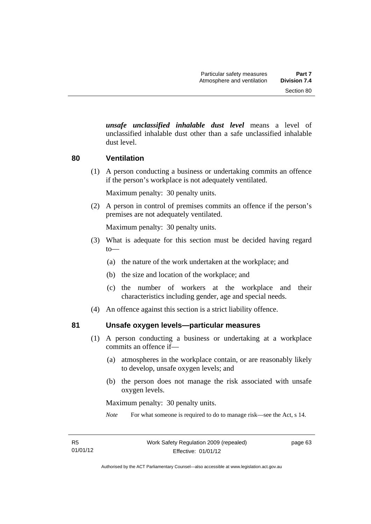*unsafe unclassified inhalable dust level* means a level of unclassified inhalable dust other than a safe unclassified inhalable dust level.

#### **80 Ventilation**

(1) A person conducting a business or undertaking commits an offence if the person's workplace is not adequately ventilated.

Maximum penalty: 30 penalty units.

 (2) A person in control of premises commits an offence if the person's premises are not adequately ventilated.

Maximum penalty: 30 penalty units.

- (3) What is adequate for this section must be decided having regard to—
	- (a) the nature of the work undertaken at the workplace; and
	- (b) the size and location of the workplace; and
	- (c) the number of workers at the workplace and their characteristics including gender, age and special needs.
- (4) An offence against this section is a strict liability offence.

#### **81 Unsafe oxygen levels—particular measures**

- (1) A person conducting a business or undertaking at a workplace commits an offence if—
	- (a) atmospheres in the workplace contain, or are reasonably likely to develop, unsafe oxygen levels; and
	- (b) the person does not manage the risk associated with unsafe oxygen levels.

Maximum penalty: 30 penalty units.

*Note* For what someone is required to do to manage risk—see the Act, s 14.

page 63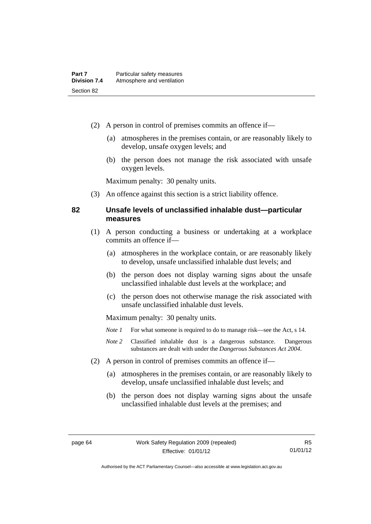- (2) A person in control of premises commits an offence if—
	- (a) atmospheres in the premises contain, or are reasonably likely to develop, unsafe oxygen levels; and
	- (b) the person does not manage the risk associated with unsafe oxygen levels.

(3) An offence against this section is a strict liability offence.

#### **82 Unsafe levels of unclassified inhalable dust—particular measures**

- (1) A person conducting a business or undertaking at a workplace commits an offence if—
	- (a) atmospheres in the workplace contain, or are reasonably likely to develop, unsafe unclassified inhalable dust levels; and
	- (b) the person does not display warning signs about the unsafe unclassified inhalable dust levels at the workplace; and
	- (c) the person does not otherwise manage the risk associated with unsafe unclassified inhalable dust levels.

- *Note 1* For what someone is required to do to manage risk—see the Act, s 14.
- *Note 2* Classified inhalable dust is a dangerous substance. Dangerous substances are dealt with under the *Dangerous Substances Act 2004*.
- (2) A person in control of premises commits an offence if—
	- (a) atmospheres in the premises contain, or are reasonably likely to develop, unsafe unclassified inhalable dust levels; and
	- (b) the person does not display warning signs about the unsafe unclassified inhalable dust levels at the premises; and

Authorised by the ACT Parliamentary Counsel—also accessible at www.legislation.act.gov.au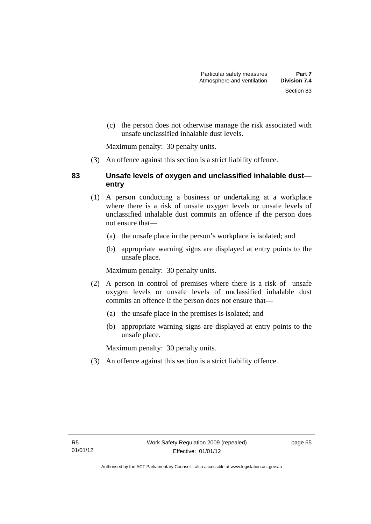(c) the person does not otherwise manage the risk associated with

Maximum penalty: 30 penalty units.

(3) An offence against this section is a strict liability offence.

unsafe unclassified inhalable dust levels.

#### **83 Unsafe levels of oxygen and unclassified inhalable dust entry**

- (1) A person conducting a business or undertaking at a workplace where there is a risk of unsafe oxygen levels or unsafe levels of unclassified inhalable dust commits an offence if the person does not ensure that—
	- (a) the unsafe place in the person's workplace is isolated; and
	- (b) appropriate warning signs are displayed at entry points to the unsafe place.

Maximum penalty: 30 penalty units.

- (2) A person in control of premises where there is a risk of unsafe oxygen levels or unsafe levels of unclassified inhalable dust commits an offence if the person does not ensure that—
	- (a) the unsafe place in the premises is isolated; and
	- (b) appropriate warning signs are displayed at entry points to the unsafe place.

Maximum penalty: 30 penalty units.

(3) An offence against this section is a strict liability offence.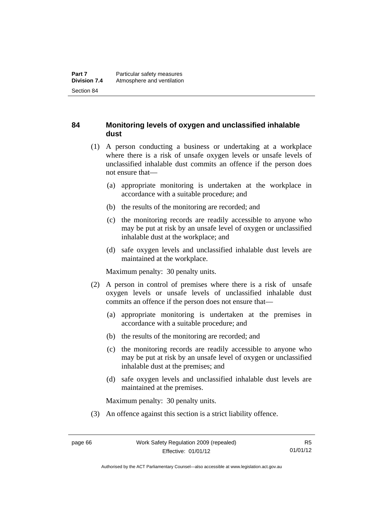#### **84 Monitoring levels of oxygen and unclassified inhalable dust**

- (1) A person conducting a business or undertaking at a workplace where there is a risk of unsafe oxygen levels or unsafe levels of unclassified inhalable dust commits an offence if the person does not ensure that—
	- (a) appropriate monitoring is undertaken at the workplace in accordance with a suitable procedure; and
	- (b) the results of the monitoring are recorded; and
	- (c) the monitoring records are readily accessible to anyone who may be put at risk by an unsafe level of oxygen or unclassified inhalable dust at the workplace; and
	- (d) safe oxygen levels and unclassified inhalable dust levels are maintained at the workplace.

Maximum penalty: 30 penalty units.

- (2) A person in control of premises where there is a risk of unsafe oxygen levels or unsafe levels of unclassified inhalable dust commits an offence if the person does not ensure that—
	- (a) appropriate monitoring is undertaken at the premises in accordance with a suitable procedure; and
	- (b) the results of the monitoring are recorded; and
	- (c) the monitoring records are readily accessible to anyone who may be put at risk by an unsafe level of oxygen or unclassified inhalable dust at the premises; and
	- (d) safe oxygen levels and unclassified inhalable dust levels are maintained at the premises.

Maximum penalty: 30 penalty units.

(3) An offence against this section is a strict liability offence.

Authorised by the ACT Parliamentary Counsel—also accessible at www.legislation.act.gov.au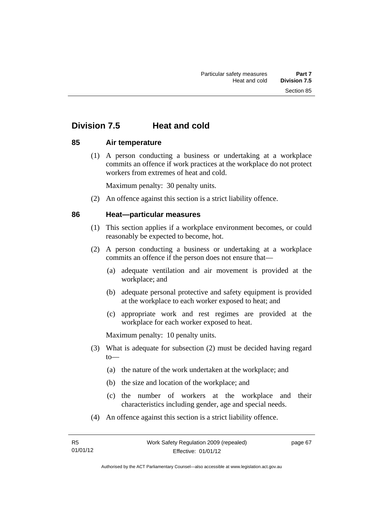# **Division 7.5 Heat and cold**

#### **85 Air temperature**

 (1) A person conducting a business or undertaking at a workplace commits an offence if work practices at the workplace do not protect workers from extremes of heat and cold.

Maximum penalty: 30 penalty units.

(2) An offence against this section is a strict liability offence.

#### **86 Heat—particular measures**

- (1) This section applies if a workplace environment becomes, or could reasonably be expected to become, hot.
- (2) A person conducting a business or undertaking at a workplace commits an offence if the person does not ensure that—
	- (a) adequate ventilation and air movement is provided at the workplace; and
	- (b) adequate personal protective and safety equipment is provided at the workplace to each worker exposed to heat; and
	- (c) appropriate work and rest regimes are provided at the workplace for each worker exposed to heat.

- (3) What is adequate for subsection (2) must be decided having regard to—
	- (a) the nature of the work undertaken at the workplace; and
	- (b) the size and location of the workplace; and
	- (c) the number of workers at the workplace and their characteristics including gender, age and special needs.
- (4) An offence against this section is a strict liability offence.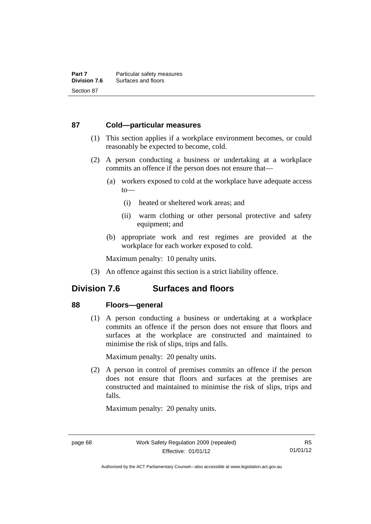#### **87 Cold—particular measures**

- (1) This section applies if a workplace environment becomes, or could reasonably be expected to become, cold.
- (2) A person conducting a business or undertaking at a workplace commits an offence if the person does not ensure that—
	- (a) workers exposed to cold at the workplace have adequate access to—
		- (i) heated or sheltered work areas; and
		- (ii) warm clothing or other personal protective and safety equipment; and
	- (b) appropriate work and rest regimes are provided at the workplace for each worker exposed to cold.

Maximum penalty: 10 penalty units.

(3) An offence against this section is a strict liability offence.

## **Division 7.6 Surfaces and floors**

#### **88 Floors—general**

 (1) A person conducting a business or undertaking at a workplace commits an offence if the person does not ensure that floors and surfaces at the workplace are constructed and maintained to minimise the risk of slips, trips and falls.

Maximum penalty: 20 penalty units.

 (2) A person in control of premises commits an offence if the person does not ensure that floors and surfaces at the premises are constructed and maintained to minimise the risk of slips, trips and falls.

Authorised by the ACT Parliamentary Counsel—also accessible at www.legislation.act.gov.au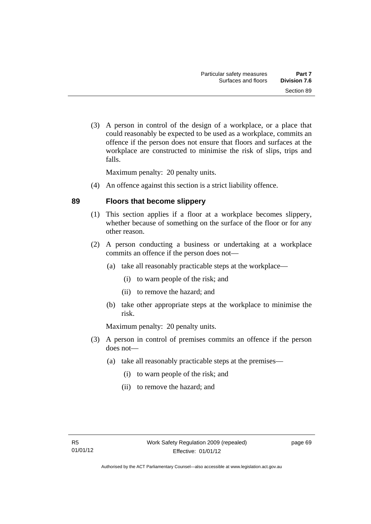(3) A person in control of the design of a workplace, or a place that could reasonably be expected to be used as a workplace, commits an offence if the person does not ensure that floors and surfaces at the workplace are constructed to minimise the risk of slips, trips and falls.

Maximum penalty: 20 penalty units.

(4) An offence against this section is a strict liability offence.

#### **89 Floors that become slippery**

- (1) This section applies if a floor at a workplace becomes slippery, whether because of something on the surface of the floor or for any other reason.
- (2) A person conducting a business or undertaking at a workplace commits an offence if the person does not—
	- (a) take all reasonably practicable steps at the workplace—
		- (i) to warn people of the risk; and
		- (ii) to remove the hazard; and
	- (b) take other appropriate steps at the workplace to minimise the risk.

- (3) A person in control of premises commits an offence if the person does not—
	- (a) take all reasonably practicable steps at the premises—
		- (i) to warn people of the risk; and
		- (ii) to remove the hazard; and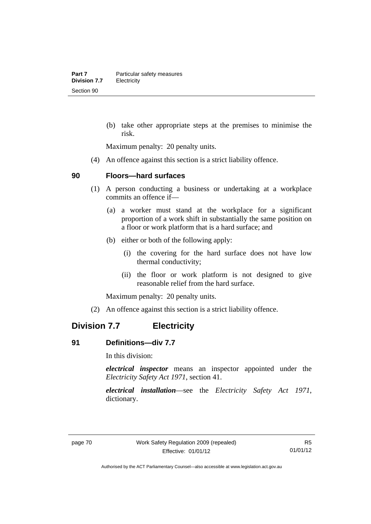(b) take other appropriate steps at the premises to minimise the risk.

Maximum penalty: 20 penalty units.

(4) An offence against this section is a strict liability offence.

#### **90 Floors—hard surfaces**

- (1) A person conducting a business or undertaking at a workplace commits an offence if—
	- (a) a worker must stand at the workplace for a significant proportion of a work shift in substantially the same position on a floor or work platform that is a hard surface; and
	- (b) either or both of the following apply:
		- (i) the covering for the hard surface does not have low thermal conductivity;
		- (ii) the floor or work platform is not designed to give reasonable relief from the hard surface.

Maximum penalty: 20 penalty units.

(2) An offence against this section is a strict liability offence.

## **Division 7.7 Electricity**

#### **91 Definitions—div 7.7**

In this division:

*electrical inspector* means an inspector appointed under the *Electricity Safety Act 1971*, section 41.

*electrical installation*—see the *Electricity Safety Act 1971*, dictionary.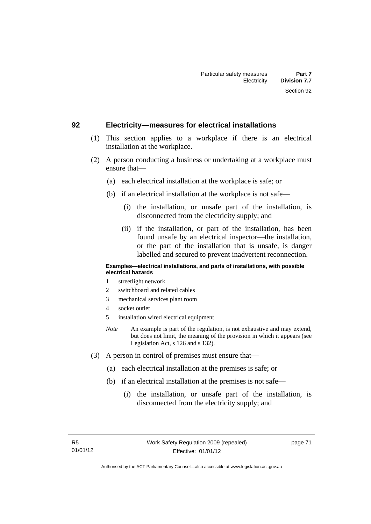#### **92 Electricity—measures for electrical installations**

- (1) This section applies to a workplace if there is an electrical installation at the workplace.
- (2) A person conducting a business or undertaking at a workplace must ensure that—
	- (a) each electrical installation at the workplace is safe; or
	- (b) if an electrical installation at the workplace is not safe—
		- (i) the installation, or unsafe part of the installation, is disconnected from the electricity supply; and
		- (ii) if the installation, or part of the installation, has been found unsafe by an electrical inspector—the installation, or the part of the installation that is unsafe, is danger labelled and secured to prevent inadvertent reconnection.

#### **Examples—electrical installations, and parts of installations, with possible electrical hazards**

- 1 streetlight network
- 2 switchboard and related cables
- 3 mechanical services plant room
- 4 socket outlet
- 5 installation wired electrical equipment
- *Note* An example is part of the regulation, is not exhaustive and may extend, but does not limit, the meaning of the provision in which it appears (see Legislation Act, s 126 and s 132).
- (3) A person in control of premises must ensure that—
	- (a) each electrical installation at the premises is safe; or
	- (b) if an electrical installation at the premises is not safe—
		- (i) the installation, or unsafe part of the installation, is disconnected from the electricity supply; and

page 71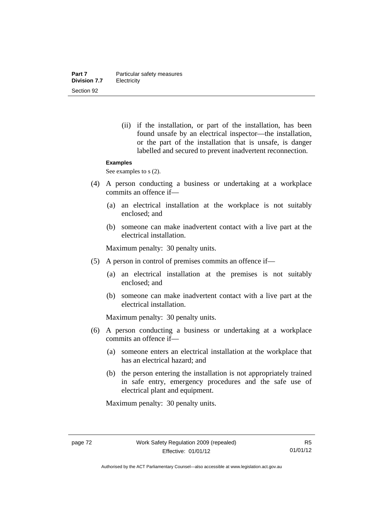(ii) if the installation, or part of the installation, has been found unsafe by an electrical inspector—the installation, or the part of the installation that is unsafe, is danger labelled and secured to prevent inadvertent reconnection.

#### **Examples**

See examples to s  $(2)$ .

- (4) A person conducting a business or undertaking at a workplace commits an offence if—
	- (a) an electrical installation at the workplace is not suitably enclosed; and
	- (b) someone can make inadvertent contact with a live part at the electrical installation.

Maximum penalty: 30 penalty units.

- (5) A person in control of premises commits an offence if—
	- (a) an electrical installation at the premises is not suitably enclosed; and
	- (b) someone can make inadvertent contact with a live part at the electrical installation.

Maximum penalty: 30 penalty units.

- (6) A person conducting a business or undertaking at a workplace commits an offence if—
	- (a) someone enters an electrical installation at the workplace that has an electrical hazard; and
	- (b) the person entering the installation is not appropriately trained in safe entry, emergency procedures and the safe use of electrical plant and equipment.

Authorised by the ACT Parliamentary Counsel—also accessible at www.legislation.act.gov.au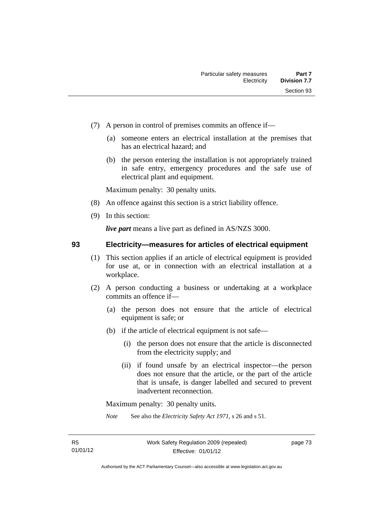- (7) A person in control of premises commits an offence if—
	- (a) someone enters an electrical installation at the premises that has an electrical hazard; and
	- (b) the person entering the installation is not appropriately trained in safe entry, emergency procedures and the safe use of electrical plant and equipment.

- (8) An offence against this section is a strict liability offence.
- (9) In this section:

*live part* means a live part as defined in AS/NZS 3000.

#### **93 Electricity—measures for articles of electrical equipment**

- (1) This section applies if an article of electrical equipment is provided for use at, or in connection with an electrical installation at a workplace.
- (2) A person conducting a business or undertaking at a workplace commits an offence if—
	- (a) the person does not ensure that the article of electrical equipment is safe; or
	- (b) if the article of electrical equipment is not safe—
		- (i) the person does not ensure that the article is disconnected from the electricity supply; and
		- (ii) if found unsafe by an electrical inspector—the person does not ensure that the article, or the part of the article that is unsafe, is danger labelled and secured to prevent inadvertent reconnection.

Maximum penalty: 30 penalty units.

*Note* See also the *Electricity Safety Act 1971*, s 26 and s 51.

page 73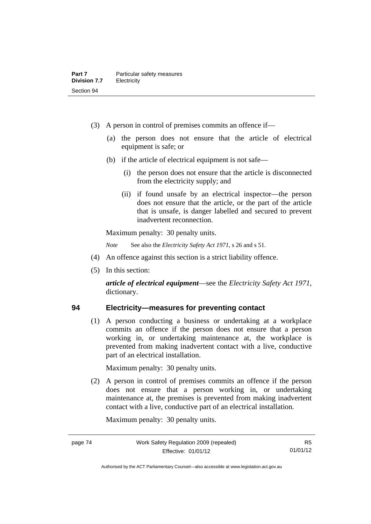- (3) A person in control of premises commits an offence if—
	- (a) the person does not ensure that the article of electrical equipment is safe; or
	- (b) if the article of electrical equipment is not safe—
		- (i) the person does not ensure that the article is disconnected from the electricity supply; and
		- (ii) if found unsafe by an electrical inspector—the person does not ensure that the article, or the part of the article that is unsafe, is danger labelled and secured to prevent inadvertent reconnection.

*Note* See also the *Electricity Safety Act 1971*, s 26 and s 51.

- (4) An offence against this section is a strict liability offence.
- (5) In this section:

*article of electrical equipment*—see the *Electricity Safety Act 1971*, dictionary.

#### **94 Electricity—measures for preventing contact**

(1) A person conducting a business or undertaking at a workplace commits an offence if the person does not ensure that a person working in, or undertaking maintenance at, the workplace is prevented from making inadvertent contact with a live, conductive part of an electrical installation.

Maximum penalty: 30 penalty units.

 (2) A person in control of premises commits an offence if the person does not ensure that a person working in, or undertaking maintenance at, the premises is prevented from making inadvertent contact with a live, conductive part of an electrical installation.

Authorised by the ACT Parliamentary Counsel—also accessible at www.legislation.act.gov.au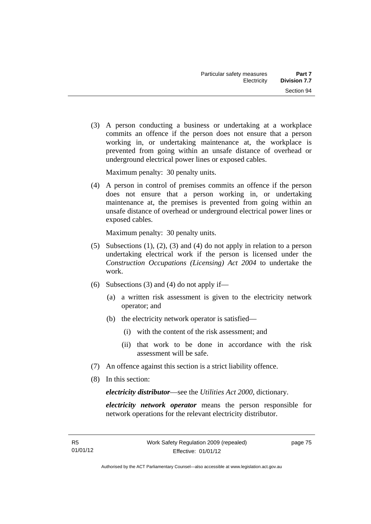(3) A person conducting a business or undertaking at a workplace commits an offence if the person does not ensure that a person working in, or undertaking maintenance at, the workplace is prevented from going within an unsafe distance of overhead or underground electrical power lines or exposed cables.

Maximum penalty: 30 penalty units.

 (4) A person in control of premises commits an offence if the person does not ensure that a person working in, or undertaking maintenance at, the premises is prevented from going within an unsafe distance of overhead or underground electrical power lines or exposed cables.

Maximum penalty: 30 penalty units.

- (5) Subsections (1), (2), (3) and (4) do not apply in relation to a person undertaking electrical work if the person is licensed under the *Construction Occupations (Licensing) Act 2004* to undertake the work.
- (6) Subsections (3) and (4) do not apply if—
	- (a) a written risk assessment is given to the electricity network operator; and
	- (b) the electricity network operator is satisfied—
		- (i) with the content of the risk assessment; and
		- (ii) that work to be done in accordance with the risk assessment will be safe.
- (7) An offence against this section is a strict liability offence.
- (8) In this section:

*electricity distributor*—see the *Utilities Act 2000*, dictionary.

*electricity network operator* means the person responsible for network operations for the relevant electricity distributor.

page 75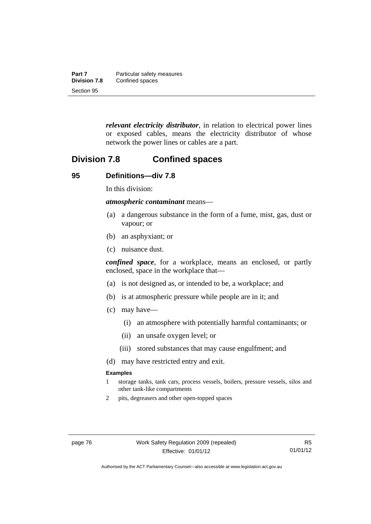| Part 7              | Particular safety measures |
|---------------------|----------------------------|
| <b>Division 7.8</b> | Confined spaces            |
| Section 95          |                            |

*relevant electricity distributor*, in relation to electrical power lines or exposed cables, means the electricity distributor of whose network the power lines or cables are a part.

## **Division 7.8 Confined spaces**

#### **95 Definitions—div 7.8**

In this division:

*atmospheric contaminant* means—

- (a) a dangerous substance in the form of a fume, mist, gas, dust or vapour; or
- (b) an asphyxiant; or
- (c) nuisance dust.

*confined space*, for a workplace, means an enclosed, or partly enclosed, space in the workplace that—

- (a) is not designed as, or intended to be, a workplace; and
- (b) is at atmospheric pressure while people are in it; and
- (c) may have—
	- (i) an atmosphere with potentially harmful contaminants; or
	- (ii) an unsafe oxygen level; or
	- (iii) stored substances that may cause engulfment; and
- (d) may have restricted entry and exit.

#### **Examples**

- 1 storage tanks, tank cars, process vessels, boilers, pressure vessels, silos and other tank-like compartments
- 2 pits, degreasers and other open-topped spaces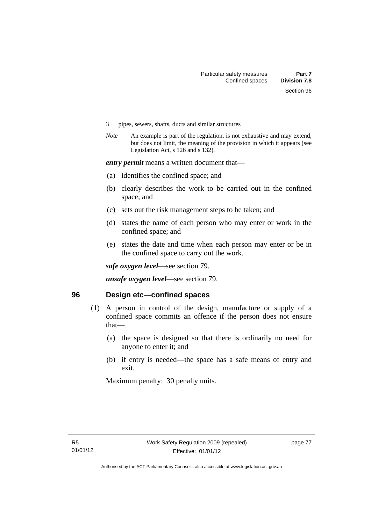- 3 pipes, sewers, shafts, ducts and similar structures
- *Note* An example is part of the regulation, is not exhaustive and may extend, but does not limit, the meaning of the provision in which it appears (see Legislation Act, s 126 and s 132).

*entry permit* means a written document that—

- (a) identifies the confined space; and
- (b) clearly describes the work to be carried out in the confined space; and
- (c) sets out the risk management steps to be taken; and
- (d) states the name of each person who may enter or work in the confined space; and
- (e) states the date and time when each person may enter or be in the confined space to carry out the work.

*safe oxygen level*—see section 79.

*unsafe oxygen level*—see section 79.

#### **96 Design etc—confined spaces**

- (1) A person in control of the design, manufacture or supply of a confined space commits an offence if the person does not ensure that—
	- (a) the space is designed so that there is ordinarily no need for anyone to enter it; and
	- (b) if entry is needed—the space has a safe means of entry and exit.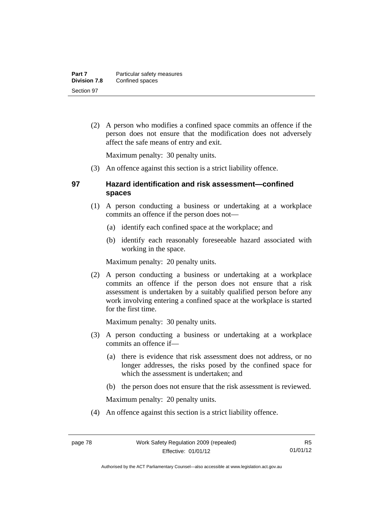(2) A person who modifies a confined space commits an offence if the person does not ensure that the modification does not adversely affect the safe means of entry and exit.

Maximum penalty: 30 penalty units.

(3) An offence against this section is a strict liability offence.

### **97 Hazard identification and risk assessment—confined spaces**

- (1) A person conducting a business or undertaking at a workplace commits an offence if the person does not—
	- (a) identify each confined space at the workplace; and
	- (b) identify each reasonably foreseeable hazard associated with working in the space.

Maximum penalty: 20 penalty units.

 (2) A person conducting a business or undertaking at a workplace commits an offence if the person does not ensure that a risk assessment is undertaken by a suitably qualified person before any work involving entering a confined space at the workplace is started for the first time.

Maximum penalty: 30 penalty units.

- (3) A person conducting a business or undertaking at a workplace commits an offence if—
	- (a) there is evidence that risk assessment does not address, or no longer addresses, the risks posed by the confined space for which the assessment is undertaken; and
	- (b) the person does not ensure that the risk assessment is reviewed.

Maximum penalty: 20 penalty units.

(4) An offence against this section is a strict liability offence.

Authorised by the ACT Parliamentary Counsel—also accessible at www.legislation.act.gov.au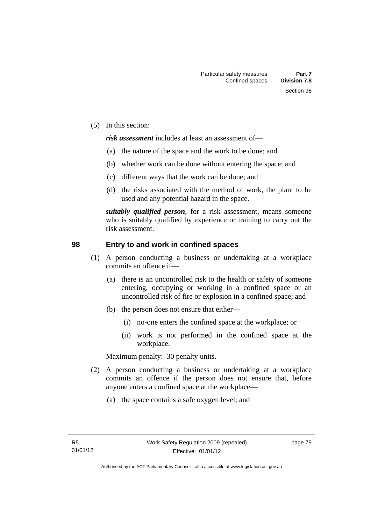(5) In this section:

*risk assessment* includes at least an assessment of—

- (a) the nature of the space and the work to be done; and
- (b) whether work can be done without entering the space; and
- (c) different ways that the work can be done; and
- (d) the risks associated with the method of work, the plant to be used and any potential hazard in the space.

*suitably qualified person*, for a risk assessment, means someone who is suitably qualified by experience or training to carry out the risk assessment.

#### **98 Entry to and work in confined spaces**

- (1) A person conducting a business or undertaking at a workplace commits an offence if—
	- (a) there is an uncontrolled risk to the health or safety of someone entering, occupying or working in a confined space or an uncontrolled risk of fire or explosion in a confined space; and
	- (b) the person does not ensure that either—
		- (i) no-one enters the confined space at the workplace; or
		- (ii) work is not performed in the confined space at the workplace.

Maximum penalty: 30 penalty units.

- (2) A person conducting a business or undertaking at a workplace commits an offence if the person does not ensure that, before anyone enters a confined space at the workplace—
	- (a) the space contains a safe oxygen level; and

page 79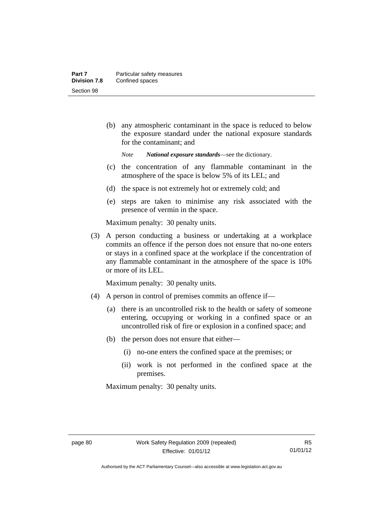(b) any atmospheric contaminant in the space is reduced to below the exposure standard under the national exposure standards for the contaminant; and

*Note National exposure standards*—see the dictionary.

- (c) the concentration of any flammable contaminant in the atmosphere of the space is below 5% of its LEL; and
- (d) the space is not extremely hot or extremely cold; and
- (e) steps are taken to minimise any risk associated with the presence of vermin in the space.

Maximum penalty: 30 penalty units.

 (3) A person conducting a business or undertaking at a workplace commits an offence if the person does not ensure that no-one enters or stays in a confined space at the workplace if the concentration of any flammable contaminant in the atmosphere of the space is 10% or more of its LEL.

Maximum penalty: 30 penalty units.

- (4) A person in control of premises commits an offence if—
	- (a) there is an uncontrolled risk to the health or safety of someone entering, occupying or working in a confined space or an uncontrolled risk of fire or explosion in a confined space; and
	- (b) the person does not ensure that either—
		- (i) no-one enters the confined space at the premises; or
		- (ii) work is not performed in the confined space at the premises.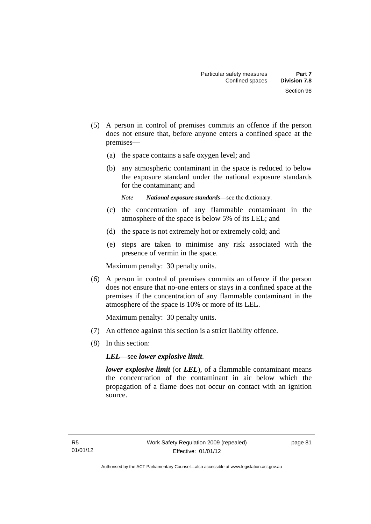- (5) A person in control of premises commits an offence if the person does not ensure that, before anyone enters a confined space at the premises—
	- (a) the space contains a safe oxygen level; and
	- (b) any atmospheric contaminant in the space is reduced to below the exposure standard under the national exposure standards for the contaminant; and
		- *Note National exposure standards*—see the dictionary.
	- (c) the concentration of any flammable contaminant in the atmosphere of the space is below 5% of its LEL; and
	- (d) the space is not extremely hot or extremely cold; and
	- (e) steps are taken to minimise any risk associated with the presence of vermin in the space.

 (6) A person in control of premises commits an offence if the person does not ensure that no-one enters or stays in a confined space at the premises if the concentration of any flammable contaminant in the atmosphere of the space is 10% or more of its LEL.

Maximum penalty: 30 penalty units.

- (7) An offence against this section is a strict liability offence.
- (8) In this section:

*LEL*—see *lower explosive limit*.

*lower explosive limit* (or *LEL*), of a flammable contaminant means the concentration of the contaminant in air below which the propagation of a flame does not occur on contact with an ignition source.

page 81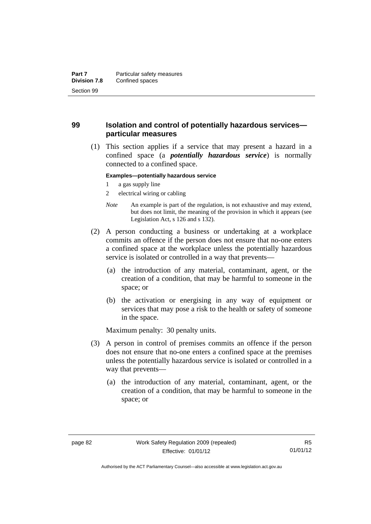### **99 Isolation and control of potentially hazardous services particular measures**

 (1) This section applies if a service that may present a hazard in a confined space (a *potentially hazardous service*) is normally connected to a confined space.

#### **Examples—potentially hazardous service**

- 1 a gas supply line
- 2 electrical wiring or cabling
- *Note* An example is part of the regulation, is not exhaustive and may extend, but does not limit, the meaning of the provision in which it appears (see Legislation Act, s 126 and s 132).
- (2) A person conducting a business or undertaking at a workplace commits an offence if the person does not ensure that no-one enters a confined space at the workplace unless the potentially hazardous service is isolated or controlled in a way that prevents—
	- (a) the introduction of any material, contaminant, agent, or the creation of a condition, that may be harmful to someone in the space; or
	- (b) the activation or energising in any way of equipment or services that may pose a risk to the health or safety of someone in the space.

- (3) A person in control of premises commits an offence if the person does not ensure that no-one enters a confined space at the premises unless the potentially hazardous service is isolated or controlled in a way that prevents—
	- (a) the introduction of any material, contaminant, agent, or the creation of a condition, that may be harmful to someone in the space; or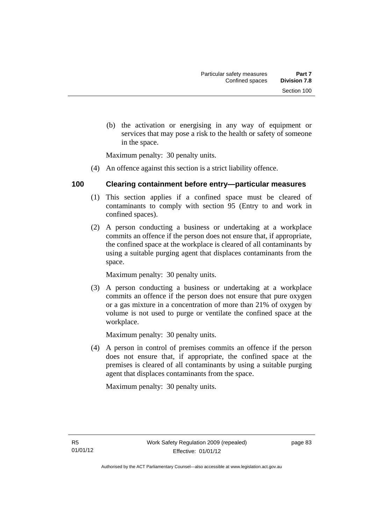(b) the activation or energising in any way of equipment or services that may pose a risk to the health or safety of someone in the space.

Maximum penalty: 30 penalty units.

(4) An offence against this section is a strict liability offence.

### **100 Clearing containment before entry—particular measures**

- (1) This section applies if a confined space must be cleared of contaminants to comply with section 95 (Entry to and work in confined spaces).
- (2) A person conducting a business or undertaking at a workplace commits an offence if the person does not ensure that, if appropriate, the confined space at the workplace is cleared of all contaminants by using a suitable purging agent that displaces contaminants from the space.

Maximum penalty: 30 penalty units.

 (3) A person conducting a business or undertaking at a workplace commits an offence if the person does not ensure that pure oxygen or a gas mixture in a concentration of more than 21% of oxygen by volume is not used to purge or ventilate the confined space at the workplace.

Maximum penalty: 30 penalty units.

 (4) A person in control of premises commits an offence if the person does not ensure that, if appropriate, the confined space at the premises is cleared of all contaminants by using a suitable purging agent that displaces contaminants from the space.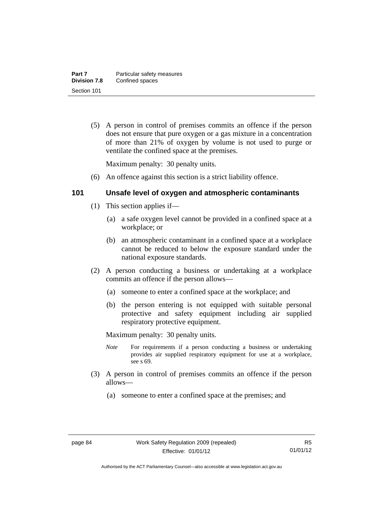(5) A person in control of premises commits an offence if the person does not ensure that pure oxygen or a gas mixture in a concentration of more than 21% of oxygen by volume is not used to purge or ventilate the confined space at the premises.

Maximum penalty: 30 penalty units.

(6) An offence against this section is a strict liability offence.

### **101 Unsafe level of oxygen and atmospheric contaminants**

- (1) This section applies if—
	- (a) a safe oxygen level cannot be provided in a confined space at a workplace; or
	- (b) an atmospheric contaminant in a confined space at a workplace cannot be reduced to below the exposure standard under the national exposure standards.
- (2) A person conducting a business or undertaking at a workplace commits an offence if the person allows—
	- (a) someone to enter a confined space at the workplace; and
	- (b) the person entering is not equipped with suitable personal protective and safety equipment including air supplied respiratory protective equipment.

- *Note* For requirements if a person conducting a business or undertaking provides air supplied respiratory equipment for use at a workplace, see s 69.
- (3) A person in control of premises commits an offence if the person allows—
	- (a) someone to enter a confined space at the premises; and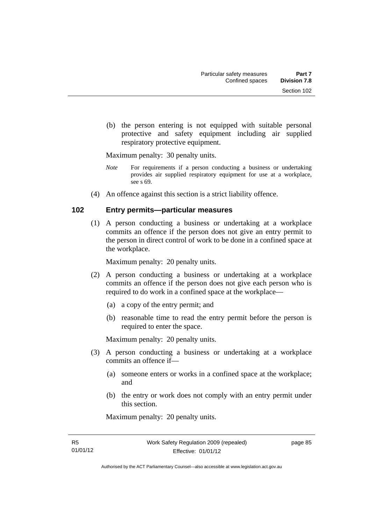(b) the person entering is not equipped with suitable personal protective and safety equipment including air supplied respiratory protective equipment.

Maximum penalty: 30 penalty units.

- *Note* For requirements if a person conducting a business or undertaking provides air supplied respiratory equipment for use at a workplace, see s 69.
- (4) An offence against this section is a strict liability offence.

#### **102 Entry permits—particular measures**

(1) A person conducting a business or undertaking at a workplace commits an offence if the person does not give an entry permit to the person in direct control of work to be done in a confined space at the workplace.

Maximum penalty: 20 penalty units.

- (2) A person conducting a business or undertaking at a workplace commits an offence if the person does not give each person who is required to do work in a confined space at the workplace—
	- (a) a copy of the entry permit; and
	- (b) reasonable time to read the entry permit before the person is required to enter the space.

Maximum penalty: 20 penalty units.

- (3) A person conducting a business or undertaking at a workplace commits an offence if—
	- (a) someone enters or works in a confined space at the workplace; and
	- (b) the entry or work does not comply with an entry permit under this section.

Maximum penalty: 20 penalty units.

page 85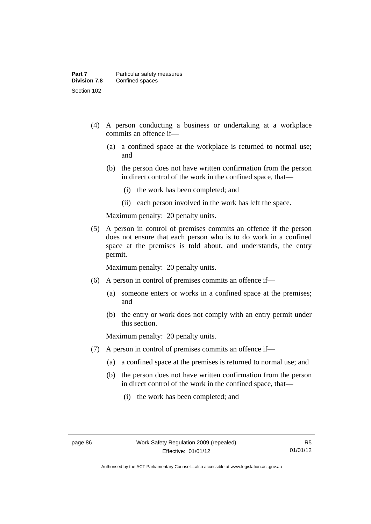- (4) A person conducting a business or undertaking at a workplace commits an offence if—
	- (a) a confined space at the workplace is returned to normal use; and
	- (b) the person does not have written confirmation from the person in direct control of the work in the confined space, that—
		- (i) the work has been completed; and
		- (ii) each person involved in the work has left the space.

 (5) A person in control of premises commits an offence if the person does not ensure that each person who is to do work in a confined space at the premises is told about, and understands, the entry permit.

Maximum penalty: 20 penalty units.

- (6) A person in control of premises commits an offence if—
	- (a) someone enters or works in a confined space at the premises; and
	- (b) the entry or work does not comply with an entry permit under this section.

- (7) A person in control of premises commits an offence if—
	- (a) a confined space at the premises is returned to normal use; and
	- (b) the person does not have written confirmation from the person in direct control of the work in the confined space, that—
		- (i) the work has been completed; and

Authorised by the ACT Parliamentary Counsel—also accessible at www.legislation.act.gov.au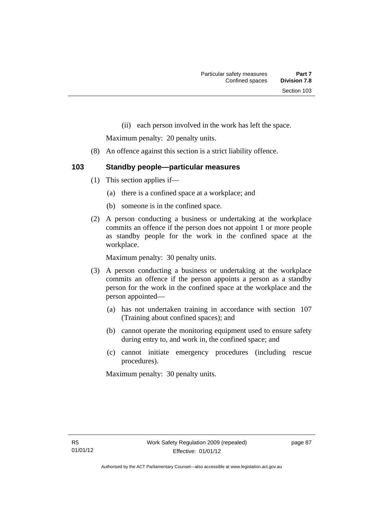(ii) each person involved in the work has left the space.

Maximum penalty: 20 penalty units.

- (8) An offence against this section is a strict liability offence.
- **103 Standby people—particular measures** 
	- (1) This section applies if—
		- (a) there is a confined space at a workplace; and
		- (b) someone is in the confined space.
	- (2) A person conducting a business or undertaking at the workplace commits an offence if the person does not appoint 1 or more people as standby people for the work in the confined space at the workplace.

Maximum penalty: 30 penalty units.

- (3) A person conducting a business or undertaking at the workplace commits an offence if the person appoints a person as a standby person for the work in the confined space at the workplace and the person appointed—
	- (a) has not undertaken training in accordance with section 107 (Training about confined spaces); and
	- (b) cannot operate the monitoring equipment used to ensure safety during entry to, and work in, the confined space; and
	- (c) cannot initiate emergency procedures (including rescue procedures).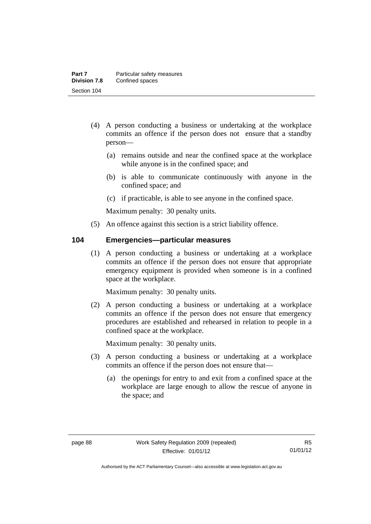- (4) A person conducting a business or undertaking at the workplace commits an offence if the person does not ensure that a standby person—
	- (a) remains outside and near the confined space at the workplace while anyone is in the confined space; and
	- (b) is able to communicate continuously with anyone in the confined space; and
	- (c) if practicable, is able to see anyone in the confined space.

(5) An offence against this section is a strict liability offence.

#### **104 Emergencies—particular measures**

(1) A person conducting a business or undertaking at a workplace commits an offence if the person does not ensure that appropriate emergency equipment is provided when someone is in a confined space at the workplace.

Maximum penalty: 30 penalty units.

 (2) A person conducting a business or undertaking at a workplace commits an offence if the person does not ensure that emergency procedures are established and rehearsed in relation to people in a confined space at the workplace.

- (3) A person conducting a business or undertaking at a workplace commits an offence if the person does not ensure that—
	- (a) the openings for entry to and exit from a confined space at the workplace are large enough to allow the rescue of anyone in the space; and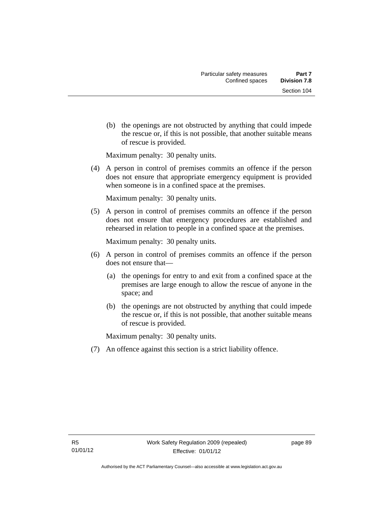(b) the openings are not obstructed by anything that could impede the rescue or, if this is not possible, that another suitable means of rescue is provided.

Maximum penalty: 30 penalty units.

 (4) A person in control of premises commits an offence if the person does not ensure that appropriate emergency equipment is provided when someone is in a confined space at the premises.

Maximum penalty: 30 penalty units.

 (5) A person in control of premises commits an offence if the person does not ensure that emergency procedures are established and rehearsed in relation to people in a confined space at the premises.

Maximum penalty: 30 penalty units.

- (6) A person in control of premises commits an offence if the person does not ensure that—
	- (a) the openings for entry to and exit from a confined space at the premises are large enough to allow the rescue of anyone in the space; and
	- (b) the openings are not obstructed by anything that could impede the rescue or, if this is not possible, that another suitable means of rescue is provided.

Maximum penalty: 30 penalty units.

(7) An offence against this section is a strict liability offence.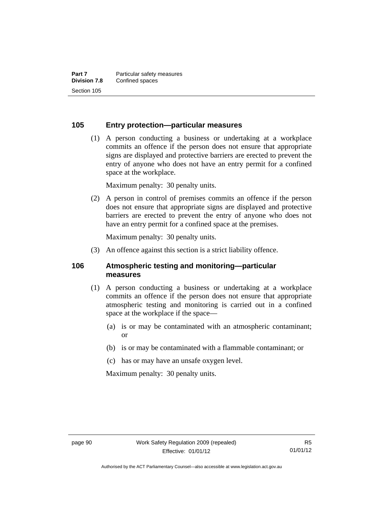#### **105 Entry protection—particular measures**

 (1) A person conducting a business or undertaking at a workplace commits an offence if the person does not ensure that appropriate signs are displayed and protective barriers are erected to prevent the entry of anyone who does not have an entry permit for a confined space at the workplace.

Maximum penalty: 30 penalty units.

 (2) A person in control of premises commits an offence if the person does not ensure that appropriate signs are displayed and protective barriers are erected to prevent the entry of anyone who does not have an entry permit for a confined space at the premises.

Maximum penalty: 30 penalty units.

(3) An offence against this section is a strict liability offence.

#### **106 Atmospheric testing and monitoring—particular measures**

- (1) A person conducting a business or undertaking at a workplace commits an offence if the person does not ensure that appropriate atmospheric testing and monitoring is carried out in a confined space at the workplace if the space—
	- (a) is or may be contaminated with an atmospheric contaminant; or
	- (b) is or may be contaminated with a flammable contaminant; or
	- (c) has or may have an unsafe oxygen level.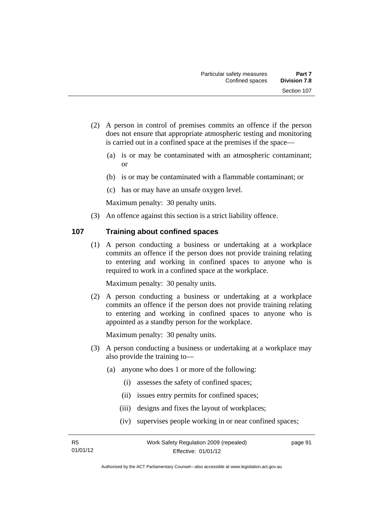- (2) A person in control of premises commits an offence if the person does not ensure that appropriate atmospheric testing and monitoring is carried out in a confined space at the premises if the space—
	- (a) is or may be contaminated with an atmospheric contaminant; or
	- (b) is or may be contaminated with a flammable contaminant; or
	- (c) has or may have an unsafe oxygen level.

(3) An offence against this section is a strict liability offence.

#### **107 Training about confined spaces**

(1) A person conducting a business or undertaking at a workplace commits an offence if the person does not provide training relating to entering and working in confined spaces to anyone who is required to work in a confined space at the workplace.

Maximum penalty: 30 penalty units.

 (2) A person conducting a business or undertaking at a workplace commits an offence if the person does not provide training relating to entering and working in confined spaces to anyone who is appointed as a standby person for the workplace.

- (3) A person conducting a business or undertaking at a workplace may also provide the training to—
	- (a) anyone who does 1 or more of the following:
		- (i) assesses the safety of confined spaces;
		- (ii) issues entry permits for confined spaces;
		- (iii) designs and fixes the layout of workplaces;
		- (iv) supervises people working in or near confined spaces;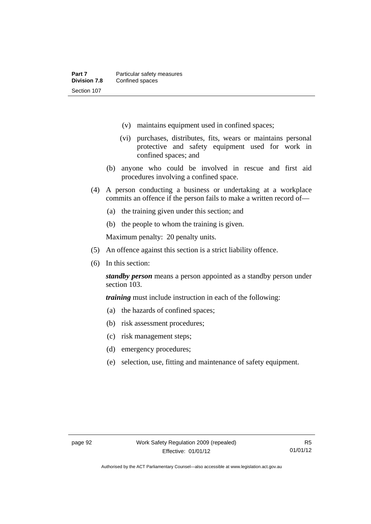- (v) maintains equipment used in confined spaces;
- (vi) purchases, distributes, fits, wears or maintains personal protective and safety equipment used for work in confined spaces; and
- (b) anyone who could be involved in rescue and first aid procedures involving a confined space.
- (4) A person conducting a business or undertaking at a workplace commits an offence if the person fails to make a written record of—
	- (a) the training given under this section; and
	- (b) the people to whom the training is given.

- (5) An offence against this section is a strict liability offence.
- (6) In this section:

*standby person* means a person appointed as a standby person under section 103.

*training* must include instruction in each of the following:

- (a) the hazards of confined spaces;
- (b) risk assessment procedures;
- (c) risk management steps;
- (d) emergency procedures;
- (e) selection, use, fitting and maintenance of safety equipment.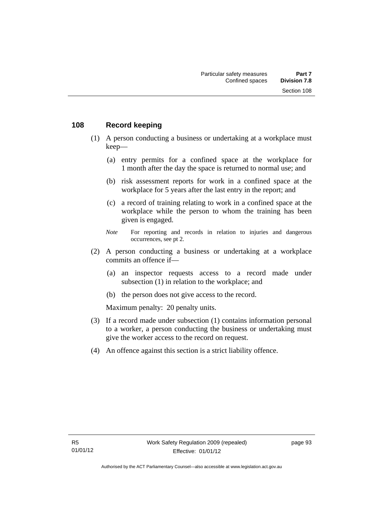#### **108 Record keeping**

- (1) A person conducting a business or undertaking at a workplace must keep—
	- (a) entry permits for a confined space at the workplace for 1 month after the day the space is returned to normal use; and
	- (b) risk assessment reports for work in a confined space at the workplace for 5 years after the last entry in the report; and
	- (c) a record of training relating to work in a confined space at the workplace while the person to whom the training has been given is engaged.
	- *Note* For reporting and records in relation to injuries and dangerous occurrences, see pt 2.
- (2) A person conducting a business or undertaking at a workplace commits an offence if—
	- (a) an inspector requests access to a record made under subsection (1) in relation to the workplace; and
	- (b) the person does not give access to the record.

- (3) If a record made under subsection (1) contains information personal to a worker, a person conducting the business or undertaking must give the worker access to the record on request.
- (4) An offence against this section is a strict liability offence.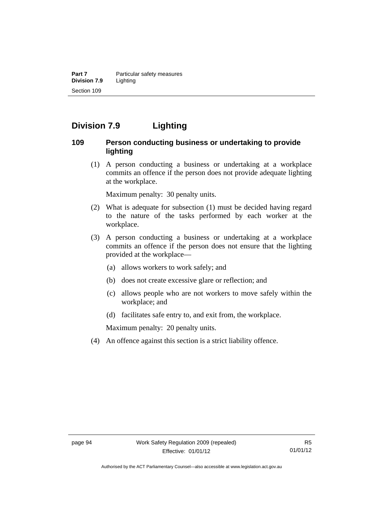**Part 7 Particular safety measures Division 7.9** Lighting Section 109

# **Division 7.9 Lighting**

#### **109 Person conducting business or undertaking to provide lighting**

 (1) A person conducting a business or undertaking at a workplace commits an offence if the person does not provide adequate lighting at the workplace.

Maximum penalty: 30 penalty units.

- (2) What is adequate for subsection (1) must be decided having regard to the nature of the tasks performed by each worker at the workplace.
- (3) A person conducting a business or undertaking at a workplace commits an offence if the person does not ensure that the lighting provided at the workplace—
	- (a) allows workers to work safely; and
	- (b) does not create excessive glare or reflection; and
	- (c) allows people who are not workers to move safely within the workplace; and
	- (d) facilitates safe entry to, and exit from, the workplace.

Maximum penalty: 20 penalty units.

(4) An offence against this section is a strict liability offence.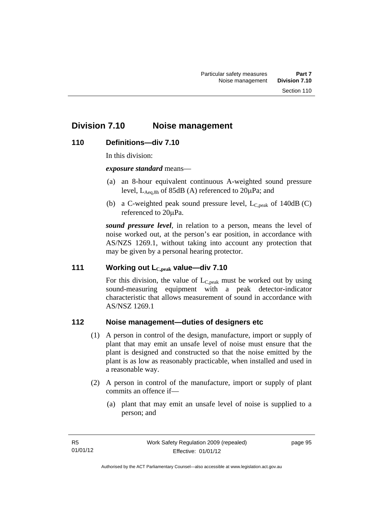# **Division 7.10 Noise management**

## **110 Definitions—div 7.10**

In this division:

*exposure standard* means—

- (a) an 8-hour equivalent continuous A-weighted sound pressure level,  $L_{\text{Aea,8h}}$  of 85dB (A) referenced to  $20\mu\text{Pa}$ ; and
- (b) a C-weighted peak sound pressure level,  $L_{C,peak}$  of 140dB (C) referenced to 20µPa.

*sound pressure level*, in relation to a person, means the level of noise worked out, at the person's ear position, in accordance with AS/NZS 1269.1, without taking into account any protection that may be given by a personal hearing protector.

#### **111 Working out LC,peak value—div 7.10**

For this division, the value of  $L_{C,peak}$  must be worked out by using sound-measuring equipment with a peak detector-indicator characteristic that allows measurement of sound in accordance with AS/NSZ 1269.1

## **112 Noise management—duties of designers etc**

- (1) A person in control of the design, manufacture, import or supply of plant that may emit an unsafe level of noise must ensure that the plant is designed and constructed so that the noise emitted by the plant is as low as reasonably practicable, when installed and used in a reasonable way.
- (2) A person in control of the manufacture, import or supply of plant commits an offence if—
	- (a) plant that may emit an unsafe level of noise is supplied to a person; and

page 95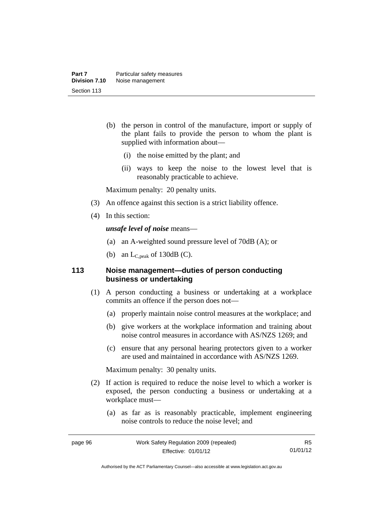- (b) the person in control of the manufacture, import or supply of the plant fails to provide the person to whom the plant is supplied with information about—
	- (i) the noise emitted by the plant; and
	- (ii) ways to keep the noise to the lowest level that is reasonably practicable to achieve.

Maximum penalty: 20 penalty units.

- (3) An offence against this section is a strict liability offence.
- (4) In this section:

*unsafe level of noise* means—

- (a) an A-weighted sound pressure level of 70dB (A); or
- (b) an  $L_{C,peak}$  of 130dB (C).

## **113 Noise management—duties of person conducting business or undertaking**

- (1) A person conducting a business or undertaking at a workplace commits an offence if the person does not—
	- (a) properly maintain noise control measures at the workplace; and
	- (b) give workers at the workplace information and training about noise control measures in accordance with AS/NZS 1269; and
	- (c) ensure that any personal hearing protectors given to a worker are used and maintained in accordance with AS/NZS 1269.

Maximum penalty: 30 penalty units.

- (2) If action is required to reduce the noise level to which a worker is exposed, the person conducting a business or undertaking at a workplace must—
	- (a) as far as is reasonably practicable, implement engineering noise controls to reduce the noise level; and

R5 01/01/12

Authorised by the ACT Parliamentary Counsel—also accessible at www.legislation.act.gov.au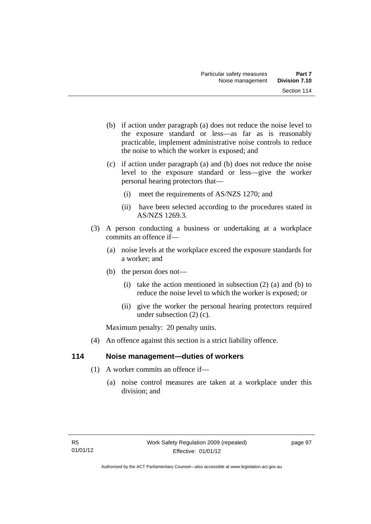- (b) if action under paragraph (a) does not reduce the noise level to the exposure standard or less—as far as is reasonably practicable, implement administrative noise controls to reduce the noise to which the worker is exposed; and
- (c) if action under paragraph (a) and (b) does not reduce the noise level to the exposure standard or less—give the worker personal hearing protectors that—
	- (i) meet the requirements of AS/NZS 1270; and
	- (ii) have been selected according to the procedures stated in AS/NZS 1269.3.
- (3) A person conducting a business or undertaking at a workplace commits an offence if—
	- (a) noise levels at the workplace exceed the exposure standards for a worker; and
	- (b) the person does not—
		- (i) take the action mentioned in subsection  $(2)$  (a) and (b) to reduce the noise level to which the worker is exposed; or
		- (ii) give the worker the personal hearing protectors required under subsection (2) (c).

Maximum penalty: 20 penalty units.

(4) An offence against this section is a strict liability offence.

## **114 Noise management—duties of workers**

- (1) A worker commits an offence if—
	- (a) noise control measures are taken at a workplace under this division; and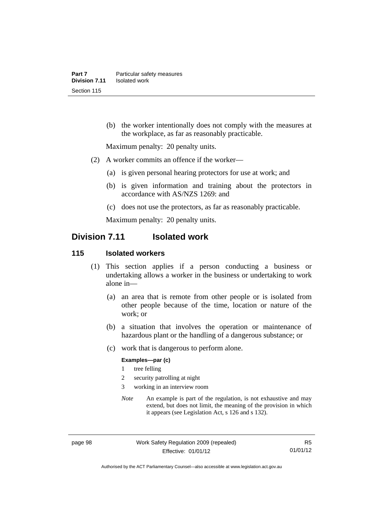(b) the worker intentionally does not comply with the measures at the workplace, as far as reasonably practicable.

Maximum penalty: 20 penalty units.

- (2) A worker commits an offence if the worker—
	- (a) is given personal hearing protectors for use at work; and
	- (b) is given information and training about the protectors in accordance with AS/NZS 1269: and
	- (c) does not use the protectors, as far as reasonably practicable.

Maximum penalty: 20 penalty units.

# **Division 7.11 Isolated work**

#### **115 Isolated workers**

- (1) This section applies if a person conducting a business or undertaking allows a worker in the business or undertaking to work alone in—
	- (a) an area that is remote from other people or is isolated from other people because of the time, location or nature of the work; or
	- (b) a situation that involves the operation or maintenance of hazardous plant or the handling of a dangerous substance; or
	- (c) work that is dangerous to perform alone.

#### **Examples—par (c)**

- 1 tree felling
- 2 security patrolling at night
- 3 working in an interview room
- *Note* An example is part of the regulation, is not exhaustive and may extend, but does not limit, the meaning of the provision in which it appears (see Legislation Act, s 126 and s 132).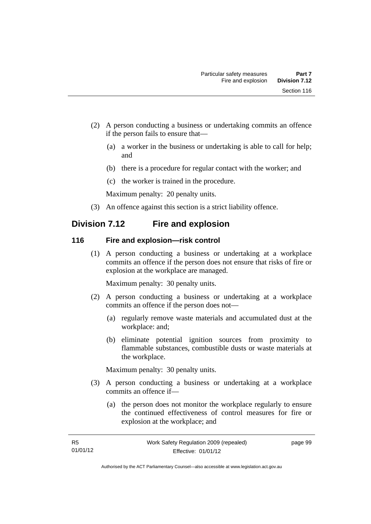- (2) A person conducting a business or undertaking commits an offence if the person fails to ensure that—
	- (a) a worker in the business or undertaking is able to call for help; and
	- (b) there is a procedure for regular contact with the worker; and
	- (c) the worker is trained in the procedure.

Maximum penalty: 20 penalty units.

(3) An offence against this section is a strict liability offence.

# **Division 7.12 Fire and explosion**

## **116 Fire and explosion—risk control**

 (1) A person conducting a business or undertaking at a workplace commits an offence if the person does not ensure that risks of fire or explosion at the workplace are managed.

Maximum penalty: 30 penalty units.

- (2) A person conducting a business or undertaking at a workplace commits an offence if the person does not—
	- (a) regularly remove waste materials and accumulated dust at the workplace: and;
	- (b) eliminate potential ignition sources from proximity to flammable substances, combustible dusts or waste materials at the workplace.

Maximum penalty: 30 penalty units.

- (3) A person conducting a business or undertaking at a workplace commits an offence if—
	- (a) the person does not monitor the workplace regularly to ensure the continued effectiveness of control measures for fire or explosion at the workplace; and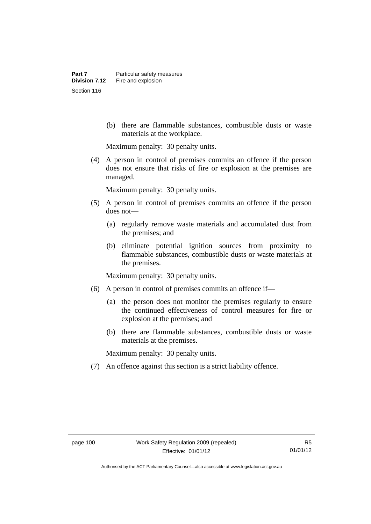(b) there are flammable substances, combustible dusts or waste materials at the workplace.

Maximum penalty: 30 penalty units.

 (4) A person in control of premises commits an offence if the person does not ensure that risks of fire or explosion at the premises are managed.

Maximum penalty: 30 penalty units.

- (5) A person in control of premises commits an offence if the person does not—
	- (a) regularly remove waste materials and accumulated dust from the premises; and
	- (b) eliminate potential ignition sources from proximity to flammable substances, combustible dusts or waste materials at the premises.

Maximum penalty: 30 penalty units.

- (6) A person in control of premises commits an offence if—
	- (a) the person does not monitor the premises regularly to ensure the continued effectiveness of control measures for fire or explosion at the premises; and
	- (b) there are flammable substances, combustible dusts or waste materials at the premises.

Maximum penalty: 30 penalty units.

(7) An offence against this section is a strict liability offence.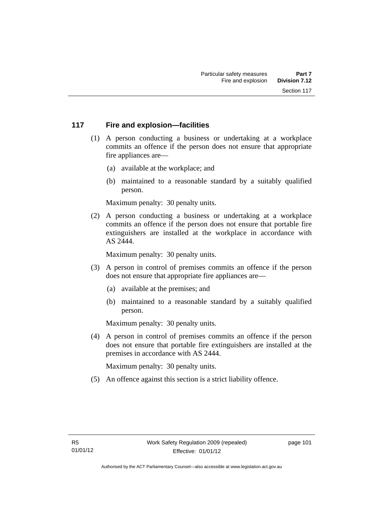## **117 Fire and explosion—facilities**

- (1) A person conducting a business or undertaking at a workplace commits an offence if the person does not ensure that appropriate fire appliances are—
	- (a) available at the workplace; and
	- (b) maintained to a reasonable standard by a suitably qualified person.

Maximum penalty: 30 penalty units.

 (2) A person conducting a business or undertaking at a workplace commits an offence if the person does not ensure that portable fire extinguishers are installed at the workplace in accordance with AS 2444.

Maximum penalty: 30 penalty units.

- (3) A person in control of premises commits an offence if the person does not ensure that appropriate fire appliances are—
	- (a) available at the premises; and
	- (b) maintained to a reasonable standard by a suitably qualified person.

Maximum penalty: 30 penalty units.

 (4) A person in control of premises commits an offence if the person does not ensure that portable fire extinguishers are installed at the premises in accordance with AS 2444.

Maximum penalty: 30 penalty units.

(5) An offence against this section is a strict liability offence.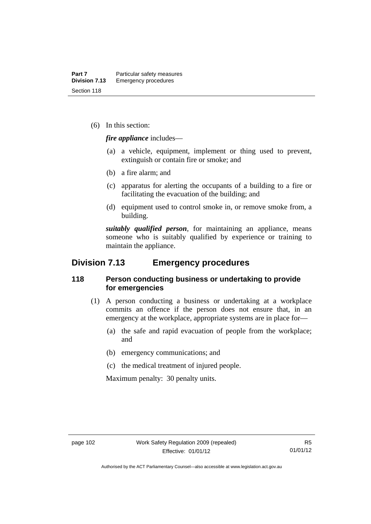(6) In this section:

*fire appliance* includes—

- (a) a vehicle, equipment, implement or thing used to prevent, extinguish or contain fire or smoke; and
- (b) a fire alarm; and
- (c) apparatus for alerting the occupants of a building to a fire or facilitating the evacuation of the building; and
- (d) equipment used to control smoke in, or remove smoke from, a building.

*suitably qualified person*, for maintaining an appliance, means someone who is suitably qualified by experience or training to maintain the appliance.

# **Division 7.13 Emergency procedures**

#### **118 Person conducting business or undertaking to provide for emergencies**

- (1) A person conducting a business or undertaking at a workplace commits an offence if the person does not ensure that, in an emergency at the workplace, appropriate systems are in place for—
	- (a) the safe and rapid evacuation of people from the workplace; and
	- (b) emergency communications; and
	- (c) the medical treatment of injured people.

Maximum penalty: 30 penalty units.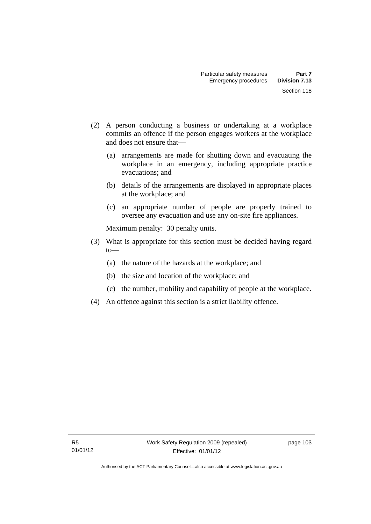- (2) A person conducting a business or undertaking at a workplace commits an offence if the person engages workers at the workplace and does not ensure that—
	- (a) arrangements are made for shutting down and evacuating the workplace in an emergency, including appropriate practice evacuations; and
	- (b) details of the arrangements are displayed in appropriate places at the workplace; and
	- (c) an appropriate number of people are properly trained to oversee any evacuation and use any on-site fire appliances.

Maximum penalty: 30 penalty units.

- (3) What is appropriate for this section must be decided having regard  $to$ —
	- (a) the nature of the hazards at the workplace; and
	- (b) the size and location of the workplace; and
	- (c) the number, mobility and capability of people at the workplace.
- (4) An offence against this section is a strict liability offence.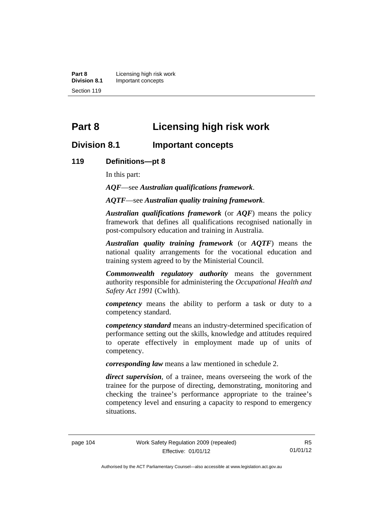**Part 8 Licensing high risk work**<br>**Division 8.1 Important concepts Division 8.1** Important concepts Section 119

# **Part 8 Licensing high risk work**

## **Division 8.1 Important concepts**

#### **119 Definitions—pt 8**

In this part:

*AQF*—see *Australian qualifications framework*.

*AQTF*—see *Australian quality training framework*.

*Australian qualifications framework* (or *AQF*) means the policy framework that defines all qualifications recognised nationally in post-compulsory education and training in Australia.

*Australian quality training framework* (or *AQTF*) means the national quality arrangements for the vocational education and training system agreed to by the Ministerial Council.

*Commonwealth regulatory authority* means the government authority responsible for administering the *Occupational Health and Safety Act 1991* (Cwlth).

*competency* means the ability to perform a task or duty to a competency standard.

*competency standard* means an industry-determined specification of performance setting out the skills, knowledge and attitudes required to operate effectively in employment made up of units of competency.

*corresponding law* means a law mentioned in schedule 2.

*direct supervision*, of a trainee, means overseeing the work of the trainee for the purpose of directing, demonstrating, monitoring and checking the trainee's performance appropriate to the trainee's competency level and ensuring a capacity to respond to emergency situations.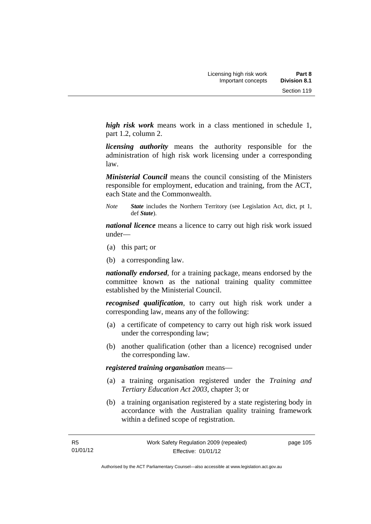*high risk work* means work in a class mentioned in schedule 1, part 1.2, column 2.

*licensing authority* means the authority responsible for the administration of high risk work licensing under a corresponding law.

*Ministerial Council* means the council consisting of the Ministers responsible for employment, education and training, from the ACT, each State and the Commonwealth.

*Note State* includes the Northern Territory (see Legislation Act, dict, pt 1, def *State*).

*national licence* means a licence to carry out high risk work issued under—

- (a) this part; or
- (b) a corresponding law.

*nationally endorsed*, for a training package, means endorsed by the committee known as the national training quality committee established by the Ministerial Council.

*recognised qualification*, to carry out high risk work under a corresponding law, means any of the following:

- (a) a certificate of competency to carry out high risk work issued under the corresponding law;
- (b) another qualification (other than a licence) recognised under the corresponding law.

*registered training organisation* means—

- (a) a training organisation registered under the *Training and Tertiary Education Act 2003*, chapter 3; or
- (b) a training organisation registered by a state registering body in accordance with the Australian quality training framework within a defined scope of registration.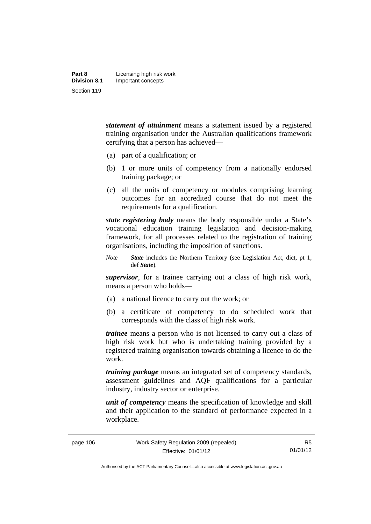| Part 8              | Licensing high risk work |
|---------------------|--------------------------|
| <b>Division 8.1</b> | Important concepts       |
| Section 119         |                          |

*statement of attainment* means a statement issued by a registered training organisation under the Australian qualifications framework certifying that a person has achieved—

- (a) part of a qualification; or
- (b) 1 or more units of competency from a nationally endorsed training package; or
- (c) all the units of competency or modules comprising learning outcomes for an accredited course that do not meet the requirements for a qualification.

*state registering body* means the body responsible under a State's vocational education training legislation and decision-making framework, for all processes related to the registration of training organisations, including the imposition of sanctions.

*Note State* includes the Northern Territory (see Legislation Act, dict, pt 1, def *State*).

*supervisor*, for a trainee carrying out a class of high risk work, means a person who holds—

- (a) a national licence to carry out the work; or
- (b) a certificate of competency to do scheduled work that corresponds with the class of high risk work.

*trainee* means a person who is not licensed to carry out a class of high risk work but who is undertaking training provided by a registered training organisation towards obtaining a licence to do the work.

*training package* means an integrated set of competency standards, assessment guidelines and AQF qualifications for a particular industry, industry sector or enterprise.

*unit of competency* means the specification of knowledge and skill and their application to the standard of performance expected in a workplace.

R5 01/01/12

Authorised by the ACT Parliamentary Counsel—also accessible at www.legislation.act.gov.au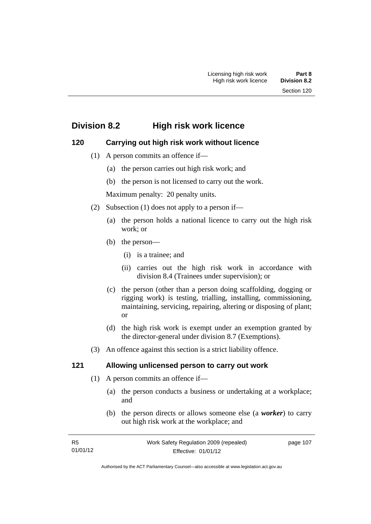# **Division 8.2 High risk work licence**

## **120 Carrying out high risk work without licence**

- (1) A person commits an offence if—
	- (a) the person carries out high risk work; and
	- (b) the person is not licensed to carry out the work.

Maximum penalty: 20 penalty units.

- (2) Subsection (1) does not apply to a person if—
	- (a) the person holds a national licence to carry out the high risk work; or
	- (b) the person—
		- (i) is a trainee; and
		- (ii) carries out the high risk work in accordance with division 8.4 (Trainees under supervision); or
	- (c) the person (other than a person doing scaffolding, dogging or rigging work) is testing, trialling, installing, commissioning, maintaining, servicing, repairing, altering or disposing of plant; or
	- (d) the high risk work is exempt under an exemption granted by the director-general under division 8.7 (Exemptions).
- (3) An offence against this section is a strict liability offence.

## **121 Allowing unlicensed person to carry out work**

- (1) A person commits an offence if—
	- (a) the person conducts a business or undertaking at a workplace; and
	- (b) the person directs or allows someone else (a *worker*) to carry out high risk work at the workplace; and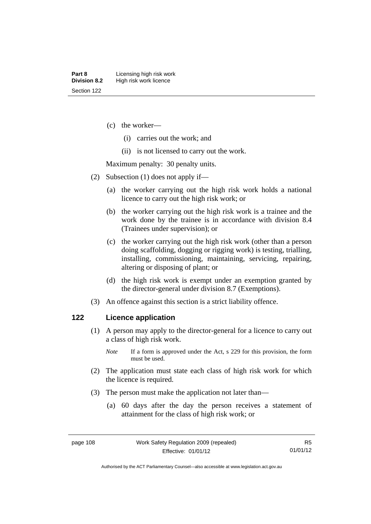- (c) the worker—
	- (i) carries out the work; and
	- (ii) is not licensed to carry out the work.

Maximum penalty: 30 penalty units.

- (2) Subsection (1) does not apply if—
	- (a) the worker carrying out the high risk work holds a national licence to carry out the high risk work; or
	- (b) the worker carrying out the high risk work is a trainee and the work done by the trainee is in accordance with division 8.4 (Trainees under supervision); or
	- (c) the worker carrying out the high risk work (other than a person doing scaffolding, dogging or rigging work) is testing, trialling, installing, commissioning, maintaining, servicing, repairing, altering or disposing of plant; or
	- (d) the high risk work is exempt under an exemption granted by the director-general under division 8.7 (Exemptions).
- (3) An offence against this section is a strict liability offence.

#### **122 Licence application**

- (1) A person may apply to the director-general for a licence to carry out a class of high risk work.
	- *Note* If a form is approved under the Act, s 229 for this provision, the form must be used.
- (2) The application must state each class of high risk work for which the licence is required.
- (3) The person must make the application not later than—
	- (a) 60 days after the day the person receives a statement of attainment for the class of high risk work; or

Authorised by the ACT Parliamentary Counsel—also accessible at www.legislation.act.gov.au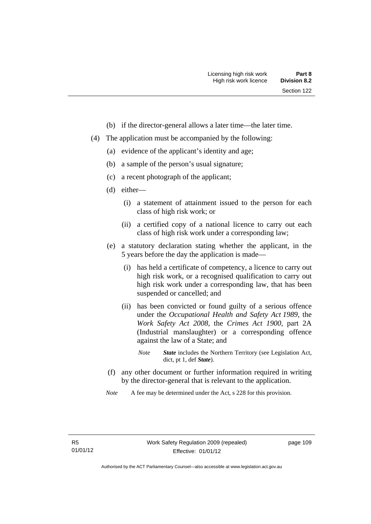- (b) if the director-general allows a later time—the later time.
- (4) The application must be accompanied by the following:
	- (a) evidence of the applicant's identity and age;
	- (b) a sample of the person's usual signature;
	- (c) a recent photograph of the applicant;
	- (d) either—
		- (i) a statement of attainment issued to the person for each class of high risk work; or
		- (ii) a certified copy of a national licence to carry out each class of high risk work under a corresponding law;
	- (e) a statutory declaration stating whether the applicant, in the 5 years before the day the application is made—
		- (i) has held a certificate of competency, a licence to carry out high risk work, or a recognised qualification to carry out high risk work under a corresponding law, that has been suspended or cancelled; and
		- (ii) has been convicted or found guilty of a serious offence under the *Occupational Health and Safety Act 1989*, the *Work Safety Act 2008*, the *Crimes Act 1900*, part 2A (Industrial manslaughter) or a corresponding offence against the law of a State; and
			- *Note State* includes the Northern Territory (see Legislation Act, dict, pt 1, def *State*).
	- (f) any other document or further information required in writing by the director-general that is relevant to the application.
	- *Note* A fee may be determined under the Act, s 228 for this provision.

page 109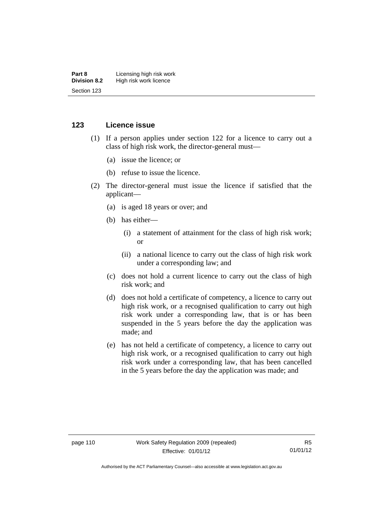#### **Part 8 Licensing high risk work**<br>**Division 8.2** High risk work licence **High risk work licence** Section 123

#### **123 Licence issue**

- (1) If a person applies under section 122 for a licence to carry out a class of high risk work, the director-general must—
	- (a) issue the licence; or
	- (b) refuse to issue the licence.
- (2) The director-general must issue the licence if satisfied that the applicant—
	- (a) is aged 18 years or over; and
	- (b) has either—
		- (i) a statement of attainment for the class of high risk work; or
		- (ii) a national licence to carry out the class of high risk work under a corresponding law; and
	- (c) does not hold a current licence to carry out the class of high risk work; and
	- (d) does not hold a certificate of competency, a licence to carry out high risk work, or a recognised qualification to carry out high risk work under a corresponding law, that is or has been suspended in the 5 years before the day the application was made; and
	- (e) has not held a certificate of competency, a licence to carry out high risk work, or a recognised qualification to carry out high risk work under a corresponding law, that has been cancelled in the 5 years before the day the application was made; and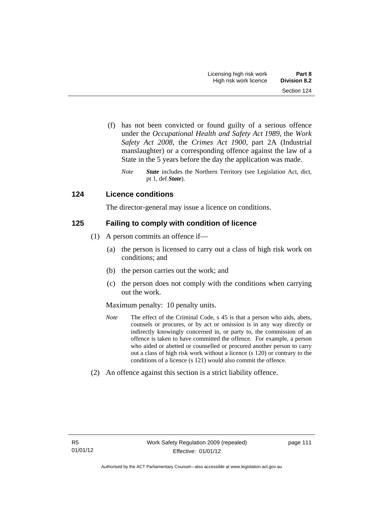- (f) has not been convicted or found guilty of a serious offence under the *Occupational Health and Safety Act 1989*, the *Work Safety Act 2008*, the *Crimes Act 1900*, part 2A (Industrial manslaughter) or a corresponding offence against the law of a State in the 5 years before the day the application was made.
	- *Note State* includes the Northern Territory (see Legislation Act, dict, pt 1, def *State*).

## **124 Licence conditions**

The director-general may issue a licence on conditions.

## **125 Failing to comply with condition of licence**

- (1) A person commits an offence if—
	- (a) the person is licensed to carry out a class of high risk work on conditions; and
	- (b) the person carries out the work; and
	- (c) the person does not comply with the conditions when carrying out the work.

#### Maximum penalty: 10 penalty units.

- *Note* The effect of the Criminal Code, s 45 is that a person who aids, abets, counsels or procures, or by act or omission is in any way directly or indirectly knowingly concerned in, or party to, the commission of an offence is taken to have committed the offence. For example, a person who aided or abetted or counselled or procured another person to carry out a class of high risk work without a licence (s 120) or contrary to the conditions of a licence (s 121) would also commit the offence.
- (2) An offence against this section is a strict liability offence.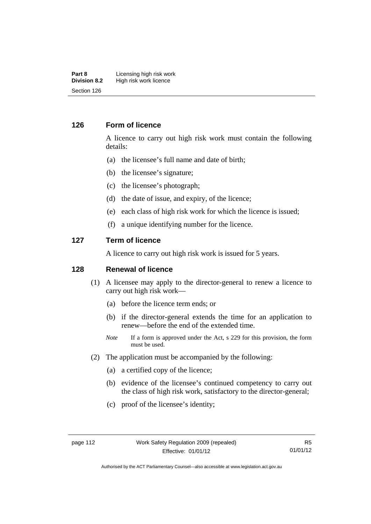#### **Part 8 Licensing high risk work**<br>**Division 8.2 High risk work licence High risk work licence** Section 126

#### **126 Form of licence**

A licence to carry out high risk work must contain the following details:

- (a) the licensee's full name and date of birth;
- (b) the licensee's signature;
- (c) the licensee's photograph;
- (d) the date of issue, and expiry, of the licence;
- (e) each class of high risk work for which the licence is issued;
- (f) a unique identifying number for the licence.

#### **127 Term of licence**

A licence to carry out high risk work is issued for 5 years.

#### **128 Renewal of licence**

- (1) A licensee may apply to the director-general to renew a licence to carry out high risk work—
	- (a) before the licence term ends; or
	- (b) if the director-general extends the time for an application to renew—before the end of the extended time.
	- *Note* If a form is approved under the Act, s 229 for this provision, the form must be used.
- (2) The application must be accompanied by the following:
	- (a) a certified copy of the licence;
	- (b) evidence of the licensee's continued competency to carry out the class of high risk work, satisfactory to the director-general;
	- (c) proof of the licensee's identity;

Authorised by the ACT Parliamentary Counsel—also accessible at www.legislation.act.gov.au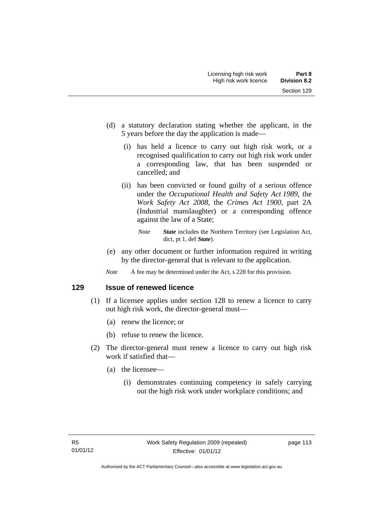- (d) a statutory declaration stating whether the applicant, in the 5 years before the day the application is made—
	- (i) has held a licence to carry out high risk work, or a recognised qualification to carry out high risk work under a corresponding law, that has been suspended or cancelled; and
	- (ii) has been convicted or found guilty of a serious offence under the *Occupational Health and Safety Act 1989*, the *Work Safety Act 2008*, the *Crimes Act 1900*, part 2A (Industrial manslaughter) or a corresponding offence against the law of a State;

- (e) any other document or further information required in writing by the director-general that is relevant to the application.
- *Note* A fee may be determined under the Act, s 228 for this provision.

**129 Issue of renewed licence** 

- (1) If a licensee applies under section 128 to renew a licence to carry out high risk work, the director-general must—
	- (a) renew the licence; or
	- (b) refuse to renew the licence.
- (2) The director-general must renew a licence to carry out high risk work if satisfied that—
	- (a) the licensee—
		- (i) demonstrates continuing competency in safely carrying out the high risk work under workplace conditions; and

*Note State* includes the Northern Territory (see Legislation Act, dict, pt 1, def *State*).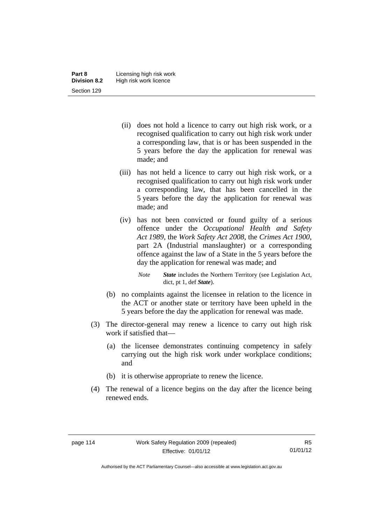- (ii) does not hold a licence to carry out high risk work, or a recognised qualification to carry out high risk work under a corresponding law, that is or has been suspended in the 5 years before the day the application for renewal was made; and
- (iii) has not held a licence to carry out high risk work, or a recognised qualification to carry out high risk work under a corresponding law, that has been cancelled in the 5 years before the day the application for renewal was made; and
- (iv) has not been convicted or found guilty of a serious offence under the *Occupational Health and Safety Act 1989*, the *Work Safety Act 2008*, the *Crimes Act 1900*, part 2A (Industrial manslaughter) or a corresponding offence against the law of a State in the 5 years before the day the application for renewal was made; and
	- *Note State* includes the Northern Territory (see Legislation Act, dict, pt 1, def *State*).
- (b) no complaints against the licensee in relation to the licence in the ACT or another state or territory have been upheld in the 5 years before the day the application for renewal was made.
- (3) The director-general may renew a licence to carry out high risk work if satisfied that—
	- (a) the licensee demonstrates continuing competency in safely carrying out the high risk work under workplace conditions; and
	- (b) it is otherwise appropriate to renew the licence.
- (4) The renewal of a licence begins on the day after the licence being renewed ends.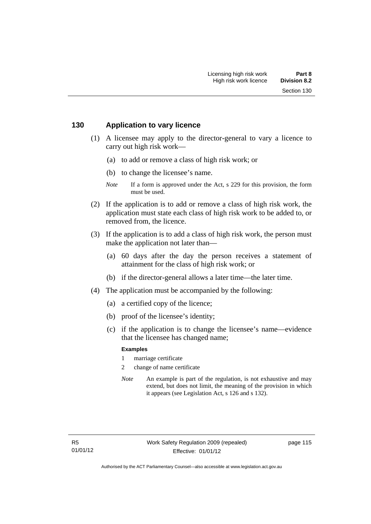#### **130 Application to vary licence**

- (1) A licensee may apply to the director-general to vary a licence to carry out high risk work—
	- (a) to add or remove a class of high risk work; or
	- (b) to change the licensee's name.
	- *Note* If a form is approved under the Act, s 229 for this provision, the form must be used.
- (2) If the application is to add or remove a class of high risk work, the application must state each class of high risk work to be added to, or removed from, the licence.
- (3) If the application is to add a class of high risk work, the person must make the application not later than—
	- (a) 60 days after the day the person receives a statement of attainment for the class of high risk work; or
	- (b) if the director-general allows a later time—the later time.
- (4) The application must be accompanied by the following:
	- (a) a certified copy of the licence;
	- (b) proof of the licensee's identity;
	- (c) if the application is to change the licensee's name—evidence that the licensee has changed name;

#### **Examples**

- 1 marriage certificate
- 2 change of name certificate
- *Note* An example is part of the regulation, is not exhaustive and may extend, but does not limit, the meaning of the provision in which it appears (see Legislation Act, s 126 and s 132).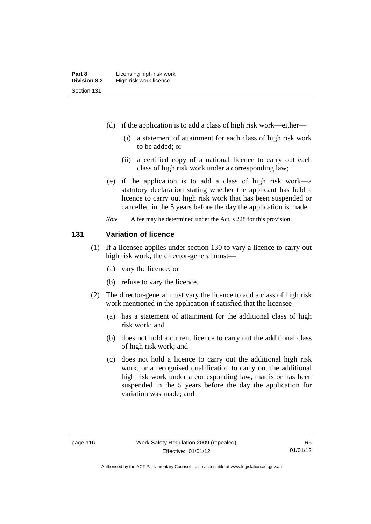- (d) if the application is to add a class of high risk work—either—
	- (i) a statement of attainment for each class of high risk work to be added; or
	- (ii) a certified copy of a national licence to carry out each class of high risk work under a corresponding law;
- (e) if the application is to add a class of high risk work—a statutory declaration stating whether the applicant has held a licence to carry out high risk work that has been suspended or cancelled in the 5 years before the day the application is made.
- *Note* A fee may be determined under the Act, s 228 for this provision.

#### **131 Variation of licence**

- (1) If a licensee applies under section 130 to vary a licence to carry out high risk work, the director-general must—
	- (a) vary the licence; or
	- (b) refuse to vary the licence.
- (2) The director-general must vary the licence to add a class of high risk work mentioned in the application if satisfied that the licensee—
	- (a) has a statement of attainment for the additional class of high risk work; and
	- (b) does not hold a current licence to carry out the additional class of high risk work; and
	- (c) does not hold a licence to carry out the additional high risk work, or a recognised qualification to carry out the additional high risk work under a corresponding law, that is or has been suspended in the 5 years before the day the application for variation was made; and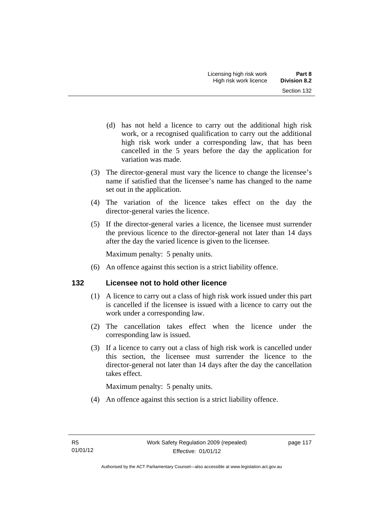- (d) has not held a licence to carry out the additional high risk work, or a recognised qualification to carry out the additional high risk work under a corresponding law, that has been cancelled in the 5 years before the day the application for variation was made.
- (3) The director-general must vary the licence to change the licensee's name if satisfied that the licensee's name has changed to the name set out in the application.
- (4) The variation of the licence takes effect on the day the director-general varies the licence.
- (5) If the director-general varies a licence, the licensee must surrender the previous licence to the director-general not later than 14 days after the day the varied licence is given to the licensee.

Maximum penalty: 5 penalty units.

(6) An offence against this section is a strict liability offence.

## **132 Licensee not to hold other licence**

- (1) A licence to carry out a class of high risk work issued under this part is cancelled if the licensee is issued with a licence to carry out the work under a corresponding law.
- (2) The cancellation takes effect when the licence under the corresponding law is issued.
- (3) If a licence to carry out a class of high risk work is cancelled under this section, the licensee must surrender the licence to the director-general not later than 14 days after the day the cancellation takes effect.

Maximum penalty: 5 penalty units.

(4) An offence against this section is a strict liability offence.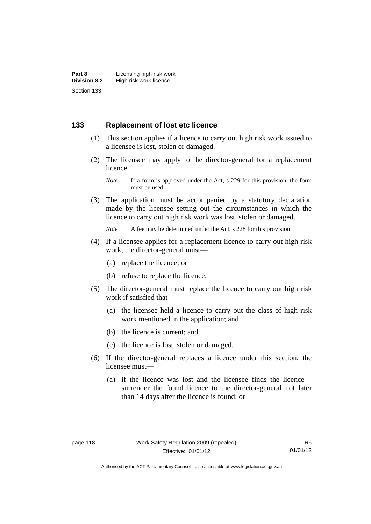## **133 Replacement of lost etc licence**

- (1) This section applies if a licence to carry out high risk work issued to a licensee is lost, stolen or damaged.
- (2) The licensee may apply to the director-general for a replacement licence.

 (3) The application must be accompanied by a statutory declaration made by the licensee setting out the circumstances in which the licence to carry out high risk work was lost, stolen or damaged.

*Note* A fee may be determined under the Act, s 228 for this provision.

- (4) If a licensee applies for a replacement licence to carry out high risk work, the director-general must—
	- (a) replace the licence; or
	- (b) refuse to replace the licence.
- (5) The director-general must replace the licence to carry out high risk work if satisfied that—
	- (a) the licensee held a licence to carry out the class of high risk work mentioned in the application; and
	- (b) the licence is current; and
	- (c) the licence is lost, stolen or damaged.
- (6) If the director-general replaces a licence under this section, the licensee must—
	- (a) if the licence was lost and the licensee finds the licence surrender the found licence to the director-general not later than 14 days after the licence is found; or

*Note* If a form is approved under the Act, s 229 for this provision, the form must be used.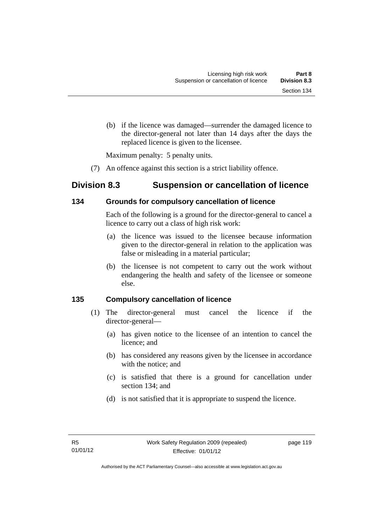(b) if the licence was damaged—surrender the damaged licence to the director-general not later than 14 days after the days the replaced licence is given to the licensee.

Maximum penalty: 5 penalty units.

(7) An offence against this section is a strict liability offence.

# **Division 8.3 Suspension or cancellation of licence**

## **134 Grounds for compulsory cancellation of licence**

Each of the following is a ground for the director-general to cancel a licence to carry out a class of high risk work:

- (a) the licence was issued to the licensee because information given to the director-general in relation to the application was false or misleading in a material particular;
- (b) the licensee is not competent to carry out the work without endangering the health and safety of the licensee or someone else.

## **135 Compulsory cancellation of licence**

- (1) The director-general must cancel the licence if the director-general—
	- (a) has given notice to the licensee of an intention to cancel the licence; and
	- (b) has considered any reasons given by the licensee in accordance with the notice; and
	- (c) is satisfied that there is a ground for cancellation under section 134; and
	- (d) is not satisfied that it is appropriate to suspend the licence.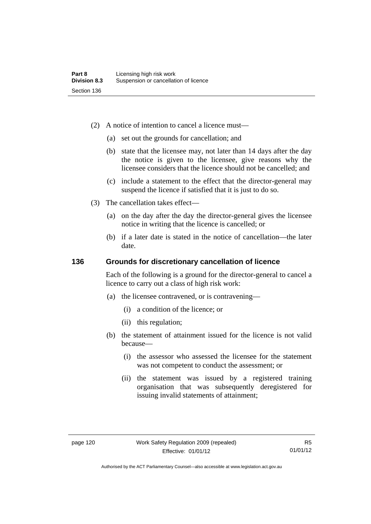- (2) A notice of intention to cancel a licence must—
	- (a) set out the grounds for cancellation; and
	- (b) state that the licensee may, not later than 14 days after the day the notice is given to the licensee, give reasons why the licensee considers that the licence should not be cancelled; and
	- (c) include a statement to the effect that the director-general may suspend the licence if satisfied that it is just to do so.
- (3) The cancellation takes effect—
	- (a) on the day after the day the director-general gives the licensee notice in writing that the licence is cancelled; or
	- (b) if a later date is stated in the notice of cancellation—the later date.

#### **136 Grounds for discretionary cancellation of licence**

Each of the following is a ground for the director-general to cancel a licence to carry out a class of high risk work:

- (a) the licensee contravened, or is contravening—
	- (i) a condition of the licence; or
	- (ii) this regulation;
- (b) the statement of attainment issued for the licence is not valid because—
	- (i) the assessor who assessed the licensee for the statement was not competent to conduct the assessment; or
	- (ii) the statement was issued by a registered training organisation that was subsequently deregistered for issuing invalid statements of attainment;

Authorised by the ACT Parliamentary Counsel—also accessible at www.legislation.act.gov.au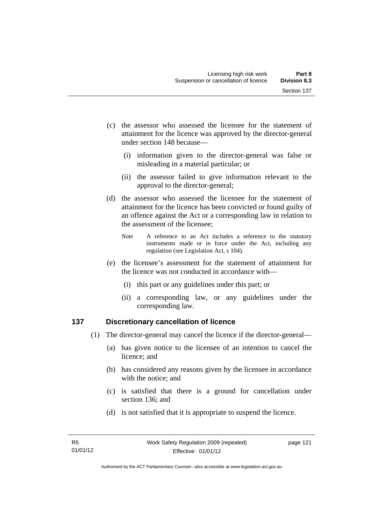- (c) the assessor who assessed the licensee for the statement of attainment for the licence was approved by the director-general under section 148 because—
	- (i) information given to the director-general was false or misleading in a material particular; or
	- (ii) the assessor failed to give information relevant to the approval to the director-general;
- (d) the assessor who assessed the licensee for the statement of attainment for the licence has been convicted or found guilty of an offence against the Act or a corresponding law in relation to the assessment of the licensee;
	- *Note* A reference to an Act includes a reference to the statutory instruments made or in force under the Act, including any regulation (see Legislation Act, s 104).
- (e) the licensee's assessment for the statement of attainment for the licence was not conducted in accordance with—
	- (i) this part or any guidelines under this part; or
	- (ii) a corresponding law, or any guidelines under the corresponding law.

## **137 Discretionary cancellation of licence**

- (1) The director-general may cancel the licence if the director-general—
	- (a) has given notice to the licensee of an intention to cancel the licence; and
	- (b) has considered any reasons given by the licensee in accordance with the notice; and
	- (c) is satisfied that there is a ground for cancellation under section 136; and
	- (d) is not satisfied that it is appropriate to suspend the licence.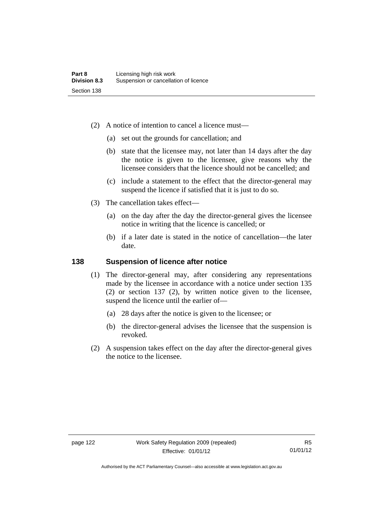- (2) A notice of intention to cancel a licence must—
	- (a) set out the grounds for cancellation; and
	- (b) state that the licensee may, not later than 14 days after the day the notice is given to the licensee, give reasons why the licensee considers that the licence should not be cancelled; and
	- (c) include a statement to the effect that the director-general may suspend the licence if satisfied that it is just to do so.
- (3) The cancellation takes effect—
	- (a) on the day after the day the director-general gives the licensee notice in writing that the licence is cancelled; or
	- (b) if a later date is stated in the notice of cancellation—the later date.

#### **138 Suspension of licence after notice**

- (1) The director-general may, after considering any representations made by the licensee in accordance with a notice under section 135 (2) or section 137 (2), by written notice given to the licensee, suspend the licence until the earlier of—
	- (a) 28 days after the notice is given to the licensee; or
	- (b) the director-general advises the licensee that the suspension is revoked.
- (2) A suspension takes effect on the day after the director-general gives the notice to the licensee.

R5 01/01/12

Authorised by the ACT Parliamentary Counsel—also accessible at www.legislation.act.gov.au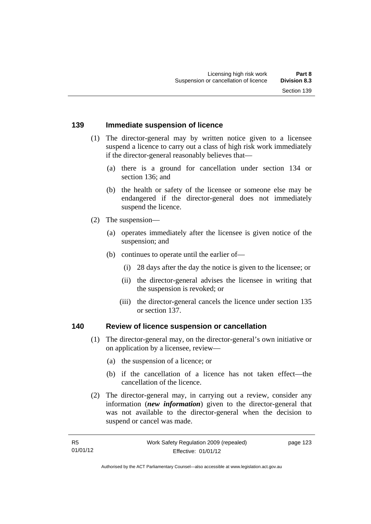page 123

#### **139 Immediate suspension of licence**

- (1) The director-general may by written notice given to a licensee suspend a licence to carry out a class of high risk work immediately if the director-general reasonably believes that—
	- (a) there is a ground for cancellation under section 134 or section 136; and
	- (b) the health or safety of the licensee or someone else may be endangered if the director-general does not immediately suspend the licence.
- (2) The suspension—
	- (a) operates immediately after the licensee is given notice of the suspension; and
	- (b) continues to operate until the earlier of—
		- (i) 28 days after the day the notice is given to the licensee; or
		- (ii) the director-general advises the licensee in writing that the suspension is revoked; or
		- (iii) the director-general cancels the licence under section 135 or section 137.

#### **140 Review of licence suspension or cancellation**

- (1) The director-general may, on the director-general's own initiative or on application by a licensee, review—
	- (a) the suspension of a licence; or
	- (b) if the cancellation of a licence has not taken effect—the cancellation of the licence.
- (2) The director-general may, in carrying out a review, consider any information (*new information*) given to the director-general that was not available to the director-general when the decision to suspend or cancel was made.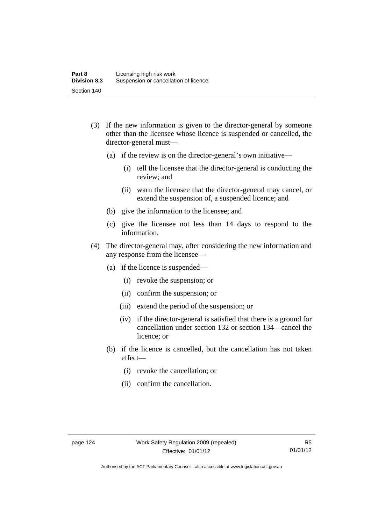- (3) If the new information is given to the director-general by someone other than the licensee whose licence is suspended or cancelled, the director-general must—
	- (a) if the review is on the director-general's own initiative—
		- (i) tell the licensee that the director-general is conducting the review; and
		- (ii) warn the licensee that the director-general may cancel, or extend the suspension of, a suspended licence; and
	- (b) give the information to the licensee; and
	- (c) give the licensee not less than 14 days to respond to the information.
- (4) The director-general may, after considering the new information and any response from the licensee—
	- (a) if the licence is suspended—
		- (i) revoke the suspension; or
		- (ii) confirm the suspension; or
		- (iii) extend the period of the suspension; or
		- (iv) if the director-general is satisfied that there is a ground for cancellation under section 132 or section 134—cancel the licence; or
	- (b) if the licence is cancelled, but the cancellation has not taken effect—
		- (i) revoke the cancellation; or
		- (ii) confirm the cancellation.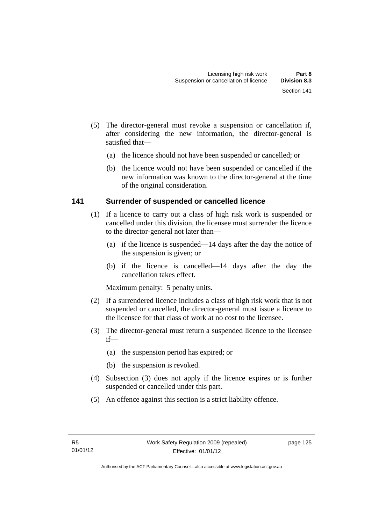- (5) The director-general must revoke a suspension or cancellation if, after considering the new information, the director-general is satisfied that—
	- (a) the licence should not have been suspended or cancelled; or
	- (b) the licence would not have been suspended or cancelled if the new information was known to the director-general at the time of the original consideration.

## **141 Surrender of suspended or cancelled licence**

- (1) If a licence to carry out a class of high risk work is suspended or cancelled under this division, the licensee must surrender the licence to the director-general not later than—
	- (a) if the licence is suspended—14 days after the day the notice of the suspension is given; or
	- (b) if the licence is cancelled—14 days after the day the cancellation takes effect.

Maximum penalty: 5 penalty units.

- (2) If a surrendered licence includes a class of high risk work that is not suspended or cancelled, the director-general must issue a licence to the licensee for that class of work at no cost to the licensee.
- (3) The director-general must return a suspended licence to the licensee if—
	- (a) the suspension period has expired; or
	- (b) the suspension is revoked.
- (4) Subsection (3) does not apply if the licence expires or is further suspended or cancelled under this part.
- (5) An offence against this section is a strict liability offence.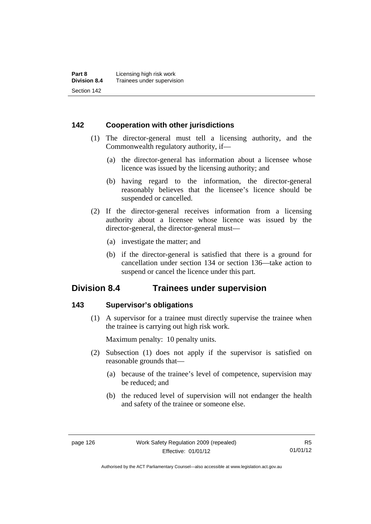## **142 Cooperation with other jurisdictions**

- (1) The director-general must tell a licensing authority, and the Commonwealth regulatory authority, if—
	- (a) the director-general has information about a licensee whose licence was issued by the licensing authority; and
	- (b) having regard to the information, the director-general reasonably believes that the licensee's licence should be suspended or cancelled.
- (2) If the director-general receives information from a licensing authority about a licensee whose licence was issued by the director-general, the director-general must—
	- (a) investigate the matter; and
	- (b) if the director-general is satisfied that there is a ground for cancellation under section 134 or section 136—take action to suspend or cancel the licence under this part.

# **Division 8.4 Trainees under supervision**

### **143 Supervisor's obligations**

 (1) A supervisor for a trainee must directly supervise the trainee when the trainee is carrying out high risk work.

Maximum penalty: 10 penalty units.

- (2) Subsection (1) does not apply if the supervisor is satisfied on reasonable grounds that—
	- (a) because of the trainee's level of competence, supervision may be reduced; and
	- (b) the reduced level of supervision will not endanger the health and safety of the trainee or someone else.

Authorised by the ACT Parliamentary Counsel—also accessible at www.legislation.act.gov.au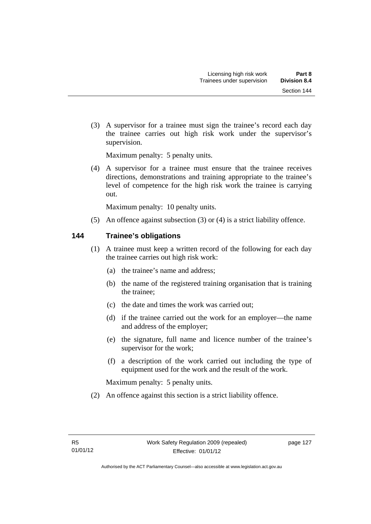(3) A supervisor for a trainee must sign the trainee's record each day the trainee carries out high risk work under the supervisor's supervision.

Maximum penalty: 5 penalty units.

 (4) A supervisor for a trainee must ensure that the trainee receives directions, demonstrations and training appropriate to the trainee's level of competence for the high risk work the trainee is carrying out.

Maximum penalty: 10 penalty units.

(5) An offence against subsection (3) or (4) is a strict liability offence.

## **144 Trainee's obligations**

- (1) A trainee must keep a written record of the following for each day the trainee carries out high risk work:
	- (a) the trainee's name and address;
	- (b) the name of the registered training organisation that is training the trainee;
	- (c) the date and times the work was carried out;
	- (d) if the trainee carried out the work for an employer—the name and address of the employer;
	- (e) the signature, full name and licence number of the trainee's supervisor for the work;
	- (f) a description of the work carried out including the type of equipment used for the work and the result of the work.

Maximum penalty: 5 penalty units.

(2) An offence against this section is a strict liability offence.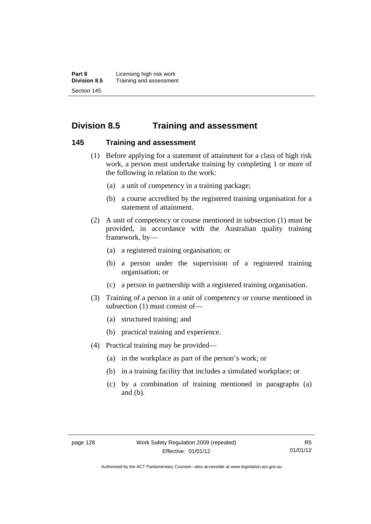**Part 8 Licensing high risk work**<br>**Division 8.5** Training and assessmen **Division 8.5** Training and assessment Section 145

# **Division 8.5 Training and assessment**

#### **145 Training and assessment**

- (1) Before applying for a statement of attainment for a class of high risk work, a person must undertake training by completing 1 or more of the following in relation to the work:
	- (a) a unit of competency in a training package;
	- (b) a course accredited by the registered training organisation for a statement of attainment.
- (2) A unit of competency or course mentioned in subsection (1) must be provided, in accordance with the Australian quality training framework, by—
	- (a) a registered training organisation; or
	- (b) a person under the supervision of a registered training organisation; or
	- (c) a person in partnership with a registered training organisation.
- (3) Training of a person in a unit of competency or course mentioned in subsection (1) must consist of—
	- (a) structured training; and
	- (b) practical training and experience.
- (4) Practical training may be provided—
	- (a) in the workplace as part of the person's work; or
	- (b) in a training facility that includes a simulated workplace; or
	- (c) by a combination of training mentioned in paragraphs (a) and (b).

Authorised by the ACT Parliamentary Counsel—also accessible at www.legislation.act.gov.au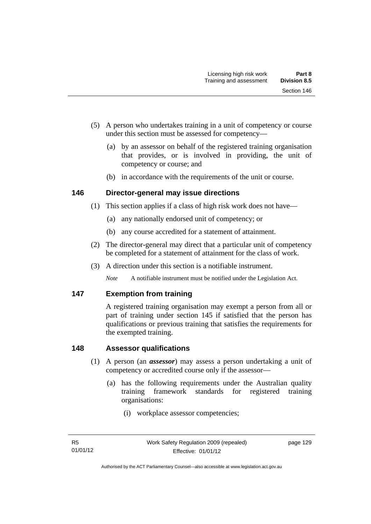- (5) A person who undertakes training in a unit of competency or course under this section must be assessed for competency—
	- (a) by an assessor on behalf of the registered training organisation that provides, or is involved in providing, the unit of competency or course; and
	- (b) in accordance with the requirements of the unit or course.

## **146 Director-general may issue directions**

- (1) This section applies if a class of high risk work does not have—
	- (a) any nationally endorsed unit of competency; or
	- (b) any course accredited for a statement of attainment.
- (2) The director-general may direct that a particular unit of competency be completed for a statement of attainment for the class of work.
- (3) A direction under this section is a notifiable instrument.

*Note* A notifiable instrument must be notified under the Legislation Act.

## **147 Exemption from training**

A registered training organisation may exempt a person from all or part of training under section 145 if satisfied that the person has qualifications or previous training that satisfies the requirements for the exempted training.

## **148 Assessor qualifications**

- (1) A person (an *assessor*) may assess a person undertaking a unit of competency or accredited course only if the assessor—
	- (a) has the following requirements under the Australian quality training framework standards for registered training organisations:
		- (i) workplace assessor competencies;

page 129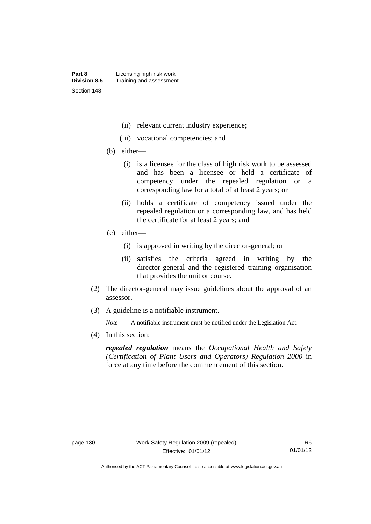- (ii) relevant current industry experience;
- (iii) vocational competencies; and
- (b) either—
	- (i) is a licensee for the class of high risk work to be assessed and has been a licensee or held a certificate of competency under the repealed regulation or a corresponding law for a total of at least 2 years; or
	- (ii) holds a certificate of competency issued under the repealed regulation or a corresponding law, and has held the certificate for at least 2 years; and
- (c) either—
	- (i) is approved in writing by the director-general; or
	- (ii) satisfies the criteria agreed in writing by the director-general and the registered training organisation that provides the unit or course.
- (2) The director-general may issue guidelines about the approval of an assessor.
- (3) A guideline is a notifiable instrument.

*Note* A notifiable instrument must be notified under the Legislation Act.

(4) In this section:

*repealed regulation* means the *Occupational Health and Safety (Certification of Plant Users and Operators) Regulation 2000* in force at any time before the commencement of this section.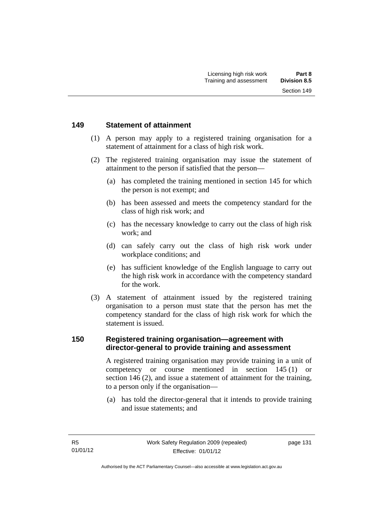#### **149 Statement of attainment**

- (1) A person may apply to a registered training organisation for a statement of attainment for a class of high risk work.
- (2) The registered training organisation may issue the statement of attainment to the person if satisfied that the person—
	- (a) has completed the training mentioned in section 145 for which the person is not exempt; and
	- (b) has been assessed and meets the competency standard for the class of high risk work; and
	- (c) has the necessary knowledge to carry out the class of high risk work; and
	- (d) can safely carry out the class of high risk work under workplace conditions; and
	- (e) has sufficient knowledge of the English language to carry out the high risk work in accordance with the competency standard for the work.
- (3) A statement of attainment issued by the registered training organisation to a person must state that the person has met the competency standard for the class of high risk work for which the statement is issued.

#### **150 Registered training organisation—agreement with director-general to provide training and assessment**

A registered training organisation may provide training in a unit of competency or course mentioned in section 145 (1) or section 146 (2), and issue a statement of attainment for the training, to a person only if the organisation—

 (a) has told the director-general that it intends to provide training and issue statements; and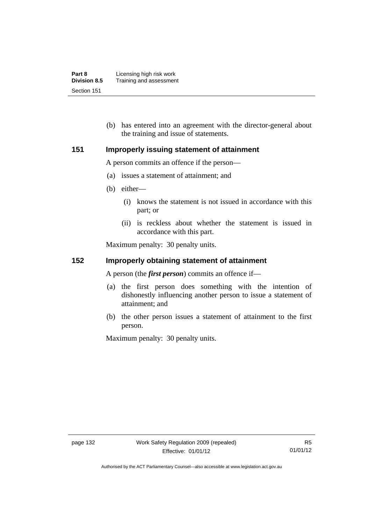| Part 8              | Licensing high risk work |
|---------------------|--------------------------|
| <b>Division 8.5</b> | Training and assessment  |
| Section 151         |                          |

 (b) has entered into an agreement with the director-general about the training and issue of statements.

#### **151 Improperly issuing statement of attainment**

A person commits an offence if the person—

- (a) issues a statement of attainment; and
- (b) either—
	- (i) knows the statement is not issued in accordance with this part; or
	- (ii) is reckless about whether the statement is issued in accordance with this part.

Maximum penalty: 30 penalty units.

#### **152 Improperly obtaining statement of attainment**

A person (the *first person*) commits an offence if—

- (a) the first person does something with the intention of dishonestly influencing another person to issue a statement of attainment; and
- (b) the other person issues a statement of attainment to the first person.

Maximum penalty: 30 penalty units.

R5 01/01/12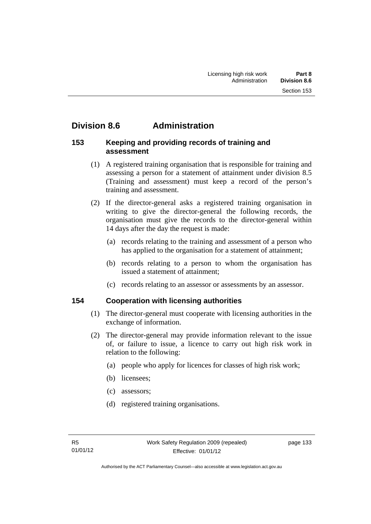# **Division 8.6 Administration**

#### **153 Keeping and providing records of training and assessment**

- (1) A registered training organisation that is responsible for training and assessing a person for a statement of attainment under division 8.5 (Training and assessment) must keep a record of the person's training and assessment.
- (2) If the director-general asks a registered training organisation in writing to give the director-general the following records, the organisation must give the records to the director-general within 14 days after the day the request is made:
	- (a) records relating to the training and assessment of a person who has applied to the organisation for a statement of attainment;
	- (b) records relating to a person to whom the organisation has issued a statement of attainment;
	- (c) records relating to an assessor or assessments by an assessor.

## **154 Cooperation with licensing authorities**

- (1) The director-general must cooperate with licensing authorities in the exchange of information.
- (2) The director-general may provide information relevant to the issue of, or failure to issue, a licence to carry out high risk work in relation to the following:
	- (a) people who apply for licences for classes of high risk work;
	- (b) licensees;
	- (c) assessors;
	- (d) registered training organisations.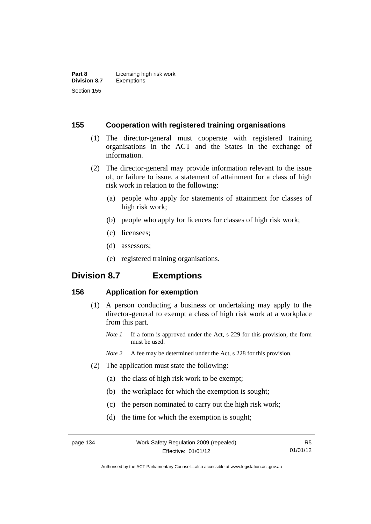#### **155 Cooperation with registered training organisations**

- (1) The director-general must cooperate with registered training organisations in the ACT and the States in the exchange of information.
- (2) The director-general may provide information relevant to the issue of, or failure to issue, a statement of attainment for a class of high risk work in relation to the following:
	- (a) people who apply for statements of attainment for classes of high risk work;
	- (b) people who apply for licences for classes of high risk work;
	- (c) licensees;
	- (d) assessors;
	- (e) registered training organisations.

# **Division 8.7 Exemptions**

## **156 Application for exemption**

- (1) A person conducting a business or undertaking may apply to the director-general to exempt a class of high risk work at a workplace from this part.
	- *Note 1* If a form is approved under the Act, s 229 for this provision, the form must be used.
	- *Note 2* A fee may be determined under the Act, s 228 for this provision.
- (2) The application must state the following:
	- (a) the class of high risk work to be exempt;
	- (b) the workplace for which the exemption is sought;
	- (c) the person nominated to carry out the high risk work;
	- (d) the time for which the exemption is sought;

Authorised by the ACT Parliamentary Counsel—also accessible at www.legislation.act.gov.au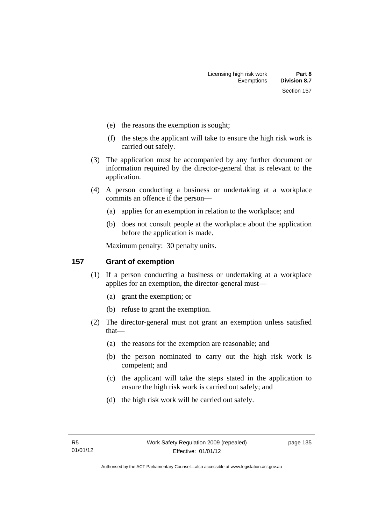- (e) the reasons the exemption is sought;
- (f) the steps the applicant will take to ensure the high risk work is carried out safely.
- (3) The application must be accompanied by any further document or information required by the director-general that is relevant to the application.
- (4) A person conducting a business or undertaking at a workplace commits an offence if the person—
	- (a) applies for an exemption in relation to the workplace; and
	- (b) does not consult people at the workplace about the application before the application is made.

Maximum penalty: 30 penalty units.

#### **157 Grant of exemption**

- (1) If a person conducting a business or undertaking at a workplace applies for an exemption, the director-general must—
	- (a) grant the exemption; or
	- (b) refuse to grant the exemption.
- (2) The director-general must not grant an exemption unless satisfied that—
	- (a) the reasons for the exemption are reasonable; and
	- (b) the person nominated to carry out the high risk work is competent; and
	- (c) the applicant will take the steps stated in the application to ensure the high risk work is carried out safely; and
	- (d) the high risk work will be carried out safely.

page 135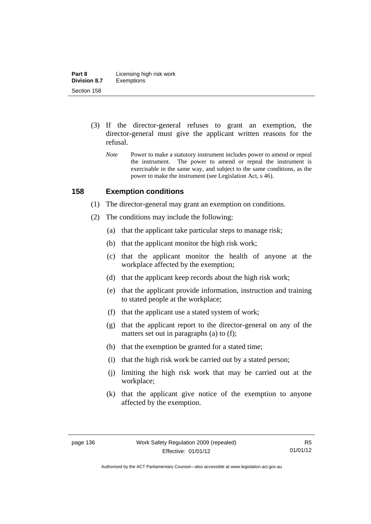- (3) If the director-general refuses to grant an exemption, the director-general must give the applicant written reasons for the refusal.
	- *Note* Power to make a statutory instrument includes power to amend or repeal the instrument. The power to amend or repeal the instrument is exercisable in the same way, and subject to the same conditions, as the power to make the instrument (see Legislation Act, s 46).

#### **158 Exemption conditions**

- (1) The director-general may grant an exemption on conditions.
- (2) The conditions may include the following:
	- (a) that the applicant take particular steps to manage risk;
	- (b) that the applicant monitor the high risk work;
	- (c) that the applicant monitor the health of anyone at the workplace affected by the exemption;
	- (d) that the applicant keep records about the high risk work;
	- (e) that the applicant provide information, instruction and training to stated people at the workplace;
	- (f) that the applicant use a stated system of work;
	- (g) that the applicant report to the director-general on any of the matters set out in paragraphs (a) to (f);
	- (h) that the exemption be granted for a stated time;
	- (i) that the high risk work be carried out by a stated person;
	- (j) limiting the high risk work that may be carried out at the workplace;
	- (k) that the applicant give notice of the exemption to anyone affected by the exemption.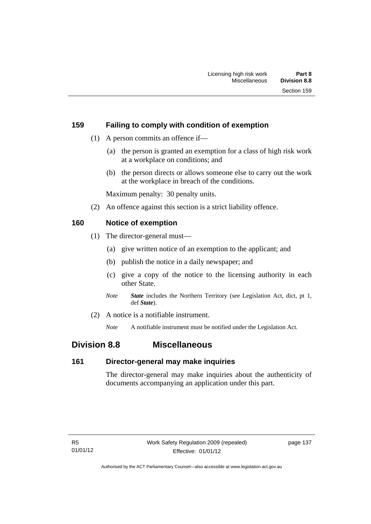## **159 Failing to comply with condition of exemption**

- (1) A person commits an offence if—
	- (a) the person is granted an exemption for a class of high risk work at a workplace on conditions; and
	- (b) the person directs or allows someone else to carry out the work at the workplace in breach of the conditions.

Maximum penalty: 30 penalty units.

(2) An offence against this section is a strict liability offence.

## **160 Notice of exemption**

- (1) The director-general must—
	- (a) give written notice of an exemption to the applicant; and
	- (b) publish the notice in a daily newspaper; and
	- (c) give a copy of the notice to the licensing authority in each other State.
	- *Note State* includes the Northern Territory (see Legislation Act, dict, pt 1, def *State*).
- (2) A notice is a notifiable instrument.

*Note* A notifiable instrument must be notified under the Legislation Act.

## **Division 8.8 Miscellaneous**

#### **161 Director-general may make inquiries**

The director-general may make inquiries about the authenticity of documents accompanying an application under this part.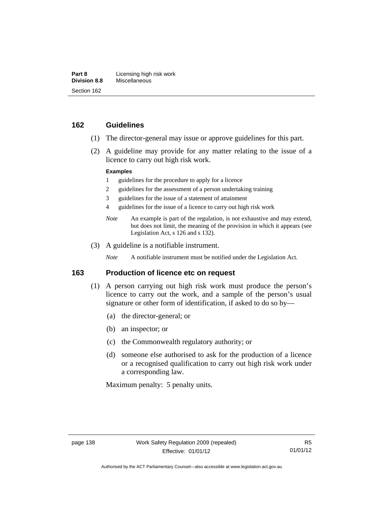#### **162 Guidelines**

- (1) The director-general may issue or approve guidelines for this part.
- (2) A guideline may provide for any matter relating to the issue of a licence to carry out high risk work.

#### **Examples**

- 1 guidelines for the procedure to apply for a licence
- 2 guidelines for the assessment of a person undertaking training
- 3 guidelines for the issue of a statement of attainment
- 4 guidelines for the issue of a licence to carry out high risk work
- *Note* An example is part of the regulation, is not exhaustive and may extend, but does not limit, the meaning of the provision in which it appears (see Legislation Act, s 126 and s 132).
- (3) A guideline is a notifiable instrument.

*Note* A notifiable instrument must be notified under the Legislation Act.

#### **163 Production of licence etc on request**

- (1) A person carrying out high risk work must produce the person's licence to carry out the work, and a sample of the person's usual signature or other form of identification, if asked to do so by—
	- (a) the director-general; or
	- (b) an inspector; or
	- (c) the Commonwealth regulatory authority; or
	- (d) someone else authorised to ask for the production of a licence or a recognised qualification to carry out high risk work under a corresponding law.

Maximum penalty: 5 penalty units.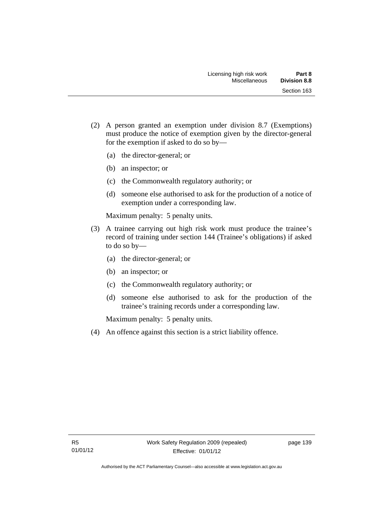- (2) A person granted an exemption under division 8.7 (Exemptions) must produce the notice of exemption given by the director-general for the exemption if asked to do so by—
	- (a) the director-general; or
	- (b) an inspector; or
	- (c) the Commonwealth regulatory authority; or
	- (d) someone else authorised to ask for the production of a notice of exemption under a corresponding law.

Maximum penalty: 5 penalty units.

- (3) A trainee carrying out high risk work must produce the trainee's record of training under section 144 (Trainee's obligations) if asked to do so by—
	- (a) the director-general; or
	- (b) an inspector; or
	- (c) the Commonwealth regulatory authority; or
	- (d) someone else authorised to ask for the production of the trainee's training records under a corresponding law.

Maximum penalty: 5 penalty units.

(4) An offence against this section is a strict liability offence.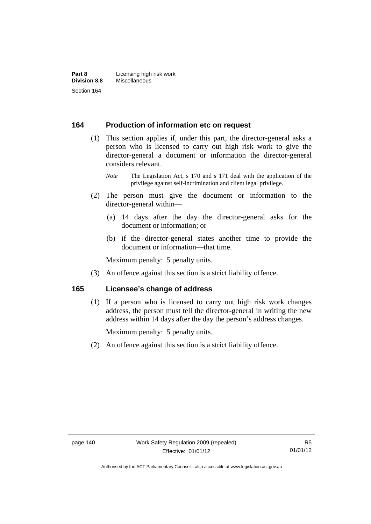#### **164 Production of information etc on request**

 (1) This section applies if, under this part, the director-general asks a person who is licensed to carry out high risk work to give the director-general a document or information the director-general considers relevant.

- (2) The person must give the document or information to the director-general within—
	- (a) 14 days after the day the director-general asks for the document or information; or
	- (b) if the director-general states another time to provide the document or information—that time.

Maximum penalty: 5 penalty units.

(3) An offence against this section is a strict liability offence.

#### **165 Licensee's change of address**

(1) If a person who is licensed to carry out high risk work changes address, the person must tell the director-general in writing the new address within 14 days after the day the person's address changes.

Maximum penalty: 5 penalty units.

(2) An offence against this section is a strict liability offence.

*Note* The Legislation Act, s 170 and s 171 deal with the application of the privilege against self-incrimination and client legal privilege.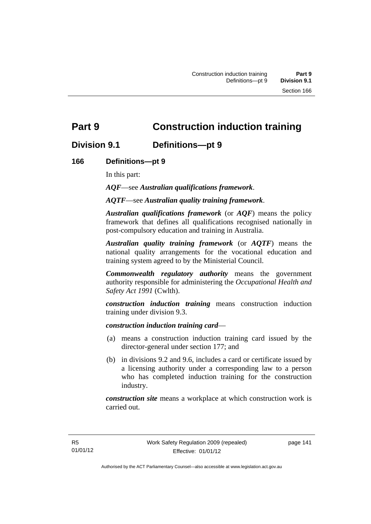# **Part 9 Construction induction training**

## **Division 9.1 Definitions—pt 9**

## **166 Definitions—pt 9**

In this part:

*AQF*—see *Australian qualifications framework*.

*AQTF*—see *Australian quality training framework*.

*Australian qualifications framework* (or *AQF*) means the policy framework that defines all qualifications recognised nationally in post-compulsory education and training in Australia.

*Australian quality training framework* (or *AQTF*) means the national quality arrangements for the vocational education and training system agreed to by the Ministerial Council.

*Commonwealth regulatory authority* means the government authority responsible for administering the *Occupational Health and Safety Act 1991* (Cwlth).

*construction induction training* means construction induction training under division 9.3.

#### *construction induction training card*—

- (a) means a construction induction training card issued by the director-general under section 177; and
- (b) in divisions 9.2 and 9.6, includes a card or certificate issued by a licensing authority under a corresponding law to a person who has completed induction training for the construction industry.

*construction site* means a workplace at which construction work is carried out.

page 141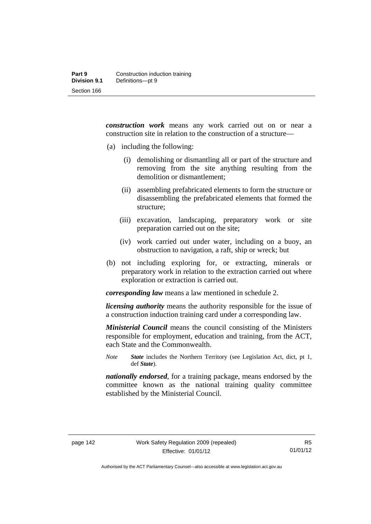*construction work* means any work carried out on or near a construction site in relation to the construction of a structure—

- (a) including the following:
	- (i) demolishing or dismantling all or part of the structure and removing from the site anything resulting from the demolition or dismantlement;
	- (ii) assembling prefabricated elements to form the structure or disassembling the prefabricated elements that formed the structure;
	- (iii) excavation, landscaping, preparatory work or site preparation carried out on the site;
	- (iv) work carried out under water, including on a buoy, an obstruction to navigation, a raft, ship or wreck; but
- (b) not including exploring for, or extracting, minerals or preparatory work in relation to the extraction carried out where exploration or extraction is carried out.

*corresponding law* means a law mentioned in schedule 2.

*licensing authority* means the authority responsible for the issue of a construction induction training card under a corresponding law.

*Ministerial Council* means the council consisting of the Ministers responsible for employment, education and training, from the ACT, each State and the Commonwealth.

*Note State* includes the Northern Territory (see Legislation Act, dict, pt 1, def *State*).

*nationally endorsed*, for a training package, means endorsed by the committee known as the national training quality committee established by the Ministerial Council.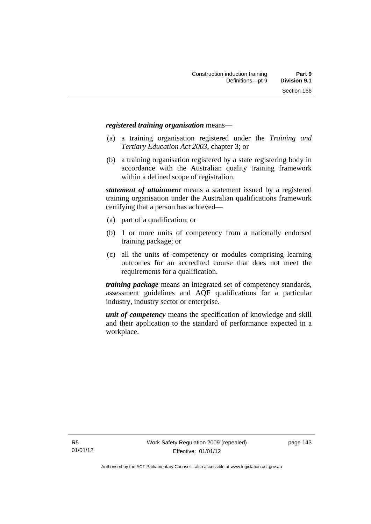#### *registered training organisation* means—

- (a) a training organisation registered under the *Training and Tertiary Education Act 2003*, chapter 3; or
- (b) a training organisation registered by a state registering body in accordance with the Australian quality training framework within a defined scope of registration.

*statement of attainment* means a statement issued by a registered training organisation under the Australian qualifications framework certifying that a person has achieved—

- (a) part of a qualification; or
- (b) 1 or more units of competency from a nationally endorsed training package; or
- (c) all the units of competency or modules comprising learning outcomes for an accredited course that does not meet the requirements for a qualification.

*training package* means an integrated set of competency standards, assessment guidelines and AQF qualifications for a particular industry, industry sector or enterprise.

*unit of competency* means the specification of knowledge and skill and their application to the standard of performance expected in a workplace.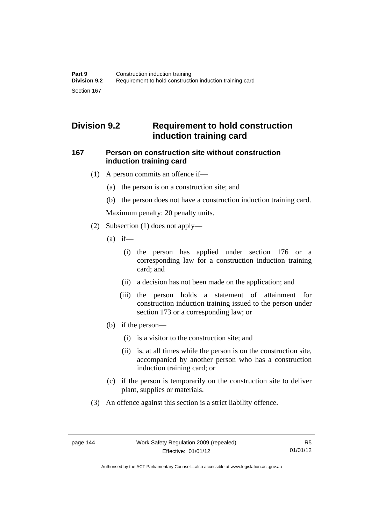# **Division 9.2 Requirement to hold construction induction training card**

#### **167 Person on construction site without construction induction training card**

- (1) A person commits an offence if—
	- (a) the person is on a construction site; and
	- (b) the person does not have a construction induction training card.

Maximum penalty: 20 penalty units.

- (2) Subsection (1) does not apply—
	- $(a)$  if—
		- (i) the person has applied under section 176 or a corresponding law for a construction induction training card; and
		- (ii) a decision has not been made on the application; and
		- (iii) the person holds a statement of attainment for construction induction training issued to the person under section 173 or a corresponding law; or
	- (b) if the person—
		- (i) is a visitor to the construction site; and
		- (ii) is, at all times while the person is on the construction site, accompanied by another person who has a construction induction training card; or
	- (c) if the person is temporarily on the construction site to deliver plant, supplies or materials.
- (3) An offence against this section is a strict liability offence.

Authorised by the ACT Parliamentary Counsel—also accessible at www.legislation.act.gov.au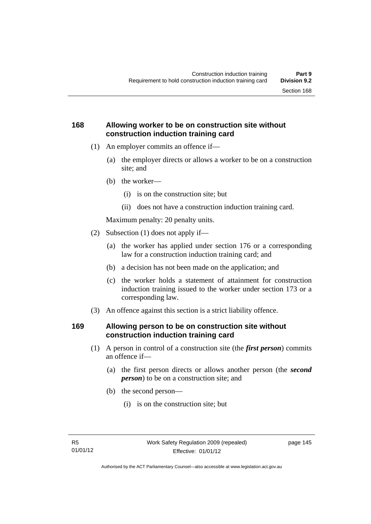## **168 Allowing worker to be on construction site without construction induction training card**

- (1) An employer commits an offence if—
	- (a) the employer directs or allows a worker to be on a construction site; and
	- (b) the worker—
		- (i) is on the construction site; but
		- (ii) does not have a construction induction training card.

Maximum penalty: 20 penalty units.

- (2) Subsection (1) does not apply if—
	- (a) the worker has applied under section 176 or a corresponding law for a construction induction training card; and
	- (b) a decision has not been made on the application; and
	- (c) the worker holds a statement of attainment for construction induction training issued to the worker under section 173 or a corresponding law.
- (3) An offence against this section is a strict liability offence.

#### **169 Allowing person to be on construction site without construction induction training card**

- (1) A person in control of a construction site (the *first person*) commits an offence if—
	- (a) the first person directs or allows another person (the *second person*) to be on a construction site; and
	- (b) the second person—
		- (i) is on the construction site; but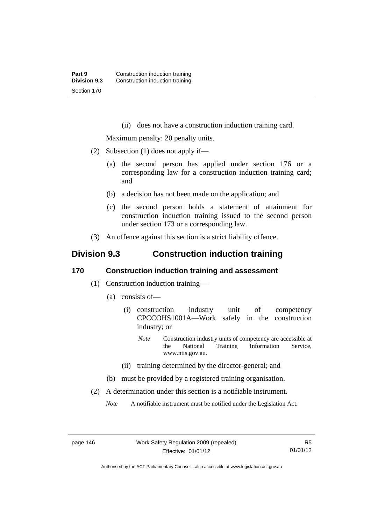(ii) does not have a construction induction training card.

Maximum penalty: 20 penalty units.

- (2) Subsection (1) does not apply if—
	- (a) the second person has applied under section 176 or a corresponding law for a construction induction training card; and
	- (b) a decision has not been made on the application; and
	- (c) the second person holds a statement of attainment for construction induction training issued to the second person under section 173 or a corresponding law.
- (3) An offence against this section is a strict liability offence.

# **Division 9.3 Construction induction training**

#### **170 Construction induction training and assessment**

- (1) Construction induction training—
	- (a) consists of—
		- (i) construction industry unit of competency CPCCOHS1001A—Work safely in the construction industry; or
			- *Note* Construction industry units of competency are accessible at the National Training Information Service, www.ntis.gov.au.
		- (ii) training determined by the director-general; and
	- (b) must be provided by a registered training organisation.
- (2) A determination under this section is a notifiable instrument.

*Note* A notifiable instrument must be notified under the Legislation Act.

Authorised by the ACT Parliamentary Counsel—also accessible at www.legislation.act.gov.au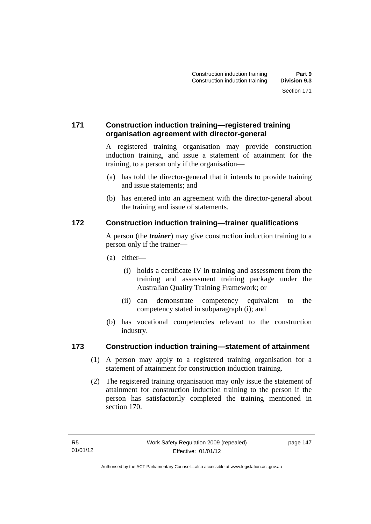## **171 Construction induction training—registered training organisation agreement with director-general**

A registered training organisation may provide construction induction training, and issue a statement of attainment for the training, to a person only if the organisation—

- (a) has told the director-general that it intends to provide training and issue statements; and
- (b) has entered into an agreement with the director-general about the training and issue of statements.

## **172 Construction induction training—trainer qualifications**

A person (the *trainer*) may give construction induction training to a person only if the trainer—

- (a) either—
	- (i) holds a certificate IV in training and assessment from the training and assessment training package under the Australian Quality Training Framework; or
	- (ii) can demonstrate competency equivalent to the competency stated in subparagraph (i); and
- (b) has vocational competencies relevant to the construction industry.

#### **173 Construction induction training—statement of attainment**

- (1) A person may apply to a registered training organisation for a statement of attainment for construction induction training.
- (2) The registered training organisation may only issue the statement of attainment for construction induction training to the person if the person has satisfactorily completed the training mentioned in section 170.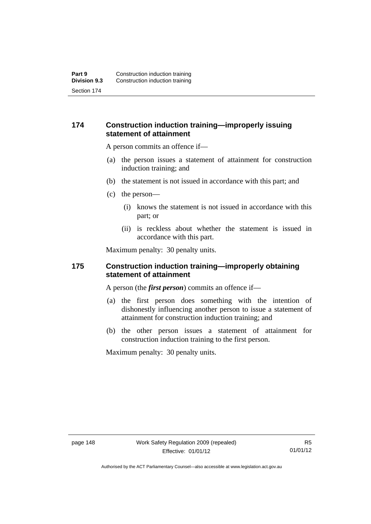#### **174 Construction induction training—improperly issuing statement of attainment**

A person commits an offence if—

- (a) the person issues a statement of attainment for construction induction training; and
- (b) the statement is not issued in accordance with this part; and
- (c) the person—
	- (i) knows the statement is not issued in accordance with this part; or
	- (ii) is reckless about whether the statement is issued in accordance with this part.

Maximum penalty: 30 penalty units.

#### **175 Construction induction training—improperly obtaining statement of attainment**

A person (the *first person*) commits an offence if—

- (a) the first person does something with the intention of dishonestly influencing another person to issue a statement of attainment for construction induction training; and
- (b) the other person issues a statement of attainment for construction induction training to the first person.

Maximum penalty: 30 penalty units.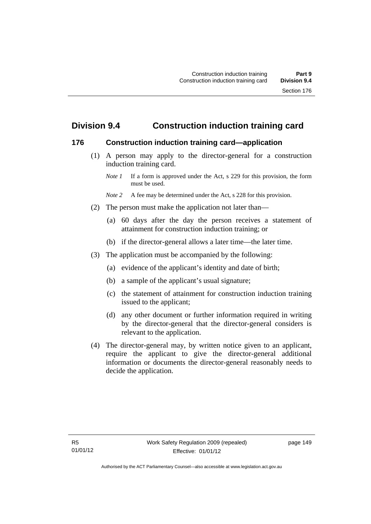# **Division 9.4 Construction induction training card**

#### **176 Construction induction training card—application**

 (1) A person may apply to the director-general for a construction induction training card.

- *Note* 2 A fee may be determined under the Act, s 228 for this provision.
- (2) The person must make the application not later than—
	- (a) 60 days after the day the person receives a statement of attainment for construction induction training; or
	- (b) if the director-general allows a later time—the later time.
- (3) The application must be accompanied by the following:
	- (a) evidence of the applicant's identity and date of birth;
	- (b) a sample of the applicant's usual signature;
	- (c) the statement of attainment for construction induction training issued to the applicant;
	- (d) any other document or further information required in writing by the director-general that the director-general considers is relevant to the application.
- (4) The director-general may, by written notice given to an applicant, require the applicant to give the director-general additional information or documents the director-general reasonably needs to decide the application.

*Note 1* If a form is approved under the Act, s 229 for this provision, the form must be used.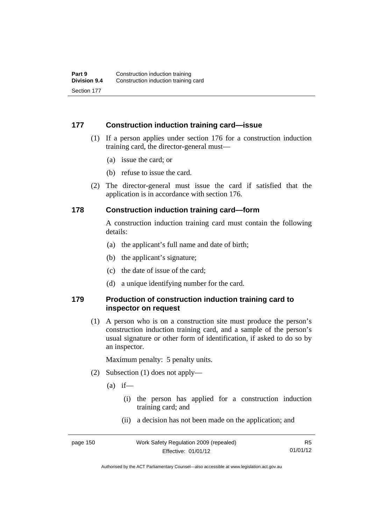#### **177 Construction induction training card—issue**

- (1) If a person applies under section 176 for a construction induction training card, the director-general must—
	- (a) issue the card; or
	- (b) refuse to issue the card.
- (2) The director-general must issue the card if satisfied that the application is in accordance with section 176.

#### **178 Construction induction training card—form**

A construction induction training card must contain the following details:

- (a) the applicant's full name and date of birth;
- (b) the applicant's signature;
- (c) the date of issue of the card;
- (d) a unique identifying number for the card.

#### **179 Production of construction induction training card to inspector on request**

(1) A person who is on a construction site must produce the person's construction induction training card, and a sample of the person's usual signature or other form of identification, if asked to do so by an inspector.

Maximum penalty: 5 penalty units.

- (2) Subsection (1) does not apply—
	- $(a)$  if—
		- (i) the person has applied for a construction induction training card; and
		- (ii) a decision has not been made on the application; and

R5 01/01/12

Authorised by the ACT Parliamentary Counsel—also accessible at www.legislation.act.gov.au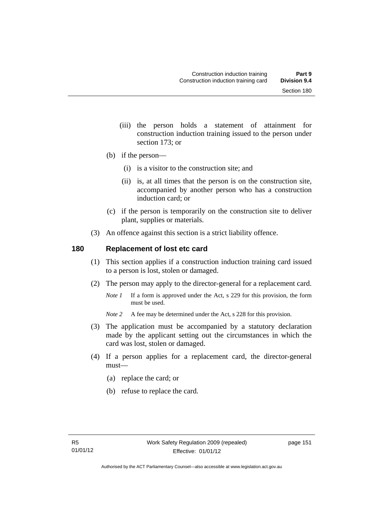- (iii) the person holds a statement of attainment for construction induction training issued to the person under section 173; or
- (b) if the person—
	- (i) is a visitor to the construction site; and
	- (ii) is, at all times that the person is on the construction site, accompanied by another person who has a construction induction card; or
- (c) if the person is temporarily on the construction site to deliver plant, supplies or materials.
- (3) An offence against this section is a strict liability offence.

#### **180 Replacement of lost etc card**

- (1) This section applies if a construction induction training card issued to a person is lost, stolen or damaged.
- (2) The person may apply to the director-general for a replacement card.
	- *Note 1* If a form is approved under the Act, s 229 for this provision, the form must be used.
	- *Note* 2 A fee may be determined under the Act, s 228 for this provision.
- (3) The application must be accompanied by a statutory declaration made by the applicant setting out the circumstances in which the card was lost, stolen or damaged.
- (4) If a person applies for a replacement card, the director-general must—
	- (a) replace the card; or
	- (b) refuse to replace the card.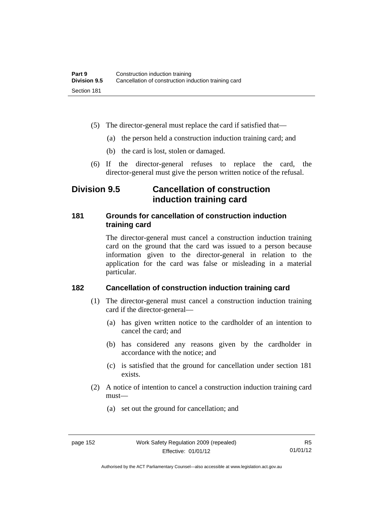- (5) The director-general must replace the card if satisfied that—
	- (a) the person held a construction induction training card; and
	- (b) the card is lost, stolen or damaged.
- (6) If the director-general refuses to replace the card, the director-general must give the person written notice of the refusal.

# **Division 9.5 Cancellation of construction induction training card**

#### **181 Grounds for cancellation of construction induction training card**

The director-general must cancel a construction induction training card on the ground that the card was issued to a person because information given to the director-general in relation to the application for the card was false or misleading in a material particular.

## **182 Cancellation of construction induction training card**

- (1) The director-general must cancel a construction induction training card if the director-general—
	- (a) has given written notice to the cardholder of an intention to cancel the card; and
	- (b) has considered any reasons given by the cardholder in accordance with the notice; and
	- (c) is satisfied that the ground for cancellation under section 181 exists.
- (2) A notice of intention to cancel a construction induction training card must—
	- (a) set out the ground for cancellation; and

Authorised by the ACT Parliamentary Counsel—also accessible at www.legislation.act.gov.au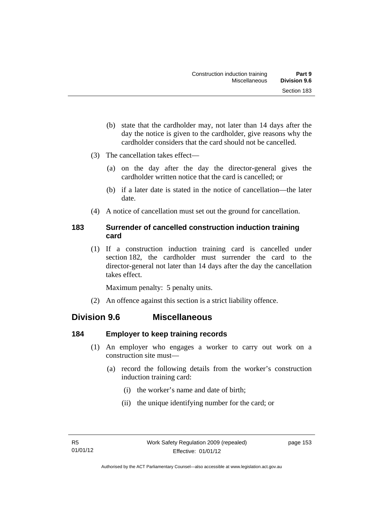- (b) state that the cardholder may, not later than 14 days after the day the notice is given to the cardholder, give reasons why the cardholder considers that the card should not be cancelled.
- (3) The cancellation takes effect—
	- (a) on the day after the day the director-general gives the cardholder written notice that the card is cancelled; or
	- (b) if a later date is stated in the notice of cancellation—the later date.
- (4) A notice of cancellation must set out the ground for cancellation.

## **183 Surrender of cancelled construction induction training card**

(1) If a construction induction training card is cancelled under section 182, the cardholder must surrender the card to the director-general not later than 14 days after the day the cancellation takes effect.

Maximum penalty: 5 penalty units.

(2) An offence against this section is a strict liability offence.

## **Division 9.6 Miscellaneous**

## **184 Employer to keep training records**

- (1) An employer who engages a worker to carry out work on a construction site must—
	- (a) record the following details from the worker's construction induction training card:
		- (i) the worker's name and date of birth;
		- (ii) the unique identifying number for the card; or

page 153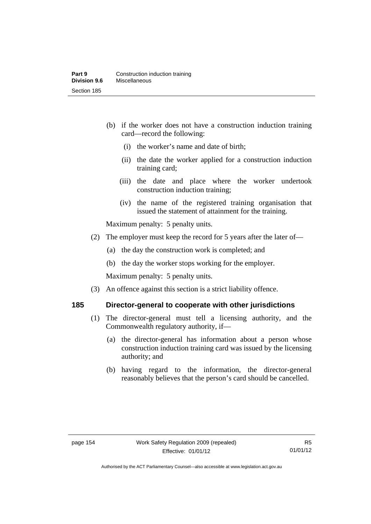- (b) if the worker does not have a construction induction training card—record the following:
	- (i) the worker's name and date of birth;
	- (ii) the date the worker applied for a construction induction training card;
	- (iii) the date and place where the worker undertook construction induction training;
	- (iv) the name of the registered training organisation that issued the statement of attainment for the training.

Maximum penalty: 5 penalty units.

- (2) The employer must keep the record for 5 years after the later of—
	- (a) the day the construction work is completed; and
	- (b) the day the worker stops working for the employer.

Maximum penalty: 5 penalty units.

(3) An offence against this section is a strict liability offence.

## **185 Director-general to cooperate with other jurisdictions**

- (1) The director-general must tell a licensing authority, and the Commonwealth regulatory authority, if—
	- (a) the director-general has information about a person whose construction induction training card was issued by the licensing authority; and
	- (b) having regard to the information, the director-general reasonably believes that the person's card should be cancelled.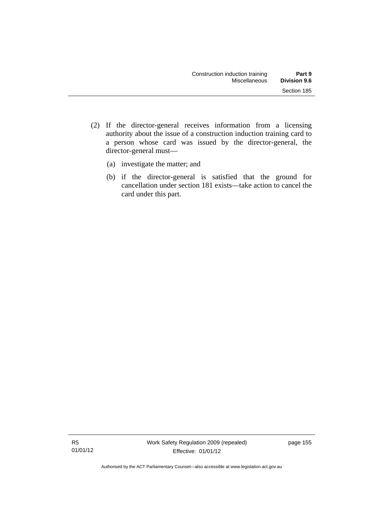- (2) If the director-general receives information from a licensing authority about the issue of a construction induction training card to a person whose card was issued by the director-general, the director-general must—
	- (a) investigate the matter; and
	- (b) if the director-general is satisfied that the ground for cancellation under section 181 exists—take action to cancel the card under this part.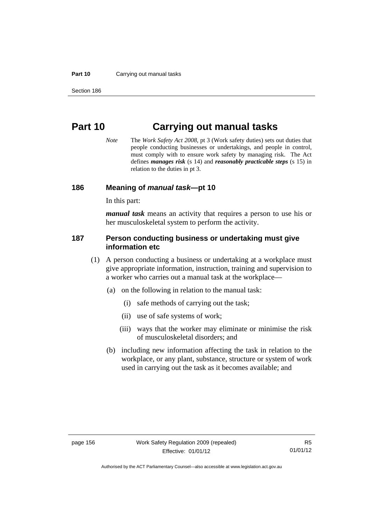#### **Part 10** Carrying out manual tasks

# **Part 10 Carrying out manual tasks**

*Note* The *Work Safety Act 2008*, pt 3 (Work safety duties) sets out duties that people conducting businesses or undertakings, and people in control, must comply with to ensure work safety by managing risk. The Act defines *manages risk* (s 14) and *reasonably practicable steps* (s 15) in relation to the duties in pt 3.

#### **186 Meaning of** *manual task***—pt 10**

In this part:

*manual task* means an activity that requires a person to use his or her musculoskeletal system to perform the activity.

#### **187 Person conducting business or undertaking must give information etc**

- (1) A person conducting a business or undertaking at a workplace must give appropriate information, instruction, training and supervision to a worker who carries out a manual task at the workplace—
	- (a) on the following in relation to the manual task:
		- (i) safe methods of carrying out the task;
		- (ii) use of safe systems of work;
		- (iii) ways that the worker may eliminate or minimise the risk of musculoskeletal disorders; and
	- (b) including new information affecting the task in relation to the workplace, or any plant, substance, structure or system of work used in carrying out the task as it becomes available; and

Authorised by the ACT Parliamentary Counsel—also accessible at www.legislation.act.gov.au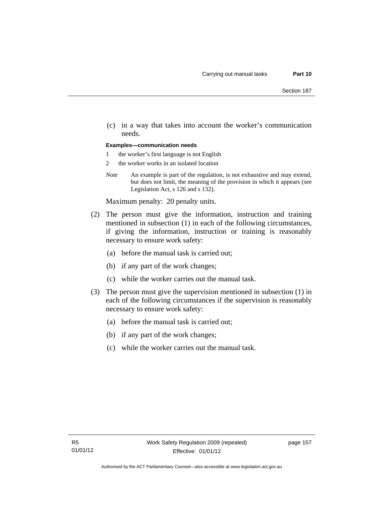(c) in a way that takes into account the worker's communication needs.

#### **Examples—communication needs**

- 1 the worker's first language is not English
- 2 the worker works in an isolated location
- *Note* An example is part of the regulation, is not exhaustive and may extend, but does not limit, the meaning of the provision in which it appears (see Legislation Act, s 126 and s 132).

Maximum penalty: 20 penalty units.

- (2) The person must give the information, instruction and training mentioned in subsection (1) in each of the following circumstances, if giving the information, instruction or training is reasonably necessary to ensure work safety:
	- (a) before the manual task is carried out;
	- (b) if any part of the work changes;
	- (c) while the worker carries out the manual task.
- (3) The person must give the supervision mentioned in subsection (1) in each of the following circumstances if the supervision is reasonably necessary to ensure work safety:
	- (a) before the manual task is carried out;
	- (b) if any part of the work changes;
	- (c) while the worker carries out the manual task.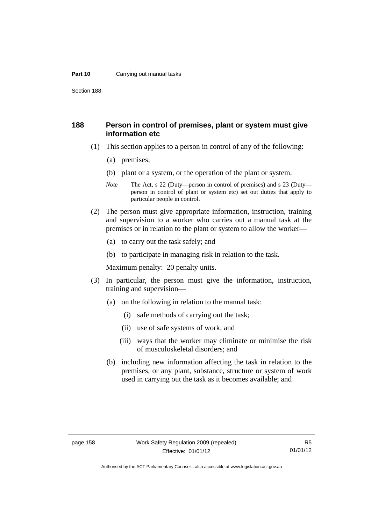#### **Part 10** Carrying out manual tasks

Section 188

#### **188 Person in control of premises, plant or system must give information etc**

- (1) This section applies to a person in control of any of the following:
	- (a) premises;
	- (b) plant or a system, or the operation of the plant or system.
	- *Note* The Act, s 22 (Duty—person in control of premises) and s 23 (Duty person in control of plant or system etc) set out duties that apply to particular people in control.
- (2) The person must give appropriate information, instruction, training and supervision to a worker who carries out a manual task at the premises or in relation to the plant or system to allow the worker—
	- (a) to carry out the task safely; and
	- (b) to participate in managing risk in relation to the task.

Maximum penalty: 20 penalty units.

- (3) In particular, the person must give the information, instruction, training and supervision—
	- (a) on the following in relation to the manual task:
		- (i) safe methods of carrying out the task;
		- (ii) use of safe systems of work; and
		- (iii) ways that the worker may eliminate or minimise the risk of musculoskeletal disorders; and
	- (b) including new information affecting the task in relation to the premises, or any plant, substance, structure or system of work used in carrying out the task as it becomes available; and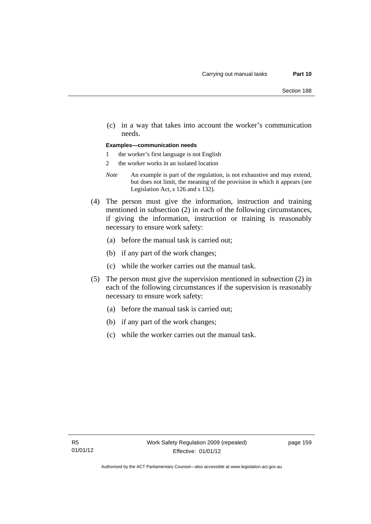(c) in a way that takes into account the worker's communication needs.

#### **Examples—communication needs**

- 1 the worker's first language is not English
- 2 the worker works in an isolated location
- *Note* An example is part of the regulation, is not exhaustive and may extend, but does not limit, the meaning of the provision in which it appears (see Legislation Act, s 126 and s 132).
- (4) The person must give the information, instruction and training mentioned in subsection (2) in each of the following circumstances, if giving the information, instruction or training is reasonably necessary to ensure work safety:
	- (a) before the manual task is carried out;
	- (b) if any part of the work changes;
	- (c) while the worker carries out the manual task.
- (5) The person must give the supervision mentioned in subsection (2) in each of the following circumstances if the supervision is reasonably necessary to ensure work safety:
	- (a) before the manual task is carried out;
	- (b) if any part of the work changes;
	- (c) while the worker carries out the manual task.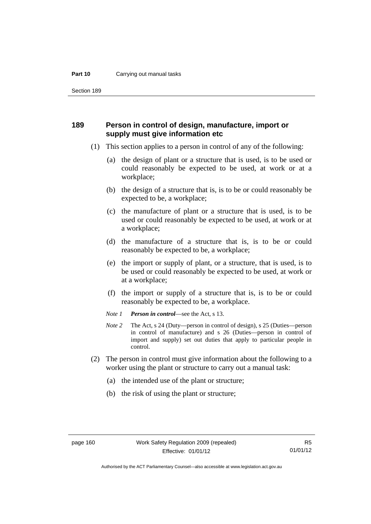#### **Part 10** Carrying out manual tasks

Section 189

#### **189 Person in control of design, manufacture, import or supply must give information etc**

- (1) This section applies to a person in control of any of the following:
	- (a) the design of plant or a structure that is used, is to be used or could reasonably be expected to be used, at work or at a workplace;
	- (b) the design of a structure that is, is to be or could reasonably be expected to be, a workplace;
	- (c) the manufacture of plant or a structure that is used, is to be used or could reasonably be expected to be used, at work or at a workplace;
	- (d) the manufacture of a structure that is, is to be or could reasonably be expected to be, a workplace;
	- (e) the import or supply of plant, or a structure, that is used, is to be used or could reasonably be expected to be used, at work or at a workplace;
	- (f) the import or supply of a structure that is, is to be or could reasonably be expected to be, a workplace.
	- *Note 1 Person in control*—see the Act, s 13.
	- *Note 2* The Act, s 24 (Duty—person in control of design), s 25 (Duties—person in control of manufacture) and s 26 (Duties—person in control of import and supply) set out duties that apply to particular people in control.
- (2) The person in control must give information about the following to a worker using the plant or structure to carry out a manual task:
	- (a) the intended use of the plant or structure;
	- (b) the risk of using the plant or structure;

R5 01/01/12

Authorised by the ACT Parliamentary Counsel—also accessible at www.legislation.act.gov.au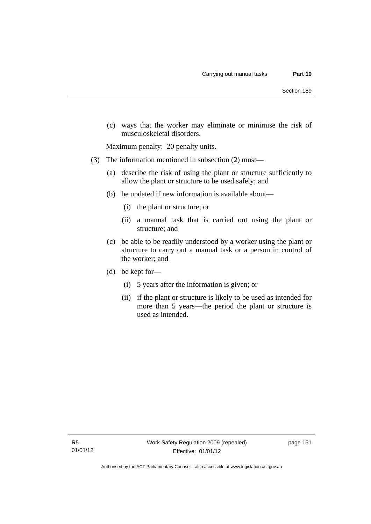(c) ways that the worker may eliminate or minimise the risk of musculoskeletal disorders.

Maximum penalty: 20 penalty units.

- (3) The information mentioned in subsection (2) must—
	- (a) describe the risk of using the plant or structure sufficiently to allow the plant or structure to be used safely; and
	- (b) be updated if new information is available about—
		- (i) the plant or structure; or
		- (ii) a manual task that is carried out using the plant or structure; and
	- (c) be able to be readily understood by a worker using the plant or structure to carry out a manual task or a person in control of the worker; and
	- (d) be kept for—
		- (i) 5 years after the information is given; or
		- (ii) if the plant or structure is likely to be used as intended for more than 5 years—the period the plant or structure is used as intended.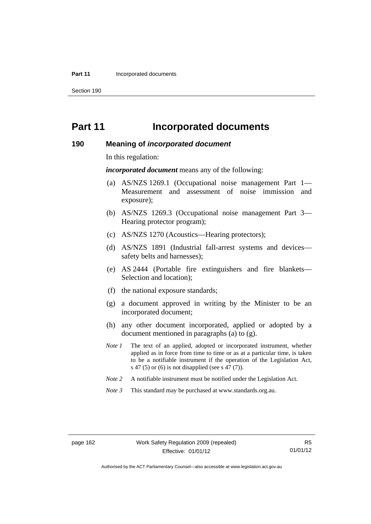#### **Part 11 Incorporated documents**

Section 190

# **Part 11 Incorporated documents**

#### **190 Meaning of** *incorporated document*

In this regulation:

*incorporated document* means any of the following:

- (a) AS/NZS 1269.1 (Occupational noise management Part 1— Measurement and assessment of noise immission and exposure);
- (b) AS/NZS 1269.3 (Occupational noise management Part 3— Hearing protector program);
- (c) AS/NZS 1270 (Acoustics—Hearing protectors);
- (d) AS/NZS 1891 (Industrial fall-arrest systems and devices safety belts and harnesses);
- (e) AS 2444 (Portable fire extinguishers and fire blankets— Selection and location);
- (f) the national exposure standards;
- (g) a document approved in writing by the Minister to be an incorporated document;
- (h) any other document incorporated, applied or adopted by a document mentioned in paragraphs (a) to (g).
- *Note 1* The text of an applied, adopted or incorporated instrument, whether applied as in force from time to time or as at a particular time, is taken to be a notifiable instrument if the operation of the Legislation Act, s 47 (5) or (6) is not disapplied (see s 47 (7)).
- *Note 2* A notifiable instrument must be notified under the Legislation Act.
- *Note 3* This standard may be purchased at www.standards.org.au.

Authorised by the ACT Parliamentary Counsel—also accessible at www.legislation.act.gov.au

R5 01/01/12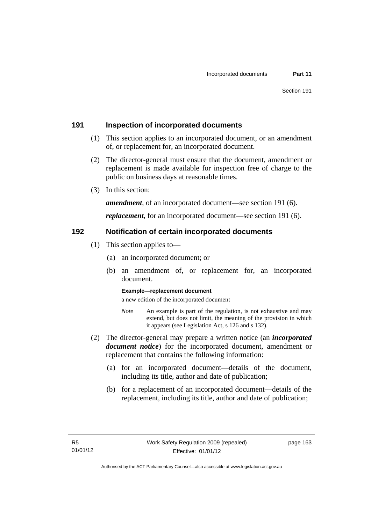#### **191 Inspection of incorporated documents**

- (1) This section applies to an incorporated document, or an amendment of, or replacement for, an incorporated document.
- (2) The director-general must ensure that the document, amendment or replacement is made available for inspection free of charge to the public on business days at reasonable times.
- (3) In this section:

*amendment*, of an incorporated document—see section 191 (6).

*replacement*, for an incorporated document—see section 191 (6).

#### **192 Notification of certain incorporated documents**

- (1) This section applies to—
	- (a) an incorporated document; or
	- (b) an amendment of, or replacement for, an incorporated document.

#### **Example—replacement document**

a new edition of the incorporated document

- *Note* An example is part of the regulation, is not exhaustive and may extend, but does not limit, the meaning of the provision in which it appears (see Legislation Act, s 126 and s 132).
- (2) The director-general may prepare a written notice (an *incorporated document notice*) for the incorporated document, amendment or replacement that contains the following information:
	- (a) for an incorporated document—details of the document, including its title, author and date of publication;
	- (b) for a replacement of an incorporated document—details of the replacement, including its title, author and date of publication;

page 163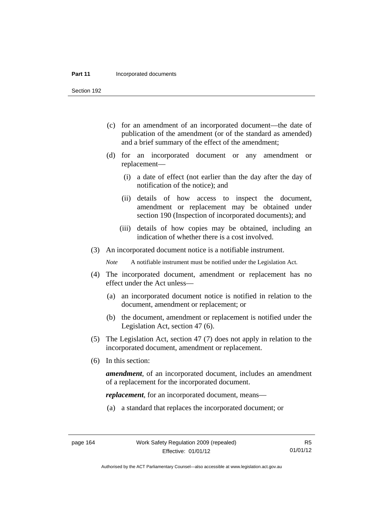#### **Part 11 Incorporated documents**

Section 192

- (c) for an amendment of an incorporated document—the date of publication of the amendment (or of the standard as amended) and a brief summary of the effect of the amendment;
- (d) for an incorporated document or any amendment or replacement—
	- (i) a date of effect (not earlier than the day after the day of notification of the notice); and
	- (ii) details of how access to inspect the document, amendment or replacement may be obtained under section 190 (Inspection of incorporated documents); and
	- (iii) details of how copies may be obtained, including an indication of whether there is a cost involved.
- (3) An incorporated document notice is a notifiable instrument.

*Note* A notifiable instrument must be notified under the Legislation Act.

- (4) The incorporated document, amendment or replacement has no effect under the Act unless—
	- (a) an incorporated document notice is notified in relation to the document, amendment or replacement; or
	- (b) the document, amendment or replacement is notified under the Legislation Act, section 47 (6).
- (5) The Legislation Act, section 47 (7) does not apply in relation to the incorporated document, amendment or replacement.
- (6) In this section:

*amendment*, of an incorporated document, includes an amendment of a replacement for the incorporated document.

*replacement*, for an incorporated document, means—

(a) a standard that replaces the incorporated document; or

Authorised by the ACT Parliamentary Counsel—also accessible at www.legislation.act.gov.au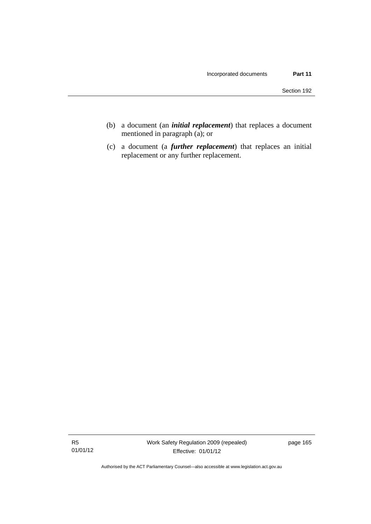- (b) a document (an *initial replacement*) that replaces a document mentioned in paragraph (a); or
- (c) a document (a *further replacement*) that replaces an initial replacement or any further replacement.

Authorised by the ACT Parliamentary Counsel—also accessible at www.legislation.act.gov.au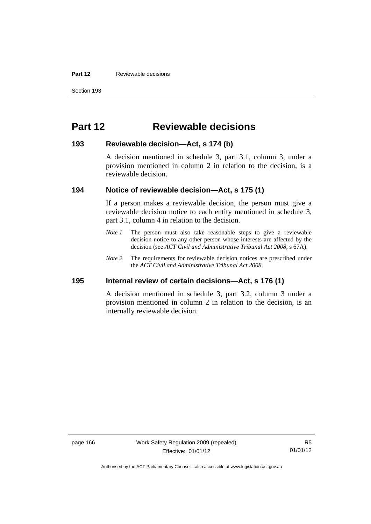#### **Part 12 Reviewable decisions**

# **Part 12 Reviewable decisions**

#### **193 Reviewable decision—Act, s 174 (b)**

A decision mentioned in schedule 3, part 3.1, column 3, under a provision mentioned in column 2 in relation to the decision, is a reviewable decision.

#### **194 Notice of reviewable decision—Act, s 175 (1)**

If a person makes a reviewable decision, the person must give a reviewable decision notice to each entity mentioned in schedule 3, part 3.1, column 4 in relation to the decision.

- *Note 1* The person must also take reasonable steps to give a reviewable decision notice to any other person whose interests are affected by the decision (see *ACT Civil and Administrative Tribunal Act 2008*, s 67A).
- *Note* 2 The requirements for reviewable decision notices are prescribed under the *ACT Civil and Administrative Tribunal Act 2008*.

#### **195 Internal review of certain decisions—Act, s 176 (1)**

A decision mentioned in schedule 3, part 3.2, column 3 under a provision mentioned in column 2 in relation to the decision, is an internally reviewable decision.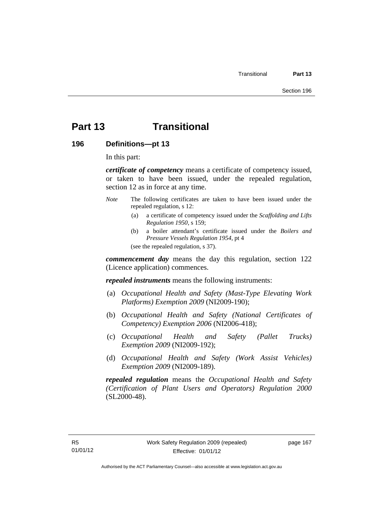## **Part 13 Transitional**

**196 Definitions—pt 13** 

In this part:

*certificate of competency* means a certificate of competency issued, or taken to have been issued, under the repealed regulation, section 12 as in force at any time.

- *Note* The following certificates are taken to have been issued under the repealed regulation, s 12:
	- (a) a certificate of competency issued under the *Scaffolding and Lifts Regulation 1950*, s 159;
	- (b) a boiler attendant's certificate issued under the *Boilers and Pressure Vessels Regulation 1954*, pt 4 (see the repealed regulation, s 37).

*commencement day* means the day this regulation, section 122 (Licence application) commences.

*repealed instruments* means the following instruments:

- (a) *Occupational Health and Safety (Mast-Type Elevating Work Platforms) Exemption 2009* (NI2009-190);
- (b) *Occupational Health and Safety (National Certificates of Competency) Exemption 2006* (NI2006-418);
- (c) *Occupational Health and Safety (Pallet Trucks) Exemption 2009* (NI2009-192);
- (d) *Occupational Health and Safety (Work Assist Vehicles) Exemption 2009* (NI2009-189).

*repealed regulation* means the *Occupational Health and Safety (Certification of Plant Users and Operators) Regulation 2000* (SL2000-48).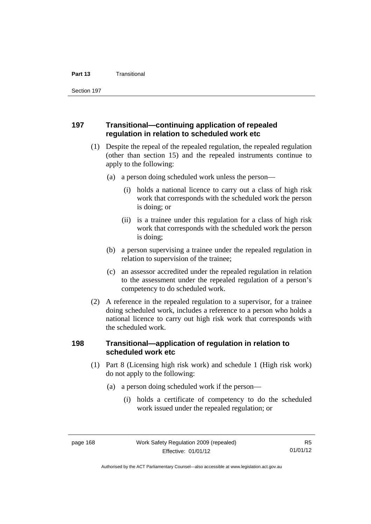Section 197

#### **197 Transitional—continuing application of repealed regulation in relation to scheduled work etc**

- (1) Despite the repeal of the repealed regulation, the repealed regulation (other than section 15) and the repealed instruments continue to apply to the following:
	- (a) a person doing scheduled work unless the person—
		- (i) holds a national licence to carry out a class of high risk work that corresponds with the scheduled work the person is doing; or
		- (ii) is a trainee under this regulation for a class of high risk work that corresponds with the scheduled work the person is doing;
	- (b) a person supervising a trainee under the repealed regulation in relation to supervision of the trainee;
	- (c) an assessor accredited under the repealed regulation in relation to the assessment under the repealed regulation of a person's competency to do scheduled work.
- (2) A reference in the repealed regulation to a supervisor, for a trainee doing scheduled work, includes a reference to a person who holds a national licence to carry out high risk work that corresponds with the scheduled work.

#### **198 Transitional—application of regulation in relation to scheduled work etc**

- (1) Part 8 (Licensing high risk work) and schedule 1 (High risk work) do not apply to the following:
	- (a) a person doing scheduled work if the person—
		- (i) holds a certificate of competency to do the scheduled work issued under the repealed regulation; or

Authorised by the ACT Parliamentary Counsel—also accessible at www.legislation.act.gov.au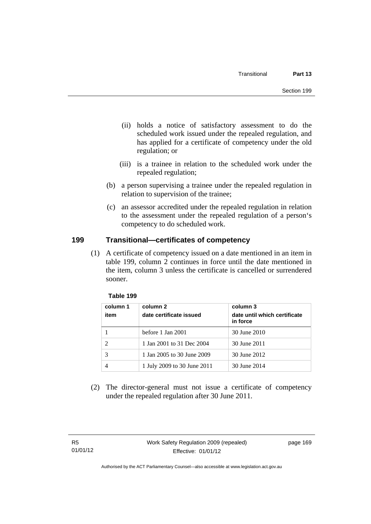- (ii) holds a notice of satisfactory assessment to do the scheduled work issued under the repealed regulation, and has applied for a certificate of competency under the old regulation; or
- (iii) is a trainee in relation to the scheduled work under the repealed regulation;
- (b) a person supervising a trainee under the repealed regulation in relation to supervision of the trainee;
- (c) an assessor accredited under the repealed regulation in relation to the assessment under the repealed regulation of a person's competency to do scheduled work.

## **199 Transitional—certificates of competency**

(1) A certificate of competency issued on a date mentioned in an item in table 199, column 2 continues in force until the date mentioned in the item, column 3 unless the certificate is cancelled or surrendered sooner.

| column 1<br>item | column 2<br>date certificate issued | column 3<br>date until which certificate<br>in force |
|------------------|-------------------------------------|------------------------------------------------------|
|                  | before 1 Jan 2001                   | 30 June 2010                                         |
| $\mathcal{D}$    | 1 Jan 2001 to 31 Dec 2004           | 30 June 2011                                         |
| 3                | 1 Jan 2005 to 30 June 2009          | 30 June 2012                                         |
|                  | 1 July 2009 to 30 June 2011         | 30 June 2014                                         |

#### **Table 199**

 (2) The director-general must not issue a certificate of competency under the repealed regulation after 30 June 2011.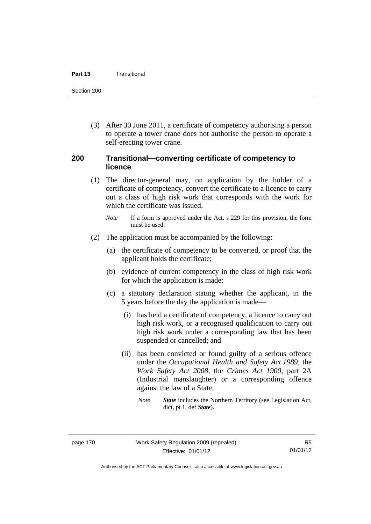#### **Part 13** Transitional

Section 200

 (3) After 30 June 2011, a certificate of competency authorising a person to operate a tower crane does not authorise the person to operate a self-erecting tower crane.

#### **200 Transitional—converting certificate of competency to licence**

- (1) The director-general may, on application by the holder of a certificate of competency, convert the certificate to a licence to carry out a class of high risk work that corresponds with the work for which the certificate was issued.
	- *Note* If a form is approved under the Act, s 229 for this provision, the form must be used.
- (2) The application must be accompanied by the following:
	- (a) the certificate of competency to be converted, or proof that the applicant holds the certificate;
	- (b) evidence of current competency in the class of high risk work for which the application is made;
	- (c) a statutory declaration stating whether the applicant, in the 5 years before the day the application is made—
		- (i) has held a certificate of competency, a licence to carry out high risk work, or a recognised qualification to carry out high risk work under a corresponding law that has been suspended or cancelled; and
		- (ii) has been convicted or found guilty of a serious offence under the *Occupational Health and Safety Act 1989*, the *Work Safety Act 2008*, the *Crimes Act 1900*, part 2A (Industrial manslaughter) or a corresponding offence against the law of a State;
			- *Note State* includes the Northern Territory (see Legislation Act, dict, pt 1, def *State*).

R5 01/01/12

Authorised by the ACT Parliamentary Counsel—also accessible at www.legislation.act.gov.au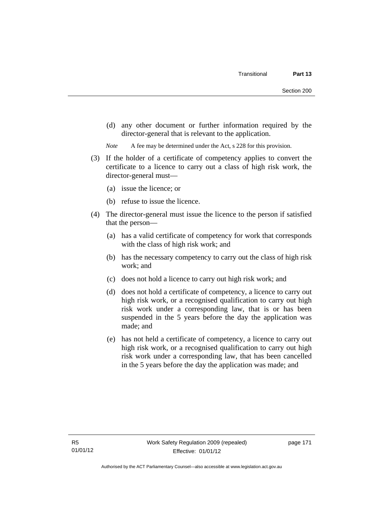(d) any other document or further information required by the director-general that is relevant to the application.

*Note* A fee may be determined under the Act, s 228 for this provision.

- (3) If the holder of a certificate of competency applies to convert the certificate to a licence to carry out a class of high risk work, the director-general must—
	- (a) issue the licence; or
	- (b) refuse to issue the licence.
- (4) The director-general must issue the licence to the person if satisfied that the person—
	- (a) has a valid certificate of competency for work that corresponds with the class of high risk work; and
	- (b) has the necessary competency to carry out the class of high risk work; and
	- (c) does not hold a licence to carry out high risk work; and
	- (d) does not hold a certificate of competency, a licence to carry out high risk work, or a recognised qualification to carry out high risk work under a corresponding law, that is or has been suspended in the 5 years before the day the application was made; and
	- (e) has not held a certificate of competency, a licence to carry out high risk work, or a recognised qualification to carry out high risk work under a corresponding law, that has been cancelled in the 5 years before the day the application was made; and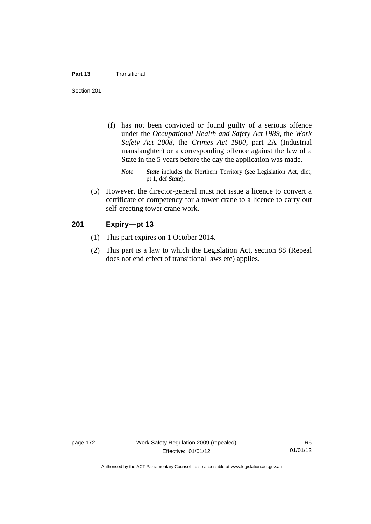#### **Part 13** Transitional

Section 201

- (f) has not been convicted or found guilty of a serious offence under the *Occupational Health and Safety Act 1989*, the *Work Safety Act 2008*, the *Crimes Act 1900*, part 2A (Industrial manslaughter) or a corresponding offence against the law of a State in the 5 years before the day the application was made.
	- *Note State* includes the Northern Territory (see Legislation Act, dict, pt 1, def *State*).
- (5) However, the director-general must not issue a licence to convert a certificate of competency for a tower crane to a licence to carry out self-erecting tower crane work.

#### **201 Expiry—pt 13**

- (1) This part expires on 1 October 2014.
- (2) This part is a law to which the Legislation Act, section 88 (Repeal does not end effect of transitional laws etc) applies.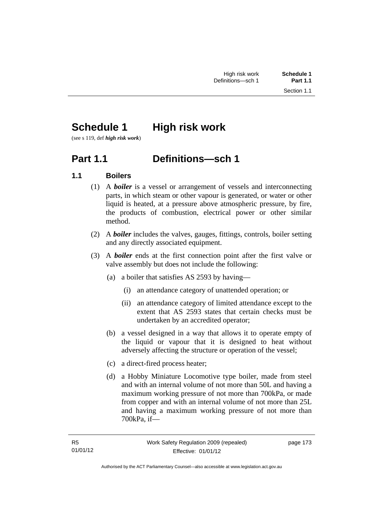# **Schedule 1** High risk work

(see s 119, def *high risk work*)

## **Part 1.1 Definitions—sch 1**

## **1.1 Boilers**

- (1) A *boiler* is a vessel or arrangement of vessels and interconnecting parts, in which steam or other vapour is generated, or water or other liquid is heated, at a pressure above atmospheric pressure, by fire, the products of combustion, electrical power or other similar method.
- (2) A *boiler* includes the valves, gauges, fittings, controls, boiler setting and any directly associated equipment.
- (3) A *boiler* ends at the first connection point after the first valve or valve assembly but does not include the following:
	- (a) a boiler that satisfies AS 2593 by having—
		- (i) an attendance category of unattended operation; or
		- (ii) an attendance category of limited attendance except to the extent that AS 2593 states that certain checks must be undertaken by an accredited operator;
	- (b) a vessel designed in a way that allows it to operate empty of the liquid or vapour that it is designed to heat without adversely affecting the structure or operation of the vessel;
	- (c) a direct-fired process heater;
	- (d) a Hobby Miniature Locomotive type boiler, made from steel and with an internal volume of not more than 50L and having a maximum working pressure of not more than 700kPa, or made from copper and with an internal volume of not more than 25L and having a maximum working pressure of not more than 700kPa, if—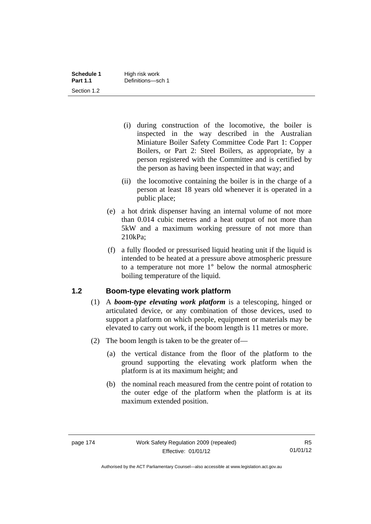- (i) during construction of the locomotive, the boiler is inspected in the way described in the Australian Miniature Boiler Safety Committee Code Part 1: Copper Boilers, or Part 2: Steel Boilers, as appropriate, by a person registered with the Committee and is certified by the person as having been inspected in that way; and
- (ii) the locomotive containing the boiler is in the charge of a person at least 18 years old whenever it is operated in a public place;
- (e) a hot drink dispenser having an internal volume of not more than 0.014 cubic metres and a heat output of not more than 5kW and a maximum working pressure of not more than 210kPa;
- (f) a fully flooded or pressurised liquid heating unit if the liquid is intended to be heated at a pressure above atmospheric pressure to a temperature not more 1° below the normal atmospheric boiling temperature of the liquid.

## **1.2 Boom-type elevating work platform**

- (1) A *boom-type elevating work platform* is a telescoping, hinged or articulated device, or any combination of those devices, used to support a platform on which people, equipment or materials may be elevated to carry out work, if the boom length is 11 metres or more.
- (2) The boom length is taken to be the greater of—
	- (a) the vertical distance from the floor of the platform to the ground supporting the elevating work platform when the platform is at its maximum height; and
	- (b) the nominal reach measured from the centre point of rotation to the outer edge of the platform when the platform is at its maximum extended position.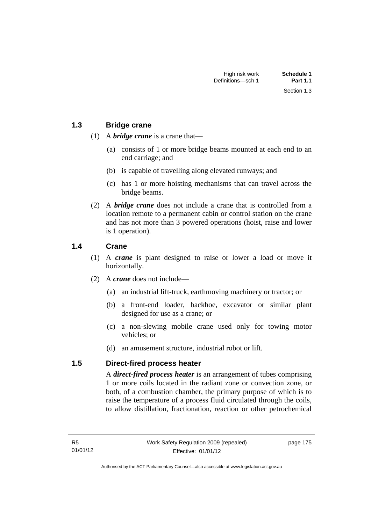### **1.3 Bridge crane**

- (1) A *bridge crane* is a crane that—
	- (a) consists of 1 or more bridge beams mounted at each end to an end carriage; and
	- (b) is capable of travelling along elevated runways; and
	- (c) has 1 or more hoisting mechanisms that can travel across the bridge beams.
- (2) A *bridge crane* does not include a crane that is controlled from a location remote to a permanent cabin or control station on the crane and has not more than 3 powered operations (hoist, raise and lower is 1 operation).

### **1.4 Crane**

- (1) A *crane* is plant designed to raise or lower a load or move it horizontally.
- (2) A *crane* does not include—
	- (a) an industrial lift-truck, earthmoving machinery or tractor; or
	- (b) a front-end loader, backhoe, excavator or similar plant designed for use as a crane; or
	- (c) a non-slewing mobile crane used only for towing motor vehicles; or
	- (d) an amusement structure, industrial robot or lift.

#### **1.5 Direct-fired process heater**

A *direct-fired process heater* is an arrangement of tubes comprising 1 or more coils located in the radiant zone or convection zone, or both, of a combustion chamber, the primary purpose of which is to raise the temperature of a process fluid circulated through the coils, to allow distillation, fractionation, reaction or other petrochemical

page 175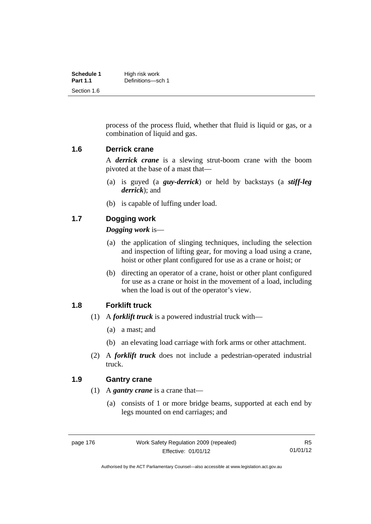| Schedule 1      | High risk work    |
|-----------------|-------------------|
| <b>Part 1.1</b> | Definitions-sch 1 |
| Section 1.6     |                   |

process of the process fluid, whether that fluid is liquid or gas, or a combination of liquid and gas.

#### **1.6 Derrick crane**

A *derrick crane* is a slewing strut-boom crane with the boom pivoted at the base of a mast that—

- (a) is guyed (a *guy-derrick*) or held by backstays (a *stiff-leg derrick*); and
- (b) is capable of luffing under load.

#### **1.7 Dogging work**

#### *Dogging work* is—

- (a) the application of slinging techniques, including the selection and inspection of lifting gear, for moving a load using a crane, hoist or other plant configured for use as a crane or hoist; or
- (b) directing an operator of a crane, hoist or other plant configured for use as a crane or hoist in the movement of a load, including when the load is out of the operator's view.

#### **1.8 Forklift truck**

- (1) A *forklift truck* is a powered industrial truck with—
	- (a) a mast; and
	- (b) an elevating load carriage with fork arms or other attachment.
- (2) A *forklift truck* does not include a pedestrian-operated industrial truck.

#### **1.9 Gantry crane**

- (1) A *gantry crane* is a crane that—
	- (a) consists of 1 or more bridge beams, supported at each end by legs mounted on end carriages; and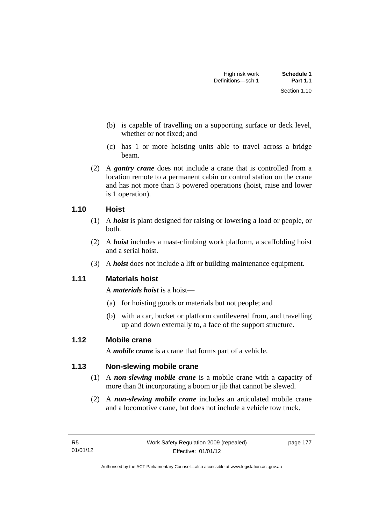Section 1.10

- (b) is capable of travelling on a supporting surface or deck level, whether or not fixed; and
- (c) has 1 or more hoisting units able to travel across a bridge beam.
- (2) A *gantry crane* does not include a crane that is controlled from a location remote to a permanent cabin or control station on the crane and has not more than 3 powered operations (hoist, raise and lower is 1 operation).

## **1.10 Hoist**

- (1) A *hoist* is plant designed for raising or lowering a load or people, or both.
- (2) A *hoist* includes a mast-climbing work platform, a scaffolding hoist and a serial hoist.
- (3) A *hoist* does not include a lift or building maintenance equipment.

## **1.11 Materials hoist**

A *materials hoist* is a hoist—

- (a) for hoisting goods or materials but not people; and
- (b) with a car, bucket or platform cantilevered from, and travelling up and down externally to, a face of the support structure.

## **1.12 Mobile crane**

A *mobile crane* is a crane that forms part of a vehicle.

## **1.13 Non-slewing mobile crane**

- (1) A *non-slewing mobile crane* is a mobile crane with a capacity of more than 3t incorporating a boom or jib that cannot be slewed.
- (2) A *non-slewing mobile crane* includes an articulated mobile crane and a locomotive crane, but does not include a vehicle tow truck.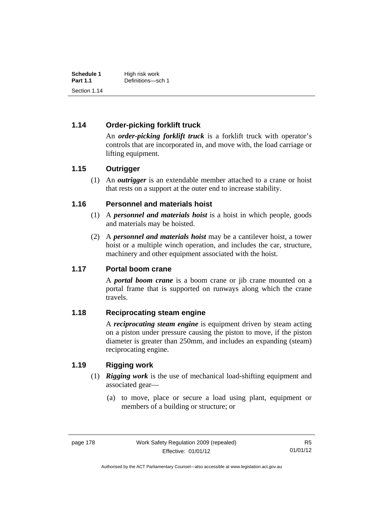| Schedule 1      | High risk work    |
|-----------------|-------------------|
| <b>Part 1.1</b> | Definitions-sch 1 |
| Section 1.14    |                   |

### **1.14 Order-picking forklift truck**

An *order-picking forklift truck* is a forklift truck with operator's controls that are incorporated in, and move with, the load carriage or lifting equipment.

#### **1.15 Outrigger**

 (1) An *outrigger* is an extendable member attached to a crane or hoist that rests on a support at the outer end to increase stability.

#### **1.16 Personnel and materials hoist**

- (1) A *personnel and materials hoist* is a hoist in which people, goods and materials may be hoisted.
- (2) A *personnel and materials hoist* may be a cantilever hoist, a tower hoist or a multiple winch operation, and includes the car, structure, machinery and other equipment associated with the hoist.

#### **1.17 Portal boom crane**

A *portal boom crane* is a boom crane or jib crane mounted on a portal frame that is supported on runways along which the crane travels.

#### **1.18 Reciprocating steam engine**

A *reciprocating steam engine* is equipment driven by steam acting on a piston under pressure causing the piston to move, if the piston diameter is greater than 250mm, and includes an expanding (steam) reciprocating engine.

#### **1.19 Rigging work**

- (1) *Rigging work* is the use of mechanical load-shifting equipment and associated gear—
	- (a) to move, place or secure a load using plant, equipment or members of a building or structure; or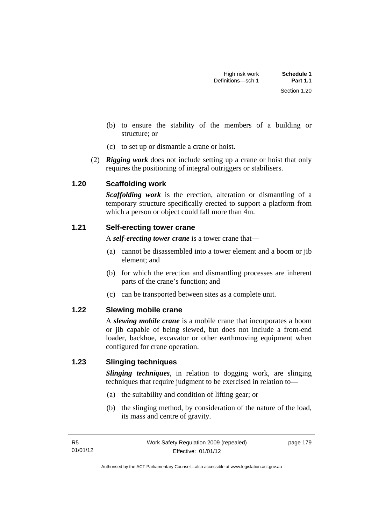Section 1.20

- (b) to ensure the stability of the members of a building or structure; or
- (c) to set up or dismantle a crane or hoist.
- (2) *Rigging work* does not include setting up a crane or hoist that only requires the positioning of integral outriggers or stabilisers.

### **1.20 Scaffolding work**

*Scaffolding work* is the erection, alteration or dismantling of a temporary structure specifically erected to support a platform from which a person or object could fall more than 4m.

### **1.21 Self-erecting tower crane**

A *self-erecting tower crane* is a tower crane that—

- (a) cannot be disassembled into a tower element and a boom or jib element; and
- (b) for which the erection and dismantling processes are inherent parts of the crane's function; and
- (c) can be transported between sites as a complete unit.

#### **1.22 Slewing mobile crane**

A *slewing mobile crane* is a mobile crane that incorporates a boom or jib capable of being slewed, but does not include a front-end loader, backhoe, excavator or other earthmoving equipment when configured for crane operation.

#### **1.23 Slinging techniques**

*Slinging techniques*, in relation to dogging work, are slinging techniques that require judgment to be exercised in relation to—

- (a) the suitability and condition of lifting gear; or
- (b) the slinging method, by consideration of the nature of the load, its mass and centre of gravity.

page 179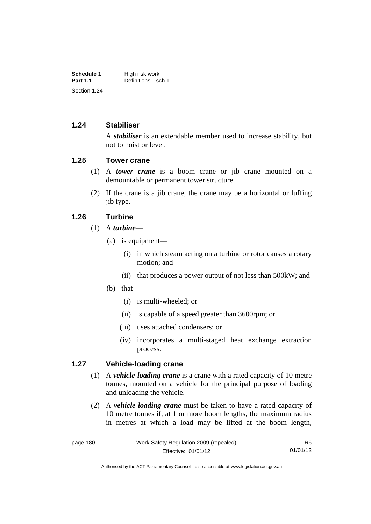| Schedule 1      | High risk work    |
|-----------------|-------------------|
| <b>Part 1.1</b> | Definitions-sch 1 |
| Section 1.24    |                   |

#### **1.24 Stabiliser**

A *stabiliser* is an extendable member used to increase stability, but not to hoist or level.

#### **1.25 Tower crane**

- (1) A *tower crane* is a boom crane or jib crane mounted on a demountable or permanent tower structure.
- (2) If the crane is a jib crane, the crane may be a horizontal or luffing jib type.

#### **1.26 Turbine**

- (1) A *turbine*
	- (a) is equipment—
		- (i) in which steam acting on a turbine or rotor causes a rotary motion; and
		- (ii) that produces a power output of not less than 500kW; and
	- (b) that—
		- (i) is multi-wheeled; or
		- (ii) is capable of a speed greater than 3600rpm; or
		- (iii) uses attached condensers; or
		- (iv) incorporates a multi-staged heat exchange extraction process.

#### **1.27 Vehicle-loading crane**

- (1) A *vehicle-loading crane* is a crane with a rated capacity of 10 metre tonnes, mounted on a vehicle for the principal purpose of loading and unloading the vehicle.
- (2) A *vehicle-loading crane* must be taken to have a rated capacity of 10 metre tonnes if, at 1 or more boom lengths, the maximum radius in metres at which a load may be lifted at the boom length,

R5 01/01/12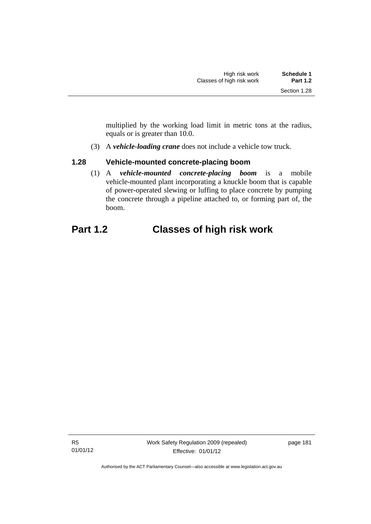multiplied by the working load limit in metric tons at the radius, equals or is greater than 10.0.

(3) A *vehicle-loading crane* does not include a vehicle tow truck.

### **1.28 Vehicle-mounted concrete-placing boom**

 (1) A *vehicle-mounted concrete-placing boom* is a mobile vehicle-mounted plant incorporating a knuckle boom that is capable of power-operated slewing or luffing to place concrete by pumping the concrete through a pipeline attached to, or forming part of, the boom.

## **Part 1.2 Classes of high risk work**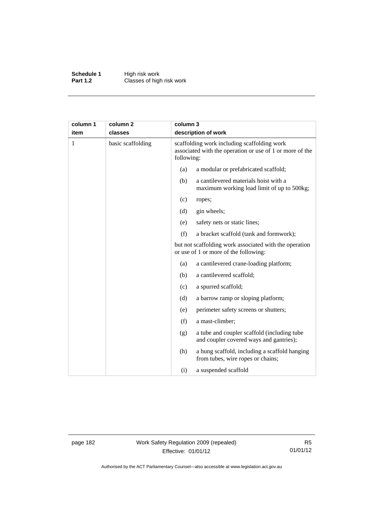**Schedule 1** High risk work **Part 1.2 Classes of high risk work** 

| column 1     | column <sub>2</sub> |     | column 3<br>description of work                                                                                       |  |
|--------------|---------------------|-----|-----------------------------------------------------------------------------------------------------------------------|--|
| item         | classes             |     |                                                                                                                       |  |
| $\mathbf{1}$ | basic scaffolding   |     | scaffolding work including scaffolding work<br>associated with the operation or use of 1 or more of the<br>following: |  |
|              |                     | (a) | a modular or prefabricated scaffold;                                                                                  |  |
|              |                     | (b) | a cantilevered materials hoist with a<br>maximum working load limit of up to 500kg;                                   |  |
|              |                     | (c) | ropes;                                                                                                                |  |
|              |                     | (d) | gin wheels;                                                                                                           |  |
|              |                     | (e) | safety nets or static lines;                                                                                          |  |
|              |                     | (f) | a bracket scaffold (tank and formwork);                                                                               |  |
|              |                     |     | but not scaffolding work associated with the operation<br>or use of 1 or more of the following:                       |  |
|              |                     | (a) | a cantilevered crane-loading platform;                                                                                |  |
|              |                     | (b) | a cantilevered scaffold;                                                                                              |  |
|              |                     | (c) | a spurred scaffold;                                                                                                   |  |
|              |                     | (d) | a barrow ramp or sloping platform;                                                                                    |  |
|              |                     | (e) | perimeter safety screens or shutters;                                                                                 |  |
|              |                     | (f) | a mast-climber;                                                                                                       |  |
|              |                     | (g) | a tube and coupler scaffold (including tube<br>and coupler covered ways and gantries);                                |  |
|              |                     | (h) | a hung scaffold, including a scaffold hanging<br>from tubes, wire ropes or chains;                                    |  |
|              |                     | (i) | a suspended scaffold                                                                                                  |  |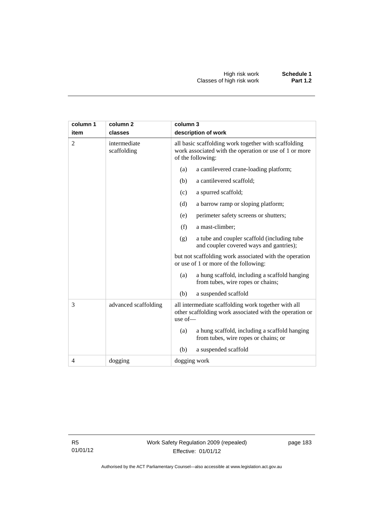| column 1 | column <sub>2</sub>         | column 3                                                                                                                            |  |  |
|----------|-----------------------------|-------------------------------------------------------------------------------------------------------------------------------------|--|--|
| item     | classes                     | description of work                                                                                                                 |  |  |
| 2        | intermediate<br>scaffolding | all basic scaffolding work together with scaffolding<br>work associated with the operation or use of 1 or more<br>of the following: |  |  |
|          |                             | a cantilevered crane-loading platform;<br>(a)                                                                                       |  |  |
|          |                             | a cantilevered scaffold;<br>(b)                                                                                                     |  |  |
|          |                             | (c)<br>a spurred scaffold;                                                                                                          |  |  |
|          |                             | a barrow ramp or sloping platform;<br>(d)                                                                                           |  |  |
|          |                             | perimeter safety screens or shutters;<br>(e)                                                                                        |  |  |
|          |                             | a mast-climber;<br>(f)                                                                                                              |  |  |
|          |                             | a tube and coupler scaffold (including tube<br>(g)<br>and coupler covered ways and gantries);                                       |  |  |
|          |                             | but not scaffolding work associated with the operation<br>or use of 1 or more of the following:                                     |  |  |
|          |                             | a hung scaffold, including a scaffold hanging<br>(a)<br>from tubes, wire ropes or chains;                                           |  |  |
|          |                             | (b)<br>a suspended scaffold                                                                                                         |  |  |
| 3        | advanced scaffolding        | all intermediate scaffolding work together with all<br>other scaffolding work associated with the operation or<br>use of-           |  |  |
|          |                             | a hung scaffold, including a scaffold hanging<br>(a)<br>from tubes, wire ropes or chains; or                                        |  |  |
|          |                             | a suspended scaffold<br>(b)                                                                                                         |  |  |
| 4        | dogging                     | dogging work                                                                                                                        |  |  |

page 183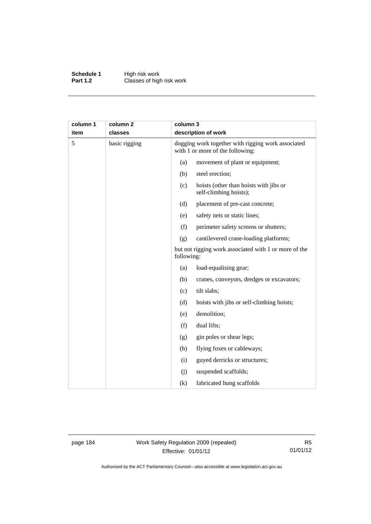**Schedule 1** High risk work **Part 1.2 Classes of high risk work** 

| column 1 | column <sub>2</sub> |            | column 3<br>description of work                                                        |  |
|----------|---------------------|------------|----------------------------------------------------------------------------------------|--|
| item     | classes             |            |                                                                                        |  |
| 5        | basic rigging       |            | dogging work together with rigging work associated<br>with 1 or more of the following: |  |
|          |                     | (a)        | movement of plant or equipment;                                                        |  |
|          |                     | (b)        | steel erection;                                                                        |  |
|          |                     | (c)        | hoists (other than hoists with jibs or<br>self-climbing hoists);                       |  |
|          |                     | (d)        | placement of pre-cast concrete;                                                        |  |
|          |                     | (e)        | safety nets or static lines;                                                           |  |
|          |                     | (f)        | perimeter safety screens or shutters;                                                  |  |
|          |                     | (g)        | cantilevered crane-loading platforms;                                                  |  |
|          |                     | following: | but not rigging work associated with 1 or more of the                                  |  |
|          |                     | (a)        | load-equalising gear;                                                                  |  |
|          |                     | (b)        | cranes, conveyors, dredges or excavators;                                              |  |
|          |                     | (c)        | tilt slabs;                                                                            |  |
|          |                     | (d)        | hoists with jibs or self-climbing hoists;                                              |  |
|          |                     | (e)        | demolition;                                                                            |  |
|          |                     | (f)        | dual lifts;                                                                            |  |
|          |                     | (g)        | gin poles or shear legs;                                                               |  |
|          |                     | (h)        | flying foxes or cableways;                                                             |  |
|          |                     | (i)        | guyed derricks or structures;                                                          |  |
|          |                     | (j)        | suspended scaffolds;                                                                   |  |
|          |                     | (k)        | fabricated hung scaffolds                                                              |  |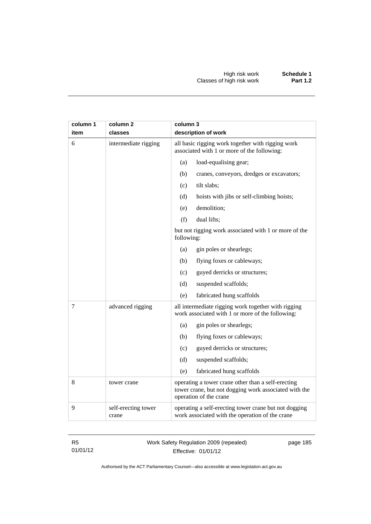| column 1<br>item | column 2<br>classes          | column 3<br>description of work                                                                                                       |
|------------------|------------------------------|---------------------------------------------------------------------------------------------------------------------------------------|
| 6                | intermediate rigging         | all basic rigging work together with rigging work<br>associated with 1 or more of the following:                                      |
|                  |                              | (a)<br>load-equalising gear;                                                                                                          |
|                  |                              | (b)<br>cranes, conveyors, dredges or excavators;                                                                                      |
|                  |                              | (c)<br>tilt slabs;                                                                                                                    |
|                  |                              | hoists with jibs or self-climbing hoists;<br>(d)                                                                                      |
|                  |                              | demolition;<br>(e)                                                                                                                    |
|                  |                              | (f)<br>dual lifts;                                                                                                                    |
|                  |                              | but not rigging work associated with 1 or more of the<br>following:                                                                   |
|                  |                              | (a)<br>gin poles or shearlegs;                                                                                                        |
|                  |                              | flying foxes or cableways;<br>(b)                                                                                                     |
|                  |                              | guyed derricks or structures;<br>(c)                                                                                                  |
|                  |                              | (d)<br>suspended scaffolds;                                                                                                           |
|                  |                              | (e)<br>fabricated hung scaffolds                                                                                                      |
| 7                | advanced rigging             | all intermediate rigging work together with rigging<br>work associated with 1 or more of the following:                               |
|                  |                              | gin poles or shearlegs;<br>(a)                                                                                                        |
|                  |                              | flying foxes or cableways;<br>(b)                                                                                                     |
|                  |                              | guyed derricks or structures;<br>(c)                                                                                                  |
|                  |                              | (d)<br>suspended scaffolds;                                                                                                           |
|                  |                              | fabricated hung scaffolds<br>(e)                                                                                                      |
| 8                | tower crane                  | operating a tower crane other than a self-erecting<br>tower crane, but not dogging work associated with the<br>operation of the crane |
| 9                | self-erecting tower<br>crane | operating a self-erecting tower crane but not dogging<br>work associated with the operation of the crane                              |

#### Work Safety Regulation 2009 (repealed) Effective: 01/01/12

page 185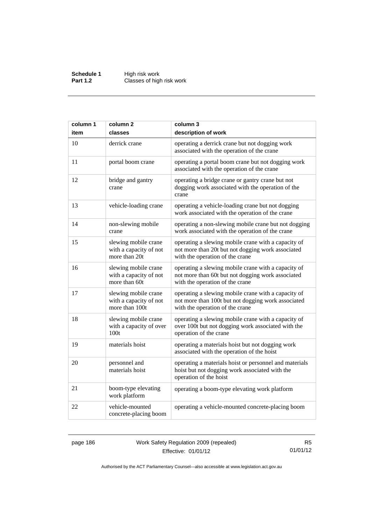**Schedule 1** High risk work **Part 1.2 Classes of high risk work** 

| column 1 | column <sub>2</sub>                                              | column 3                                                                                                                                     |
|----------|------------------------------------------------------------------|----------------------------------------------------------------------------------------------------------------------------------------------|
| item     | classes                                                          | description of work                                                                                                                          |
| 10       | derrick crane                                                    | operating a derrick crane but not dogging work<br>associated with the operation of the crane                                                 |
| 11       | portal boom crane                                                | operating a portal boom crane but not dogging work<br>associated with the operation of the crane                                             |
| 12       | bridge and gantry<br>crane                                       | operating a bridge crane or gantry crane but not<br>dogging work associated with the operation of the<br>crane                               |
| 13       | vehicle-loading crane                                            | operating a vehicle-loading crane but not dogging<br>work associated with the operation of the crane                                         |
| 14       | non-slewing mobile<br>crane                                      | operating a non-slewing mobile crane but not dogging<br>work associated with the operation of the crane                                      |
| 15       | slewing mobile crane<br>with a capacity of not<br>more than 20t  | operating a slewing mobile crane with a capacity of<br>not more than 20t but not dogging work associated<br>with the operation of the crane  |
| 16       | slewing mobile crane<br>with a capacity of not<br>more than 60t  | operating a slewing mobile crane with a capacity of<br>not more than 60t but not dogging work associated<br>with the operation of the crane  |
| 17       | slewing mobile crane<br>with a capacity of not<br>more than 100t | operating a slewing mobile crane with a capacity of<br>not more than 100t but not dogging work associated<br>with the operation of the crane |
| 18       | slewing mobile crane<br>with a capacity of over<br>100t          | operating a slewing mobile crane with a capacity of<br>over 100t but not dogging work associated with the<br>operation of the crane          |
| 19       | materials hoist                                                  | operating a materials hoist but not dogging work<br>associated with the operation of the hoist                                               |
| 20       | personnel and<br>materials hoist                                 | operating a materials hoist or personnel and materials<br>hoist but not dogging work associated with the<br>operation of the hoist           |
| 21       | boom-type elevating<br>work platform                             | operating a boom-type elevating work platform                                                                                                |
| 22       | vehicle-mounted<br>concrete-placing boom                         | operating a vehicle-mounted concrete-placing boom                                                                                            |

page 186 Work Safety Regulation 2009 (repealed) Effective: 01/01/12

R5 01/01/12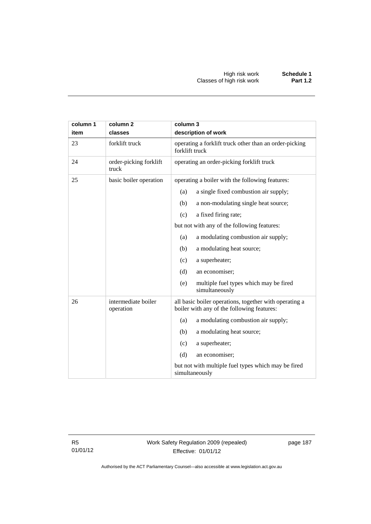| column 1<br>item | column <sub>2</sub><br>classes   | column 3<br>description of work                                                                      |  |  |
|------------------|----------------------------------|------------------------------------------------------------------------------------------------------|--|--|
| 23               | forklift truck                   | operating a forklift truck other than an order-picking<br>forklift truck                             |  |  |
| 24               | order-picking forklift<br>truck  | operating an order-picking forklift truck                                                            |  |  |
| 25               | basic boiler operation           | operating a boiler with the following features:                                                      |  |  |
|                  |                                  | a single fixed combustion air supply;<br>(a)                                                         |  |  |
|                  |                                  | a non-modulating single heat source;<br>(b)                                                          |  |  |
|                  |                                  | a fixed firing rate;<br>(c)                                                                          |  |  |
|                  |                                  | but not with any of the following features:                                                          |  |  |
|                  |                                  | a modulating combustion air supply;<br>(a)                                                           |  |  |
|                  |                                  | (b)<br>a modulating heat source;                                                                     |  |  |
|                  |                                  | (c)<br>a superheater;                                                                                |  |  |
|                  |                                  | (d)<br>an economiser;                                                                                |  |  |
|                  |                                  | (e)<br>multiple fuel types which may be fired<br>simultaneously                                      |  |  |
| 26               | intermediate boiler<br>operation | all basic boiler operations, together with operating a<br>boiler with any of the following features: |  |  |
|                  |                                  | a modulating combustion air supply;<br>(a)                                                           |  |  |
|                  |                                  | a modulating heat source;<br>(b)                                                                     |  |  |
|                  |                                  | (c)<br>a superheater;                                                                                |  |  |
|                  |                                  | (d)<br>an economiser;                                                                                |  |  |
|                  |                                  | but not with multiple fuel types which may be fired<br>simultaneously                                |  |  |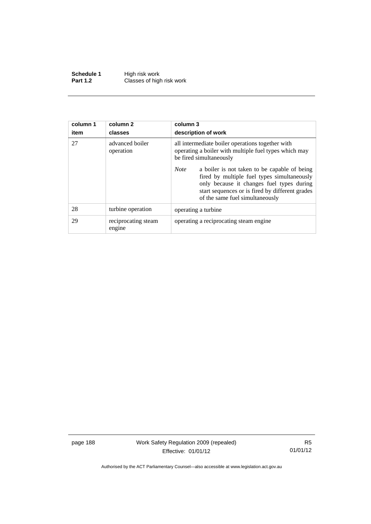**Schedule 1** High risk work **Part 1.2 Classes of high risk work** 

| column 1<br>item | column 2<br>classes           | column 3<br>description of work                                                                                                                                                                                                               |  |
|------------------|-------------------------------|-----------------------------------------------------------------------------------------------------------------------------------------------------------------------------------------------------------------------------------------------|--|
| 27               | advanced boiler<br>operation  | all intermediate boiler operations together with<br>operating a boiler with multiple fuel types which may<br>be fired simultaneously                                                                                                          |  |
|                  |                               | <b>Note</b><br>a boiler is not taken to be capable of being<br>fired by multiple fuel types simultaneously<br>only because it changes fuel types during<br>start sequences or is fired by different grades<br>of the same fuel simultaneously |  |
| 28               | turbine operation             | operating a turbine.                                                                                                                                                                                                                          |  |
| 29               | reciprocating steam<br>engine | operating a reciprocating steam engine.                                                                                                                                                                                                       |  |

page 188 Work Safety Regulation 2009 (repealed) Effective: 01/01/12

R5 01/01/12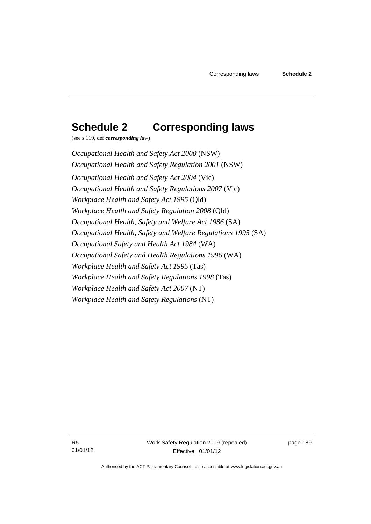# **Schedule 2 Corresponding laws**

(see s 119, def *corresponding law*)

*Occupational Health and Safety Act 2000* (NSW) *Occupational Health and Safety Regulation 2001* (NSW) *Occupational Health and Safety Act 2004* (Vic) *Occupational Health and Safety Regulations 2007* (Vic) *Workplace Health and Safety Act 1995* (Qld) *Workplace Health and Safety Regulation 2008* (Qld) *Occupational Health, Safety and Welfare Act 1986* (SA) *Occupational Health, Safety and Welfare Regulations 1995* (SA) *Occupational Safety and Health Act 1984* (WA) *Occupational Safety and Health Regulations 1996* (WA) *Workplace Health and Safety Act 1995* (Tas) *Workplace Health and Safety Regulations 1998* (Tas) *Workplace Health and Safety Act 2007* (NT) *Workplace Health and Safety Regulations* (NT)

R5 01/01/12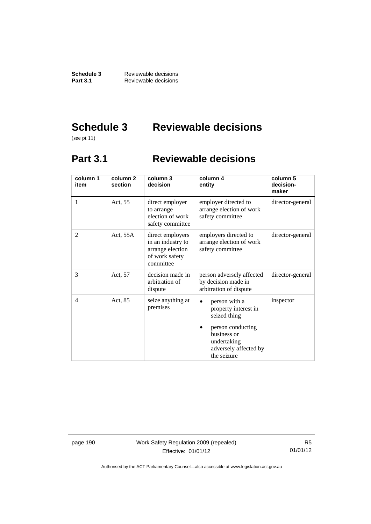**Schedule 3** Reviewable decisions<br>**Part 3.1** Reviewable decisions **Part 3.1** Reviewable decisions

# **Schedule 3 Reviewable decisions**

(see pt 11)

## **Part 3.1 Reviewable decisions**

| column 1<br>item | column <sub>2</sub><br>section | column 3<br>decision                                                                     | column 4<br>entity                                                                                                                                            | column 5<br>decision-<br>maker |
|------------------|--------------------------------|------------------------------------------------------------------------------------------|---------------------------------------------------------------------------------------------------------------------------------------------------------------|--------------------------------|
| 1                | Act, 55                        | direct employer<br>to arrange<br>election of work<br>safety committee                    | employer directed to<br>arrange election of work<br>safety committee                                                                                          | director-general               |
| $\overline{2}$   | Act, 55A                       | direct employers<br>in an industry to<br>arrange election<br>of work safety<br>committee | employers directed to<br>arrange election of work<br>safety committee                                                                                         | director-general               |
| 3                | Act, 57                        | decision made in<br>arbitration of<br>dispute                                            | person adversely affected<br>by decision made in<br>arbitration of dispute                                                                                    | director-general               |
| $\overline{4}$   | Act, 85                        | seize anything at<br>premises                                                            | person with a<br>$\bullet$<br>property interest in<br>seized thing<br>person conducting<br>business or<br>undertaking<br>adversely affected by<br>the seizure | inspector                      |

page 190 Work Safety Regulation 2009 (repealed) Effective: 01/01/12

R5 01/01/12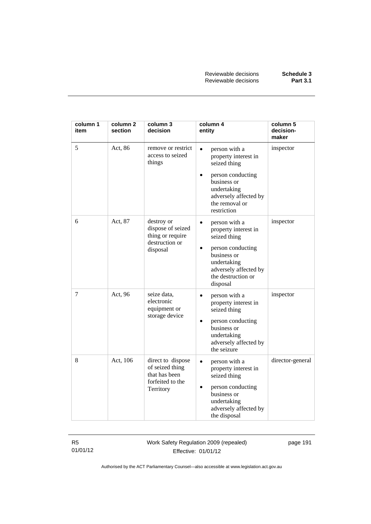| column 1<br>item | column 2<br>section | column 3<br>decision                                                                   | column 4<br>entity                                                                                                                                                                            | column 5<br>decision-<br>maker |
|------------------|---------------------|----------------------------------------------------------------------------------------|-----------------------------------------------------------------------------------------------------------------------------------------------------------------------------------------------|--------------------------------|
| 5                | Act, 86             | remove or restrict<br>access to seized<br>things                                       | $\bullet$<br>person with a<br>property interest in<br>seized thing                                                                                                                            | inspector                      |
|                  |                     |                                                                                        | person conducting<br>$\bullet$<br>business or<br>undertaking<br>adversely affected by<br>the removal or<br>restriction                                                                        |                                |
| 6                | Act, 87             | destroy or<br>dispose of seized<br>thing or require<br>destruction or<br>disposal      | $\bullet$<br>person with a<br>property interest in<br>seized thing<br>person conducting<br>$\bullet$<br>business or<br>undertaking<br>adversely affected by<br>the destruction or<br>disposal | inspector                      |
| 7                | Act, 96             | seize data,<br>electronic<br>equipment or<br>storage device                            | person with a<br>$\bullet$<br>property interest in<br>seized thing<br>person conducting<br>$\bullet$<br>business or<br>undertaking<br>adversely affected by<br>the seizure                    | inspector                      |
| 8                | Act, 106            | direct to dispose<br>of seized thing<br>that has been<br>forfeited to the<br>Territory | person with a<br>$\bullet$<br>property interest in<br>seized thing<br>person conducting<br>$\bullet$<br>business or<br>undertaking<br>adversely affected by<br>the disposal                   | director-general               |

Work Safety Regulation 2009 (repealed) Effective: 01/01/12

page 191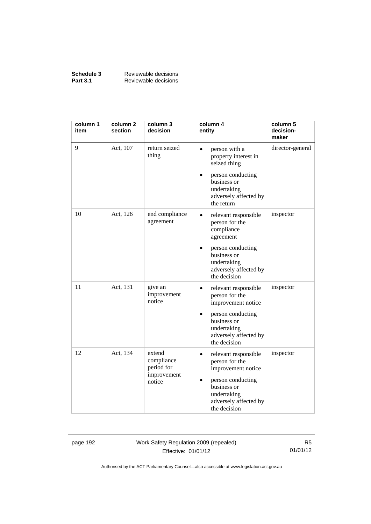| Schedule 3      | Reviewable decisions |
|-----------------|----------------------|
| <b>Part 3.1</b> | Reviewable decisions |

| column 1<br>item | column <sub>2</sub><br>section | column 3<br>decision                                        | column 4<br>entity                                                                                                                                                         | column 5<br>decision-<br>maker |
|------------------|--------------------------------|-------------------------------------------------------------|----------------------------------------------------------------------------------------------------------------------------------------------------------------------------|--------------------------------|
| 9                | Act, 107                       | return seized<br>thing                                      | person with a<br>$\bullet$<br>property interest in<br>seized thing<br>person conducting<br>$\bullet$<br>business or<br>undertaking<br>adversely affected by<br>the return  | director-general               |
| 10               | Act, 126                       | end compliance<br>agreement                                 | relevant responsible<br>$\bullet$<br>person for the<br>compliance<br>agreement<br>person conducting<br>business or<br>undertaking<br>adversely affected by<br>the decision | inspector                      |
| 11               | Act, 131                       | give an<br>improvement<br>notice                            | relevant responsible<br>$\bullet$<br>person for the<br>improvement notice<br>person conducting<br>business or<br>undertaking<br>adversely affected by<br>the decision      | inspector                      |
| 12               | Act, 134                       | extend<br>compliance<br>period for<br>improvement<br>notice | relevant responsible<br>$\bullet$<br>person for the<br>improvement notice<br>person conducting<br>business or<br>undertaking<br>adversely affected by<br>the decision      | inspector                      |

page 192 Work Safety Regulation 2009 (repealed) Effective: 01/01/12

R5 01/01/12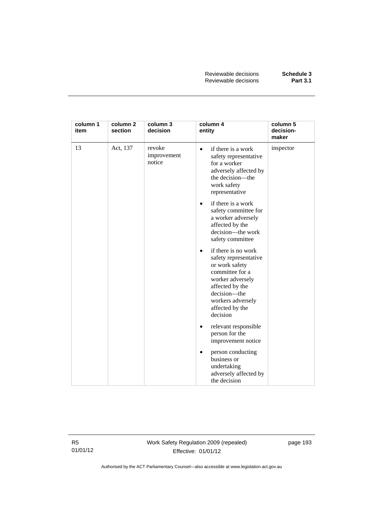| column 1<br>item | column 2<br>section | column 3<br>decision            | column 4<br>entity                                                                                                                                                                                        | column 5<br>decision-<br>maker |
|------------------|---------------------|---------------------------------|-----------------------------------------------------------------------------------------------------------------------------------------------------------------------------------------------------------|--------------------------------|
| 13               | Act, 137            | revoke<br>improvement<br>notice | if there is a work<br>$\bullet$<br>safety representative<br>for a worker<br>adversely affected by<br>the decision—the<br>work safety<br>representative                                                    | inspector                      |
|                  |                     |                                 | if there is a work<br>$\bullet$<br>safety committee for<br>a worker adversely<br>affected by the<br>decision—the work<br>safety committee                                                                 |                                |
|                  |                     |                                 | if there is no work<br>$\bullet$<br>safety representative<br>or work safety<br>committee for a<br>worker adversely<br>affected by the<br>decision-the<br>workers adversely<br>affected by the<br>decision |                                |
|                  |                     |                                 | relevant responsible<br>person for the<br>improvement notice                                                                                                                                              |                                |
|                  |                     |                                 | person conducting<br>$\bullet$<br>business or<br>undertaking<br>adversely affected by<br>the decision                                                                                                     |                                |

Work Safety Regulation 2009 (repealed) Effective: 01/01/12

page 193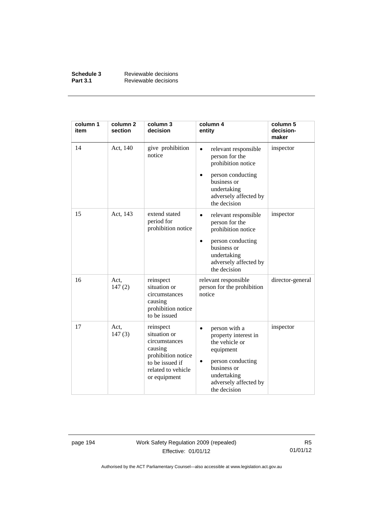| Schedule 3      | Reviewable decisions |
|-----------------|----------------------|
| <b>Part 3.1</b> | Reviewable decisions |

| column 1<br>item | column <sub>2</sub><br>section | column 3<br>decision                                                                                                                 | column 4<br>entity                                                                                                                                                                 | column 5<br>decision-<br>maker |
|------------------|--------------------------------|--------------------------------------------------------------------------------------------------------------------------------------|------------------------------------------------------------------------------------------------------------------------------------------------------------------------------------|--------------------------------|
| 14               | Act, 140                       | give prohibition<br>notice                                                                                                           | relevant responsible<br>$\bullet$<br>person for the<br>prohibition notice<br>person conducting<br>business or<br>undertaking<br>adversely affected by<br>the decision              | inspector                      |
| 15               | Act, 143                       | extend stated<br>period for<br>prohibition notice                                                                                    | relevant responsible<br>$\bullet$<br>person for the<br>prohibition notice<br>person conducting<br>$\bullet$<br>business or<br>undertaking<br>adversely affected by<br>the decision | inspector                      |
| 16               | Act.<br>147(2)                 | reinspect<br>situation or<br>circumstances<br>causing<br>prohibition notice<br>to be issued                                          | relevant responsible<br>person for the prohibition<br>notice                                                                                                                       | director-general               |
| 17               | Act,<br>147(3)                 | reinspect<br>situation or<br>circumstances<br>causing<br>prohibition notice<br>to be issued if<br>related to vehicle<br>or equipment | person with a<br>$\bullet$<br>property interest in<br>the vehicle or<br>equipment<br>person conducting<br>٠<br>business or<br>undertaking<br>adversely affected by<br>the decision | inspector                      |

page 194 Work Safety Regulation 2009 (repealed) Effective: 01/01/12

R5 01/01/12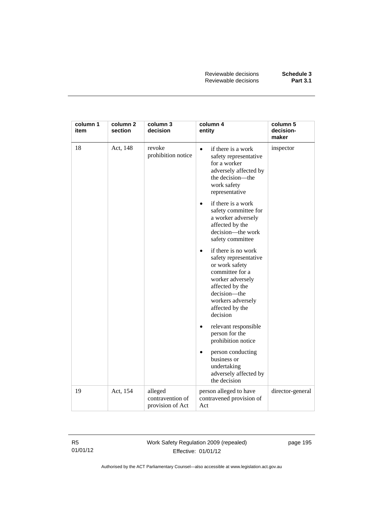| column 1<br>item | column 2<br>section | column 3<br>decision                            | column 4<br>entity                                                                                                                                                                                        | column 5<br>decision-<br>maker |
|------------------|---------------------|-------------------------------------------------|-----------------------------------------------------------------------------------------------------------------------------------------------------------------------------------------------------------|--------------------------------|
| 18               | Act, 148            | revoke<br>prohibition notice                    | if there is a work<br>$\bullet$<br>safety representative<br>for a worker<br>adversely affected by<br>the decision-the<br>work safety<br>representative                                                    | inspector                      |
|                  |                     |                                                 | if there is a work<br>$\bullet$<br>safety committee for<br>a worker adversely<br>affected by the<br>decision-the work<br>safety committee                                                                 |                                |
|                  |                     |                                                 | if there is no work<br>$\bullet$<br>safety representative<br>or work safety<br>committee for a<br>worker adversely<br>affected by the<br>decision-the<br>workers adversely<br>affected by the<br>decision |                                |
|                  |                     |                                                 | relevant responsible<br>$\bullet$<br>person for the<br>prohibition notice                                                                                                                                 |                                |
|                  |                     |                                                 | person conducting<br>$\bullet$<br>business or<br>undertaking<br>adversely affected by<br>the decision                                                                                                     |                                |
| 19               | Act, 154            | alleged<br>contravention of<br>provision of Act | person alleged to have<br>contravened provision of<br>Act                                                                                                                                                 | director-general               |

Work Safety Regulation 2009 (repealed) Effective: 01/01/12

page 195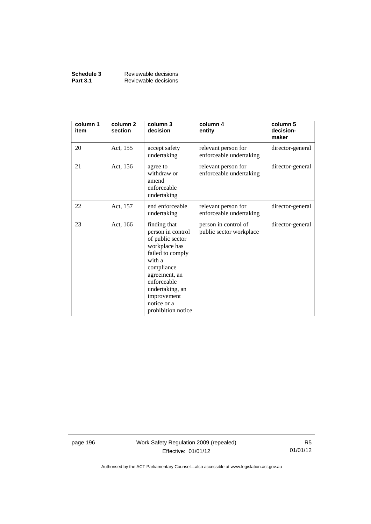| Schedule 3      | Reviewable decisions |
|-----------------|----------------------|
| <b>Part 3.1</b> | Reviewable decisions |

| column 1<br>item | column <sub>2</sub><br>section | column 3<br>decision                                                                                                                                                                                                      | column 4<br>entity                              | column 5<br>decision-<br>maker |
|------------------|--------------------------------|---------------------------------------------------------------------------------------------------------------------------------------------------------------------------------------------------------------------------|-------------------------------------------------|--------------------------------|
| 20               | Act, 155                       | accept safety<br>undertaking                                                                                                                                                                                              | relevant person for<br>enforceable undertaking  | director-general               |
| 21               | Act, 156                       | agree to<br>withdraw or<br>amend<br>enforceable<br>undertaking                                                                                                                                                            | relevant person for<br>enforceable undertaking  | director-general               |
| 22               | Act, 157                       | end enforceable<br>undertaking                                                                                                                                                                                            | relevant person for<br>enforceable undertaking  | director-general               |
| 23               | Act, 166                       | finding that<br>person in control<br>of public sector<br>workplace has<br>failed to comply<br>with a<br>compliance<br>agreement, an<br>enforceable<br>undertaking, an<br>improvement<br>notice or a<br>prohibition notice | person in control of<br>public sector workplace | director-general               |

page 196 Work Safety Regulation 2009 (repealed) Effective: 01/01/12

R5 01/01/12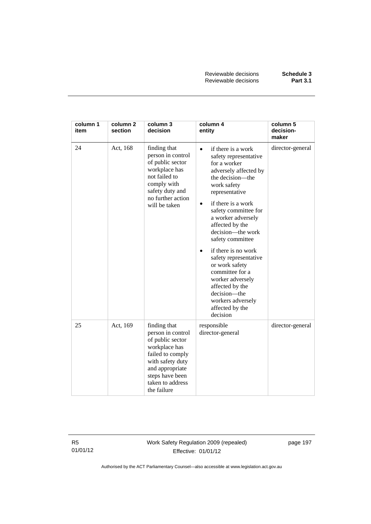| column 1<br>item | column <sub>2</sub><br>section | column 3<br>decision                                                                                                                                                                    | column 4<br>entity                                                                                                                                                                                                                                                                                                                                                                                                                                                                                  | column 5<br>decision-<br>maker |
|------------------|--------------------------------|-----------------------------------------------------------------------------------------------------------------------------------------------------------------------------------------|-----------------------------------------------------------------------------------------------------------------------------------------------------------------------------------------------------------------------------------------------------------------------------------------------------------------------------------------------------------------------------------------------------------------------------------------------------------------------------------------------------|--------------------------------|
| 24               | Act, 168                       | finding that<br>person in control<br>of public sector<br>workplace has<br>not failed to<br>comply with<br>safety duty and<br>no further action<br>will be taken                         | if there is a work<br>$\bullet$<br>safety representative<br>for a worker<br>adversely affected by<br>the decision—the<br>work safety<br>representative<br>if there is a work<br>$\bullet$<br>safety committee for<br>a worker adversely<br>affected by the<br>decision-the work<br>safety committee<br>if there is no work<br>safety representative<br>or work safety<br>committee for a<br>worker adversely<br>affected by the<br>decision—the<br>workers adversely<br>affected by the<br>decision | director-general               |
| 25               | Act, 169                       | finding that<br>person in control<br>of public sector<br>workplace has<br>failed to comply<br>with safety duty<br>and appropriate<br>steps have been<br>taken to address<br>the failure | responsible<br>director-general                                                                                                                                                                                                                                                                                                                                                                                                                                                                     | director-general               |

Work Safety Regulation 2009 (repealed) Effective: 01/01/12

page 197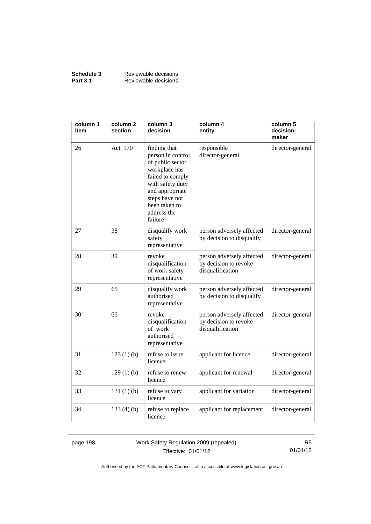| Schedule 3      | Reviewable decisions |
|-----------------|----------------------|
| <b>Part 3.1</b> | Reviewable decisions |

| column 1<br>item | column <sub>2</sub><br>section | column 3<br>decision                                                                                                                                                                           | column 4<br>entity                                                     | column 5<br>decision-<br>maker |
|------------------|--------------------------------|------------------------------------------------------------------------------------------------------------------------------------------------------------------------------------------------|------------------------------------------------------------------------|--------------------------------|
| 26               | Act, 170                       | finding that<br>person in control<br>of public sector<br>workplace has<br>failed to comply<br>with safety duty<br>and appropriate<br>steps have not<br>been taken to<br>address the<br>failure | responsible<br>director-general                                        | director-general               |
| 27               | 38                             | disqualify work<br>safety<br>representative                                                                                                                                                    | person adversely affected<br>by decision to disqualify                 | director-general               |
| 28               | 39                             | revoke<br>disqualification<br>of work safety<br>representative                                                                                                                                 | person adversely affected<br>by decision to revoke<br>disqualification | director-general               |
| 29               | 65                             | disqualify work<br>authorised<br>representative                                                                                                                                                | person adversely affected<br>by decision to disqualify                 | director-general               |
| 30               | 66                             | revoke<br>disqualification<br>of work<br>authorised<br>representative                                                                                                                          | person adversely affected<br>by decision to revoke<br>disqualification | director-general               |
| 31               | 123(1)(b)                      | refuse to issue<br>licence                                                                                                                                                                     | applicant for licence                                                  | director-general               |
| 32               | 129(1)(b)                      | refuse to renew<br>licence                                                                                                                                                                     | applicant for renewal                                                  | director-general               |
| 33               | 131(1)(b)                      | refuse to vary<br>licence                                                                                                                                                                      | applicant for variation                                                | director-general               |
| 34               | 133 $(4)$ $(b)$                | refuse to replace<br>licence                                                                                                                                                                   | applicant for replacement                                              | director-general               |

page 198 Work Safety Regulation 2009 (repealed) Effective: 01/01/12

R5 01/01/12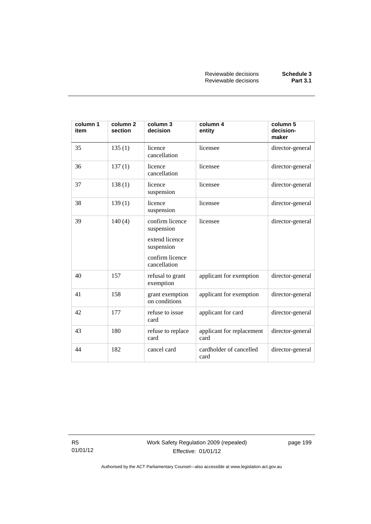| column 1<br>item | column <sub>2</sub><br>section | column 3<br>decision                                                                             | column 4<br>entity                | column 5<br>decision-<br>maker |
|------------------|--------------------------------|--------------------------------------------------------------------------------------------------|-----------------------------------|--------------------------------|
| 35               | 135(1)                         | licence<br>cancellation                                                                          | licensee                          | director-general               |
| 36               | 137(1)                         | licence<br>cancellation                                                                          | licensee                          | director-general               |
| 37               | 138(1)                         | licence<br>suspension                                                                            | licensee                          | director-general               |
| 38               | 139(1)                         | licence<br>suspension                                                                            | licensee                          | director-general               |
| 39               | 140(4)                         | confirm licence<br>suspension<br>extend licence<br>suspension<br>confirm licence<br>cancellation | licensee                          | director-general               |
| 40               | 157                            | refusal to grant<br>exemption                                                                    | applicant for exemption           | director-general               |
| 41               | 158                            | grant exemption<br>on conditions                                                                 | applicant for exemption           | director-general               |
| 42               | 177                            | refuse to issue<br>card                                                                          | applicant for card                | director-general               |
| 43               | 180                            | refuse to replace<br>card                                                                        | applicant for replacement<br>card | director-general               |
| 44               | 182                            | cancel card                                                                                      | cardholder of cancelled<br>card   | director-general               |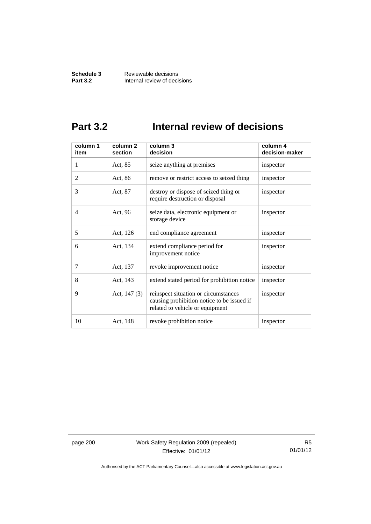## **Part 3.2 Internal review of decisions**

| column 1<br>item | column 2<br>section | column 3<br>decision                                                                                                  | column 4<br>decision-maker |
|------------------|---------------------|-----------------------------------------------------------------------------------------------------------------------|----------------------------|
| 1                | Act, 85             | seize anything at premises                                                                                            | inspector                  |
| $\overline{2}$   | Act, 86             | remove or restrict access to seized thing                                                                             | inspector                  |
| 3                | Act, 87             | destroy or dispose of seized thing or<br>require destruction or disposal                                              | inspector                  |
| 4                | Act, 96             | seize data, electronic equipment or<br>storage device                                                                 | inspector                  |
| 5                | Act, 126            | end compliance agreement                                                                                              | inspector                  |
| 6                | Act, 134            | extend compliance period for<br>improvement notice                                                                    | inspector                  |
| 7                | Act, 137            | revoke improvement notice                                                                                             | inspector                  |
| 8                | Act, 143            | extend stated period for prohibition notice                                                                           | inspector                  |
| 9                | Act, $147(3)$       | reinspect situation or circumstances<br>causing prohibition notice to be issued if<br>related to vehicle or equipment | inspector                  |
| 10               | Act, 148            | revoke prohibition notice                                                                                             | inspector                  |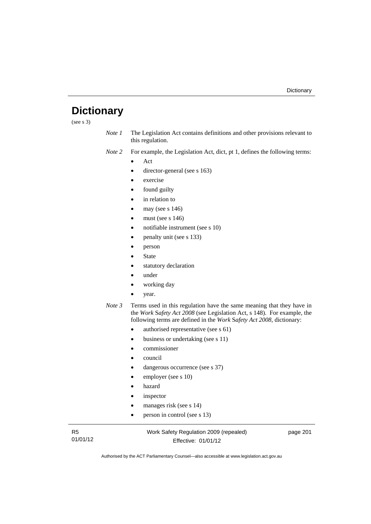## **Dictionary**

(see s 3)

- *Note 1* The Legislation Act contains definitions and other provisions relevant to this regulation.
- *Note 2* For example, the Legislation Act, dict, pt 1, defines the following terms:
	- Act
	- director-general (see s 163)
	- exercise
	- found guilty
	- in relation to
	- may (see s 146)
	- must (see s 146)
	- notifiable instrument (see s 10)
	- penalty unit (see s 133)
	- person
	- State
	- statutory declaration
	- under
	- working day
	- year.
- *Note 3* Terms used in this regulation have the same meaning that they have in the *Work* S*afety Act 2008* (see Legislation Act, s 148). For example, the following terms are defined in the *Work* S*afety Act 2008*, dictionary:
	- authorised representative (see s 61)
	- business or undertaking (see s 11)
	- commissioner
	- council
	- dangerous occurrence (see s 37)
	- employer (see s 10)
	- hazard
	- inspector
	- manages risk (see s 14)
	- person in control (see s 13)

R5 01/01/12 Work Safety Regulation 2009 (repealed) Effective: 01/01/12

page 201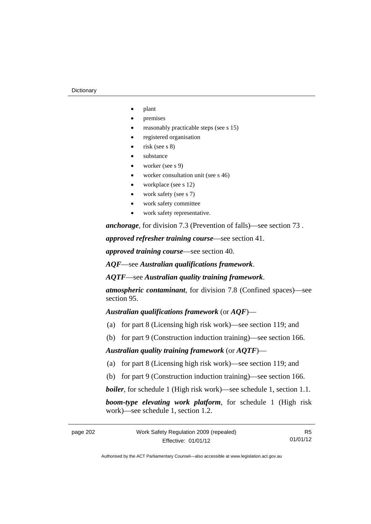#### **Dictionary**

- plant
- premises
- reasonably practicable steps (see s 15)
- registered organisation
- risk (see s 8)
- substance
- worker (see s 9)
- worker consultation unit (see s 46)
- workplace (see s 12)
- work safety (see s 7)
- work safety committee
- work safety representative.

*anchorage*, for division 7.3 (Prevention of falls)—see section 73 .

*approved refresher training course*—see section 41.

*approved training course*—see section 40.

*AQF*—see *Australian qualifications framework*.

*AQTF*—see *Australian quality training framework*.

*atmospheric contaminant*, for division 7.8 (Confined spaces)—see section 95.

*Australian qualifications framework* (or *AQF*)—

- (a) for part 8 (Licensing high risk work)—see section 119; and
- (b) for part 9 (Construction induction training)—see section 166.

#### *Australian quality training framework* (or *AQTF*)—

- (a) for part 8 (Licensing high risk work)—see section 119; and
- (b) for part 9 (Construction induction training)—see section 166.

*boiler*, for schedule 1 (High risk work)—see schedule 1, section 1.1.

*boom-type elevating work platform*, for schedule 1 (High risk work)—see schedule 1, section 1.2.

R5 01/01/12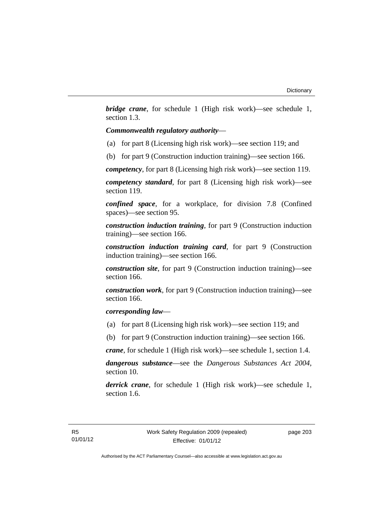*bridge crane*, for schedule 1 (High risk work)—see schedule 1, section 1.3.

## *Commonwealth regulatory authority*—

- (a) for part 8 (Licensing high risk work)—see section 119; and
- (b) for part 9 (Construction induction training)—see section 166.

*competency*, for part 8 (Licensing high risk work)—see section 119.

*competency standard*, for part 8 (Licensing high risk work)—see section 119.

*confined space*, for a workplace, for division 7.8 (Confined spaces)—see section 95.

*construction induction training*, for part 9 (Construction induction training)—see section 166.

*construction induction training card*, for part 9 (Construction induction training)—see section 166.

*construction site*, for part 9 (Construction induction training)—see section 166.

*construction work*, for part 9 (Construction induction training)—see section 166.

## *corresponding law*—

(a) for part 8 (Licensing high risk work)—see section 119; and

(b) for part 9 (Construction induction training)—see section 166.

*crane*, for schedule 1 (High risk work)—see schedule 1, section 1.4.

*dangerous substance*—see the *Dangerous Substances Act 2004*, section 10.

*derrick crane*, for schedule 1 (High risk work)—see schedule 1, section 1.6.

page 203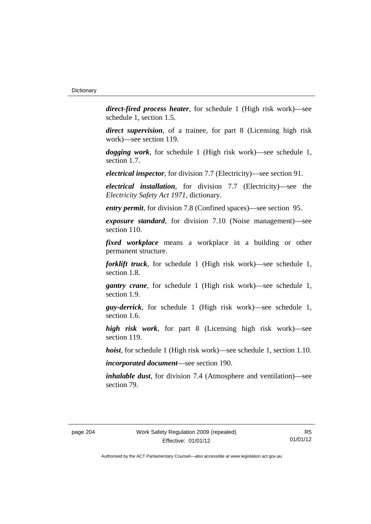*direct-fired process heater*, for schedule 1 (High risk work)—see schedule 1, section 1.5.

*direct supervision*, of a trainee, for part 8 (Licensing high risk work)—see section 119.

*dogging work*, for schedule 1 (High risk work)—see schedule 1, section 1.7.

*electrical inspector*, for division 7.7 (Electricity)—see section 91.

*electrical installation*, for division 7.7 (Electricity)—see the *Electricity Safety Act 1971*, dictionary.

*entry permit*, for division 7.8 (Confined spaces)—see section 95.

*exposure standard*, for division 7.10 (Noise management)—see section 110.

*fixed workplace* means a workplace in a building or other permanent structure.

*forklift truck*, for schedule 1 (High risk work)—see schedule 1, section 1.8.

*gantry crane*, for schedule 1 (High risk work)—see schedule 1, section 1.9.

*guy-derrick*, for schedule 1 (High risk work)—see schedule 1, section 1.6.

*high risk work*, for part 8 (Licensing high risk work)—see section 119.

*hoist*, for schedule 1 (High risk work)—see schedule 1, section 1.10.

*incorporated document*—see section 190.

*inhalable dust*, for division 7.4 (Atmosphere and ventilation)—see section 79.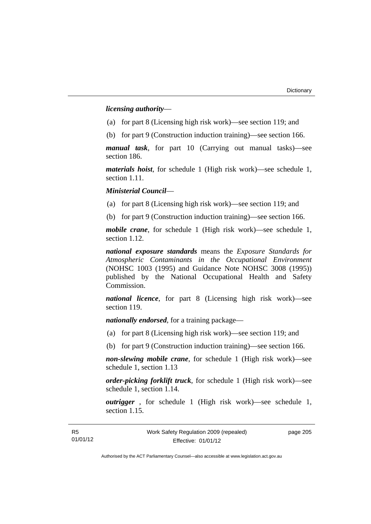*licensing authority*—

- (a) for part 8 (Licensing high risk work)—see section 119; and
- (b) for part 9 (Construction induction training)—see section 166.

*manual task*, for part 10 (Carrying out manual tasks)—see section 186.

*materials hoist*, for schedule 1 (High risk work)—see schedule 1, section 1.11.

*Ministerial Council*—

(a) for part 8 (Licensing high risk work)—see section 119; and

(b) for part 9 (Construction induction training)—see section 166.

*mobile crane*, for schedule 1 (High risk work)—see schedule 1, section 1.12.

*national exposure standards* means the *Exposure Standards for Atmospheric Contaminants in the Occupational Environment* (NOHSC 1003 (1995) and Guidance Note NOHSC 3008 (1995)) published by the National Occupational Health and Safety Commission.

*national licence*, for part 8 (Licensing high risk work)—see section 119.

*nationally endorsed*, for a training package—

- (a) for part 8 (Licensing high risk work)—see section 119; and
- (b) for part 9 (Construction induction training)—see section 166.

*non-slewing mobile crane*, for schedule 1 (High risk work)—see schedule 1, section 1.13

*order-picking forklift truck*, for schedule 1 (High risk work)—see schedule 1, section 1.14.

*outrigger* , for schedule 1 (High risk work)—see schedule 1, section 1.15.

page 205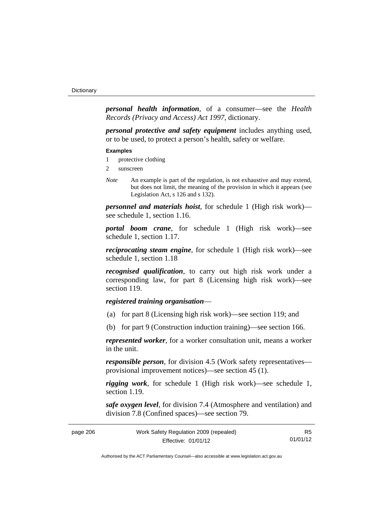*personal health information*, of a consumer—see the *Health Records (Privacy and Access) Act 1997*, dictionary.

*personal protective and safety equipment* includes anything used, or to be used, to protect a person's health, safety or welfare.

#### **Examples**

- 1 protective clothing
- 2 sunscreen
- *Note* An example is part of the regulation, is not exhaustive and may extend, but does not limit, the meaning of the provision in which it appears (see Legislation Act, s 126 and s 132).

*personnel and materials hoist*, for schedule 1 (High risk work) see schedule 1, section 1.16.

*portal boom crane*, for schedule 1 (High risk work)—see schedule 1, section 1.17.

*reciprocating steam engine*, for schedule 1 (High risk work)—see schedule 1, section 1.18

*recognised qualification*, to carry out high risk work under a corresponding law, for part 8 (Licensing high risk work)—see section 119.

## *registered training organisation*—

- (a) for part 8 (Licensing high risk work)—see section 119; and
- (b) for part 9 (Construction induction training)—see section 166.

*represented worker*, for a worker consultation unit, means a worker in the unit.

*responsible person*, for division 4.5 (Work safety representatives provisional improvement notices)—see section 45 (1).

*rigging work*, for schedule 1 (High risk work)—see schedule 1, section 1.19.

*safe oxygen level*, for division 7.4 (Atmosphere and ventilation) and division 7.8 (Confined spaces)—see section 79.

| Work Safety Regulation 2009 (repealed)<br>page 206 |                     | R5       |
|----------------------------------------------------|---------------------|----------|
|                                                    | Effective: 01/01/12 | 01/01/12 |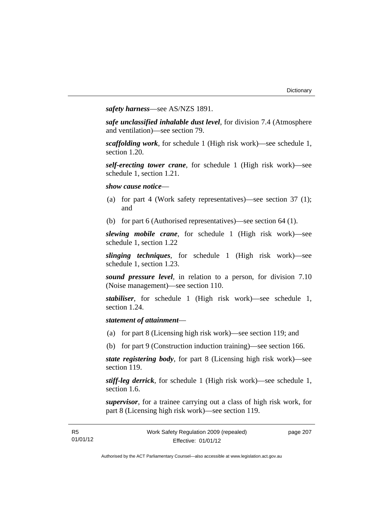*safety harness*—see AS/NZS 1891.

*safe unclassified inhalable dust level*, for division 7.4 (Atmosphere and ventilation)—see section 79.

*scaffolding work*, for schedule 1 (High risk work)—see schedule 1, section 1.20.

*self-erecting tower crane*, for schedule 1 (High risk work)—see schedule 1, section 1.21.

*show cause notice*—

- (a) for part 4 (Work safety representatives)—see section 37 (1); and
- (b) for part 6 (Authorised representatives)—see section 64 (1).

*slewing mobile crane*, for schedule 1 (High risk work)—see schedule 1, section 1.22

*slinging techniques*, for schedule 1 (High risk work)—see schedule 1, section 1.23.

*sound pressure level*, in relation to a person, for division 7.10 (Noise management)—see section 110.

*stabiliser*, for schedule 1 (High risk work)—see schedule 1, section 1.24.

## *statement of attainment*—

- (a) for part 8 (Licensing high risk work)—see section 119; and
- (b) for part 9 (Construction induction training)—see section 166.

*state registering body*, for part 8 (Licensing high risk work)—see section 119.

*stiff-leg derrick*, for schedule 1 (High risk work)—see schedule 1, section 1.6.

*supervisor*, for a trainee carrying out a class of high risk work, for part 8 (Licensing high risk work)—see section 119.

| - R5     | Work Safety Regulation 2009 (repealed) | page 207 |
|----------|----------------------------------------|----------|
| 01/01/12 | Effective: 01/01/12                    |          |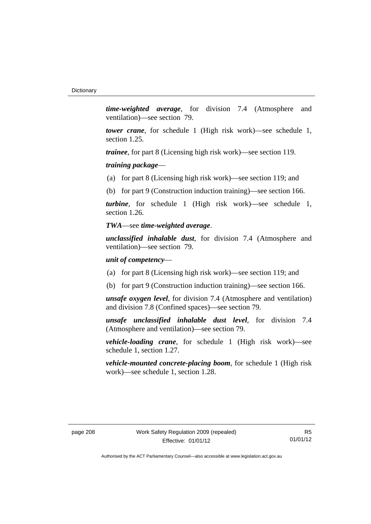*time-weighted average*, for division 7.4 (Atmosphere and ventilation)—see section 79.

*tower crane*, for schedule 1 (High risk work)—see schedule 1, section 1.25.

*trainee*, for part 8 (Licensing high risk work)—see section 119.

*training package*—

(a) for part 8 (Licensing high risk work)—see section 119; and

(b) for part 9 (Construction induction training)—see section 166.

*turbine*, for schedule 1 (High risk work)—see schedule 1, section 1.26.

### *TWA*—see *time-weighted average*.

*unclassified inhalable dust*, for division 7.4 (Atmosphere and ventilation)—see section 79.

### *unit of competency*—

- (a) for part 8 (Licensing high risk work)—see section 119; and
- (b) for part 9 (Construction induction training)—see section 166.

*unsafe oxygen level*, for division 7.4 (Atmosphere and ventilation) and division 7.8 (Confined spaces)—see section 79.

*unsafe unclassified inhalable dust level*, for division 7.4 (Atmosphere and ventilation)—see section 79.

*vehicle-loading crane*, for schedule 1 (High risk work)—see schedule 1, section 1.27.

*vehicle-mounted concrete-placing boom*, for schedule 1 (High risk work)—see schedule 1, section 1.28.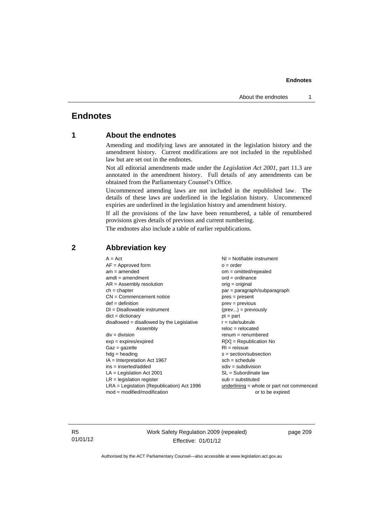# **Endnotes**

# **1 About the endnotes**

Amending and modifying laws are annotated in the legislation history and the amendment history. Current modifications are not included in the republished law but are set out in the endnotes.

Not all editorial amendments made under the *Legislation Act 2001*, part 11.3 are annotated in the amendment history. Full details of any amendments can be obtained from the Parliamentary Counsel's Office.

Uncommenced amending laws are not included in the republished law. The details of these laws are underlined in the legislation history. Uncommenced expiries are underlined in the legislation history and amendment history.

If all the provisions of the law have been renumbered, a table of renumbered provisions gives details of previous and current numbering.

The endnotes also include a table of earlier republications.

| $A = Act$<br>$AF =$ Approved form<br>$am = amended$<br>$amdt = amendment$<br>$AR = Assembly resolution$<br>$ch = chapter$<br>$CN =$ Commencement notice<br>$def = definition$<br>$DI = Disallowable instrument$<br>$dict = dictionary$<br>disallowed = disallowed by the Legislative<br>Assembly<br>$div =$ division<br>$exp = expires/expired$<br>$Gaz = gazette$<br>$hdg =$ heading<br>$IA = Interpretation Act 1967$<br>$ins = inserted/added$<br>$LA =$ Legislation Act 2001<br>$LR =$ legislation register | $NI =$ Notifiable instrument<br>$o = order$<br>$om = omitted/repealed$<br>$ord = ordinance$<br>$orig = original$<br>$par = paragraph/subparagraph$<br>$pres = present$<br>$prev = previous$<br>$(\text{prev}) = \text{previously}$<br>$pt = part$<br>$r = rule/subrule$<br>$reloc = relocated$<br>$remum = renumbered$<br>$R[X]$ = Republication No<br>$RI = reissue$<br>$s = section/subsection$<br>$sch = schedule$<br>$sdiv = subdivision$<br>$SL = Subordinate$ law<br>$sub =$ substituted |
|-----------------------------------------------------------------------------------------------------------------------------------------------------------------------------------------------------------------------------------------------------------------------------------------------------------------------------------------------------------------------------------------------------------------------------------------------------------------------------------------------------------------|------------------------------------------------------------------------------------------------------------------------------------------------------------------------------------------------------------------------------------------------------------------------------------------------------------------------------------------------------------------------------------------------------------------------------------------------------------------------------------------------|
| $LRA =$ Legislation (Republication) Act 1996<br>$mod = modified/modification$                                                                                                                                                                                                                                                                                                                                                                                                                                   | $underlining = whole or part not commenced$                                                                                                                                                                                                                                                                                                                                                                                                                                                    |
|                                                                                                                                                                                                                                                                                                                                                                                                                                                                                                                 | or to be expired                                                                                                                                                                                                                                                                                                                                                                                                                                                                               |

## **2 Abbreviation key**

R5 01/01/12 Work Safety Regulation 2009 (repealed) Effective: 01/01/12

page 209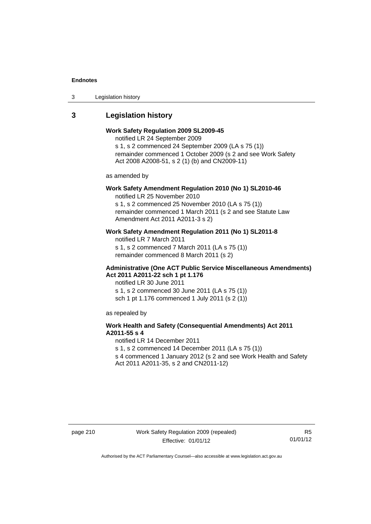3 Legislation history

## **3 Legislation history**

## **Work Safety Regulation 2009 SL2009-45**

notified LR 24 September 2009

s 1, s 2 commenced 24 September 2009 (LA s 75 (1)) remainder commenced 1 October 2009 (s 2 and see Work Safety Act 2008 A2008-51, s 2 (1) (b) and CN2009-11)

as amended by

# **Work Safety Amendment Regulation 2010 (No 1) SL2010-46**

notified LR 25 November 2010

s 1, s 2 commenced 25 November 2010 (LA s 75 (1)) remainder commenced 1 March 2011 (s 2 and see Statute Law Amendment Act 2011 A2011-3 s 2)

## **Work Safety Amendment Regulation 2011 (No 1) SL2011-8**

notified LR 7 March 2011 s 1, s 2 commenced 7 March 2011 (LA s 75 (1)) remainder commenced 8 March 2011 (s 2)

### **Administrative (One ACT Public Service Miscellaneous Amendments) Act 2011 A2011-22 sch 1 pt 1.176**

notified LR 30 June 2011 s 1, s 2 commenced 30 June 2011 (LA s 75 (1)) sch 1 pt 1.176 commenced 1 July 2011 (s 2 (1))

as repealed by

## **Work Health and Safety (Consequential Amendments) Act 2011 A2011-55 s 4**

notified LR 14 December 2011 s 1, s 2 commenced 14 December 2011 (LA s 75 (1)) s 4 commenced 1 January 2012 (s 2 and see Work Health and Safety

Act 2011 A2011-35, s 2 and CN2011-12)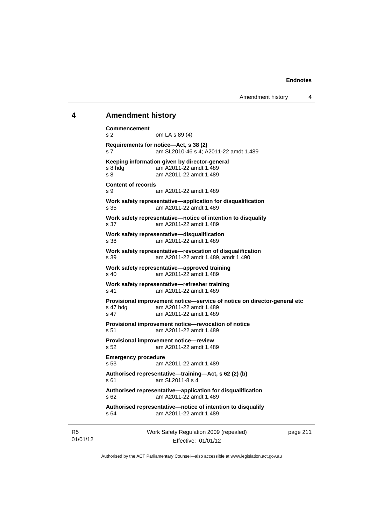### **4 Amendment history**

```
Work Safety Regulation 2009 (repealed) 
Commencement 
s 2 om LA s 89 (4) 
Requirements for notice—Act, s 38 (2) 
s 7 am SL2010-46 s 4; A2011-22 amdt 1.489 
Keeping information given by director-general 
s 8 hdg am A2011-22 amdt 1.489
s 8 am A2011-22 amdt 1.489 
Content of records 
s 9 am A2011-22 amdt 1.489 
Work safety representative—application for disqualification 
s 35 am A2011-22 amdt 1.489 
Work safety representative—notice of intention to disqualify 
s 37 am A2011-22 amdt 1.489 
Work safety representative—disqualification 
s 38 am A2011-22 amdt 1.489 
Work safety representative—revocation of disqualification 
s 39 am A2011-22 amdt 1.489, amdt 1.490 
Work safety representative—approved training 
s 40 am A2011-22 amdt 1.489 
Work safety representative—refresher training 
s 41 am A2011-22 amdt 1.489 
Provisional improvement notice—service of notice on director-general etc 
s 47 hdg am A2011-22 amdt 1.489 
s 47 am A2011-22 amdt 1.489 
Provisional improvement notice—revocation of notice 
s 51 am A2011-22 amdt 1.489 
Provisional improvement notice—review 
s 52 am A2011-22 amdt 1.489 
Emergency procedure 
s 53 am A2011-22 amdt 1.489 
Authorised representative—training—Act, s 62 (2) (b) 
s 61 am SL2011-8 s 4
Authorised representative—application for disqualification 
s 62 am A2011-22 amdt 1.489 
Authorised representative—notice of intention to disqualify 
s 64 am A2011-22 amdt 1.489
```
R5 01/01/12

Effective: 01/01/12

page 211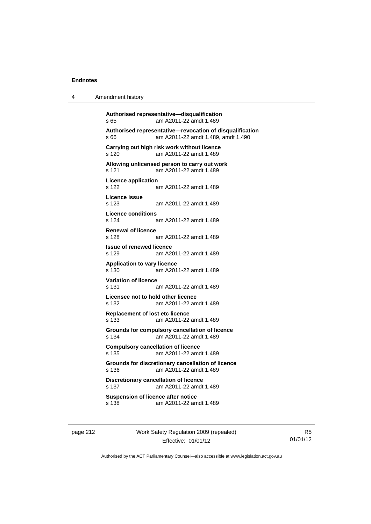| 4 | Amendment history |
|---|-------------------|
|---|-------------------|

**Authorised representative—disqualification**  s 65 am A2011-22 amdt 1.489 **Authorised representative—revocation of disqualification**  s 66 am A2011-22 amdt 1.489, amdt 1.490 **Carrying out high risk work without licence**  s 120 am A2011-22 amdt 1.489 **Allowing unlicensed person to carry out work**  s 121 am A2011-22 amdt 1.489 **Licence application**  s 122 am A2011-22 amdt 1.489 **Licence issue**  s 123 am A2011-22 amdt 1.489 **Licence conditions**  s 124 am A2011-22 amdt 1.489 **Renewal of licence**  s 128 am A2011-22 amdt 1.489 **Issue of renewed licence**  s 129 am A2011-22 amdt 1.489 **Application to vary licence**  s 130 am A2011-22 amdt 1.489 **Variation of licence**  s 131 am A2011-22 amdt 1.489 **Licensee not to hold other licence**  s 132 am A2011-22 amdt 1.489 **Replacement of lost etc licence**  s 133 am A2011-22 amdt 1.489 **Grounds for compulsory cancellation of licence**  s 134 am A2011-22 amdt 1.489 **Compulsory cancellation of licence**  s 135 am A2011-22 amdt 1.489 **Grounds for discretionary cancellation of licence**  s 136 am A2011-22 amdt 1.489 **Discretionary cancellation of licence**  s 137 am A2011-22 amdt 1.489 **Suspension of licence after notice**  s 138 am A2011-22 amdt 1.489

page 212 Work Safety Regulation 2009 (repealed) Effective: 01/01/12

R5 01/01/12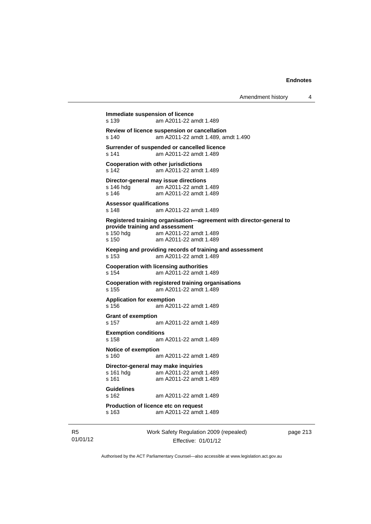| Amendment history |  |  |
|-------------------|--|--|
|-------------------|--|--|

```
Immediate suspension of licence 
s 139 am A2011-22 amdt 1.489 
Review of licence suspension or cancellation 
s 140 am A2011-22 amdt 1.489, amdt 1.490 
Surrender of suspended or cancelled licence 
s 141 am A2011-22 amdt 1.489 
Cooperation with other jurisdictions 
s 142 am A2011-22 amdt 1.489 
Director-general may issue directions 
               am A2011-22 amdt 1.489
s 146 am A2011-22 amdt 1.489 
Assessor qualifications 
s 148 am A2011-22 amdt 1.489 
Registered training organisation—agreement with director-general to 
provide training and assessment 
s 150 hdg am A2011-22 amdt 1.489 
s 150 am A2011-22 amdt 1.489 
Keeping and providing records of training and assessment 
s 153 am A2011-22 amdt 1.489 
Cooperation with licensing authorities 
s 154 am A2011-22 amdt 1.489 
Cooperation with registered training organisations 
s 155 am A2011-22 amdt 1.489 
Application for exemption 
s 156 am A2011-22 amdt 1.489 
Grant of exemption 
s 157 am A2011-22 amdt 1.489 
Exemption conditions 
s 158 am A2011-22 amdt 1.489 
Notice of exemption 
s 160 am A2011-22 amdt 1.489 
Director-general may make inquiries 
               am A2011-22 amdt 1.489
s 161 am A2011-22 amdt 1.489 
Guidelines 
s 162 am A2011-22 amdt 1.489 
Production of licence etc on request 
s 163 am A2011-22 amdt 1.489
```
R5 01/01/12 Work Safety Regulation 2009 (repealed) Effective: 01/01/12

page 213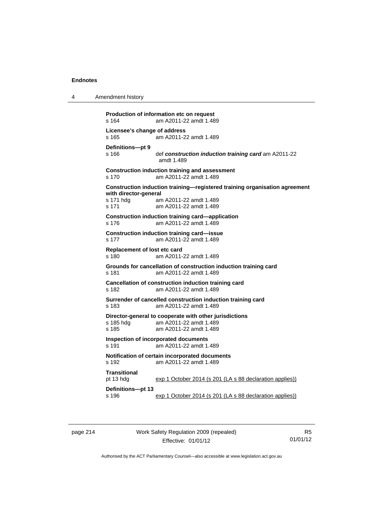4 Amendment history

```
Production of information etc on request 
s 164 am A2011-22 amdt 1.489 
Licensee's change of address 
s 165 am A2011-22 amdt 1.489 
Definitions—pt 9 
                def construction induction training card am A2011-22
                 amdt 1.489 
Construction induction training and assessment 
s 170 am A2011-22 amdt 1.489 
Construction induction training—registered training organisation agreement 
with director-general 
s 171 hdg am A2011-22 amdt 1.489 
s 171 am A2011-22 amdt 1.489 
Construction induction training card—application 
s 176 am A2011-22 amdt 1.489 
Construction induction training card—issue 
s 177 am A2011-22 amdt 1.489 
Replacement of lost etc card 
s 180 am A2011-22 amdt 1.489 
Grounds for cancellation of construction induction training card 
s 181 am A2011-22 amdt 1.489 
Cancellation of construction induction training card 
s 182 am A2011-22 amdt 1.489 
Surrender of cancelled construction induction training card 
s 183 am A2011-22 amdt 1.489 
Director-general to cooperate with other jurisdictions 
s 185 hdg am A2011-22 amdt 1.489 
s 185 am A2011-22 amdt 1.489 
Inspection of incorporated documents 
s 191 am A2011-22 amdt 1.489 
Notification of certain incorporated documents 
s 192 am A2011-22 amdt 1.489 
Transitional 
pt 13 hdg exp 1 October 2014 (s 201 (LA s 88 declaration applies))
Definitions—pt 13 
s 196 exp 1 October 2014 (s 201 (LA s 88 declaration applies))
```
page 214 Work Safety Regulation 2009 (repealed) Effective: 01/01/12

R5 01/01/12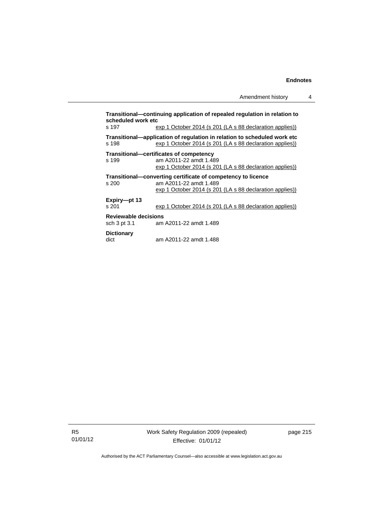| scheduled work etc          | Transitional—continuing application of repealed regulation in relation to |
|-----------------------------|---------------------------------------------------------------------------|
| s 197                       | exp 1 October 2014 (s 201 (LA s 88 declaration applies))                  |
|                             | Transitional—application of regulation in relation to scheduled work etc  |
| s 198                       | exp 1 October 2014 (s 201 (LA s 88 declaration applies))                  |
|                             | Transitional—certificates of competency                                   |
| s 199                       | am A2011-22 amdt 1.489                                                    |
|                             | exp 1 October 2014 (s 201 (LA s 88 declaration applies))                  |
|                             | Transitional—converting certificate of competency to licence              |
| s 200                       | am A2011-22 amdt 1.489                                                    |
|                             | exp 1 October 2014 (s 201 (LA s 88 declaration applies))                  |
| Expiry--pt 13               |                                                                           |
| s 201                       | exp 1 October 2014 (s 201 (LA s 88 declaration applies))                  |
| <b>Reviewable decisions</b> |                                                                           |
| sch 3 pt 3.1                | am A2011-22 amdt 1.489                                                    |
| <b>Dictionary</b>           |                                                                           |
| dict                        | am A2011-22 amdt 1.488                                                    |

R5 01/01/12 page 215